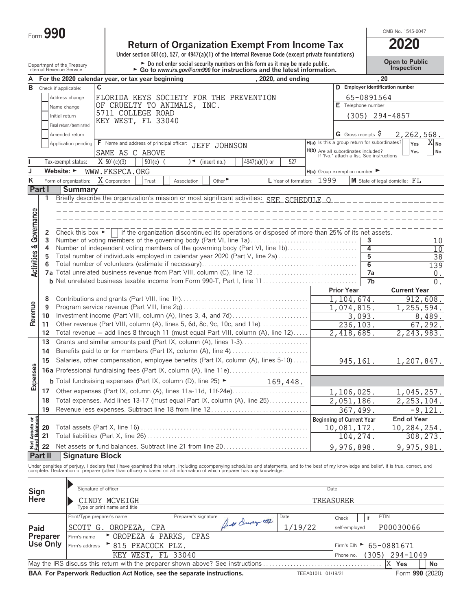| Form $\boldsymbol{J}$ | 990 |  |
|-----------------------|-----|--|
|-----------------------|-----|--|

# **Return of Organization Exempt From Income Tax 2020**

**Under section 501(c), 527, or 4947(a)(1) of the Internal Revenue Code (except private foundations)**

Department of the Treasury **Department of the Treasury <b>Do not** enter social security numbers on this form as it may be made public. **Open to Public** 

OMB No. 1545-0047

|                                |                  | <u>DENGITIIEIILUI LIE TIEGSUIV</u><br>Internal Revenue Service |                                                   |            | sooding numbers on this form as it may be made<br>• Go to www.irs.gov/Form990 for instructions and the latest information.                                                                                                                                                                                               |                |                           |           |                                                                                 |                     | Inspection                             |
|--------------------------------|------------------|----------------------------------------------------------------|---------------------------------------------------|------------|--------------------------------------------------------------------------------------------------------------------------------------------------------------------------------------------------------------------------------------------------------------------------------------------------------------------------|----------------|---------------------------|-----------|---------------------------------------------------------------------------------|---------------------|----------------------------------------|
|                                |                  |                                                                | For the 2020 calendar year, or tax year beginning |            |                                                                                                                                                                                                                                                                                                                          |                | , 2020, and ending        |           |                                                                                 |                     | .20                                    |
| B                              |                  | Check if applicable:                                           | C                                                 |            |                                                                                                                                                                                                                                                                                                                          |                |                           |           |                                                                                 |                     | D Employer identification number       |
|                                |                  | Address change                                                 |                                                   |            | FLORIDA KEYS SOCIETY FOR THE PREVENTION                                                                                                                                                                                                                                                                                  |                |                           |           | 65-0891564                                                                      |                     |                                        |
|                                |                  | Name change                                                    | OF CRUELTY TO ANIMALS, INC.                       |            |                                                                                                                                                                                                                                                                                                                          |                |                           |           | E Telephone number                                                              |                     |                                        |
|                                |                  | Initial return                                                 | 5711 COLLEGE ROAD                                 |            |                                                                                                                                                                                                                                                                                                                          |                |                           |           |                                                                                 |                     |                                        |
|                                |                  |                                                                | KEY WEST, FL 33040                                |            |                                                                                                                                                                                                                                                                                                                          |                |                           |           |                                                                                 |                     | $(305)$ 294-4857                       |
|                                |                  | Final return/terminated                                        |                                                   |            |                                                                                                                                                                                                                                                                                                                          |                |                           |           |                                                                                 |                     |                                        |
|                                |                  | Amended return                                                 |                                                   |            |                                                                                                                                                                                                                                                                                                                          |                |                           |           | G Gross receipts $\$$                                                           |                     | 2,262,568.                             |
|                                |                  | Application pending                                            | F Name and address of principal officer:          |            | JEFF JOHNSON                                                                                                                                                                                                                                                                                                             |                |                           |           | H(a) Is this a group return for subordinates?                                   |                     | $X_{\mathsf{No}}$<br>Yes               |
|                                |                  |                                                                | SAME AS C ABOVE                                   |            |                                                                                                                                                                                                                                                                                                                          |                |                           |           | H(b) Are all subordinates included?<br>If "No," attach a list. See instructions |                     | Yes<br>No                              |
|                                |                  | Tax-exempt status:                                             | $X$ 501(c)(3)                                     | $501(c)$ ( | $\sqrt{\bullet}$ (insert no.)                                                                                                                                                                                                                                                                                            | 4947(a)(1) or  | 527                       |           |                                                                                 |                     |                                        |
| J                              |                  | Website: ►                                                     | WWW.FKSPCA.ORG                                    |            |                                                                                                                                                                                                                                                                                                                          |                |                           |           | $H(c)$ Group exemption number $\blacktriangleright$                             |                     |                                        |
| Κ                              |                  | Form of organization:                                          | X Corporation                                     | Trust      | Other $\blacktriangleright$<br>Association                                                                                                                                                                                                                                                                               |                | L Year of formation: 1999 |           |                                                                                 |                     | <b>M</b> State of legal domicile: $FL$ |
|                                | Part I           | <b>Summary</b>                                                 |                                                   |            |                                                                                                                                                                                                                                                                                                                          |                |                           |           |                                                                                 |                     |                                        |
|                                | 1                |                                                                |                                                   |            | Briefly describe the organization's mission or most significant activities: SEE_SCHEDULE_O________________                                                                                                                                                                                                               |                |                           |           |                                                                                 |                     |                                        |
|                                |                  |                                                                |                                                   |            |                                                                                                                                                                                                                                                                                                                          |                |                           |           |                                                                                 |                     |                                        |
|                                |                  |                                                                |                                                   |            |                                                                                                                                                                                                                                                                                                                          |                |                           |           |                                                                                 |                     |                                        |
| Governance                     |                  |                                                                |                                                   |            |                                                                                                                                                                                                                                                                                                                          |                |                           |           |                                                                                 |                     |                                        |
|                                |                  |                                                                |                                                   |            |                                                                                                                                                                                                                                                                                                                          |                |                           |           |                                                                                 |                     |                                        |
|                                | 2<br>3           | Check this box $\blacktriangleright$                           |                                                   |            | if the organization discontinued its operations or disposed of more than 25% of its net assets.<br>Number of voting members of the governing body (Part VI, line 1a)                                                                                                                                                     |                |                           |           |                                                                                 |                     |                                        |
|                                | 4                |                                                                |                                                   |            | Number of independent voting members of the governing body (Part VI, line 1b)                                                                                                                                                                                                                                            |                |                           |           |                                                                                 | 3<br>$\overline{4}$ | 10                                     |
|                                | 5                |                                                                |                                                   |            | Total number of individuals employed in calendar year 2020 (Part V, line 2a)                                                                                                                                                                                                                                             |                |                           |           |                                                                                 | 5                   | 10                                     |
|                                | 6                |                                                                |                                                   |            |                                                                                                                                                                                                                                                                                                                          |                |                           |           |                                                                                 | $\overline{6}$      | 38                                     |
| <b>Activities &amp;</b>        |                  |                                                                |                                                   |            |                                                                                                                                                                                                                                                                                                                          |                |                           |           |                                                                                 | 7a                  | 139<br>0.                              |
|                                |                  |                                                                |                                                   |            |                                                                                                                                                                                                                                                                                                                          |                |                           |           |                                                                                 | 7b                  | 0.                                     |
|                                |                  |                                                                |                                                   |            |                                                                                                                                                                                                                                                                                                                          |                |                           |           | <b>Prior Year</b>                                                               |                     | <b>Current Year</b>                    |
|                                |                  |                                                                |                                                   |            |                                                                                                                                                                                                                                                                                                                          |                |                           |           |                                                                                 |                     |                                        |
|                                | 8                |                                                                |                                                   |            |                                                                                                                                                                                                                                                                                                                          |                |                           |           | 1,104,674.                                                                      |                     | 912,608.                               |
| Revenue                        | 9                |                                                                |                                                   |            |                                                                                                                                                                                                                                                                                                                          |                |                           |           | 1,074,815.                                                                      |                     | 1,255,594.                             |
|                                | 10               |                                                                |                                                   |            | Investment income (Part VIII, column (A), lines 3, 4, and 7d)                                                                                                                                                                                                                                                            |                |                           |           | 3,093.                                                                          |                     | 8,489.                                 |
|                                | 11               |                                                                |                                                   |            | Other revenue (Part VIII, column (A), lines 5, 6d, 8c, 9c, 10c, and 11e)                                                                                                                                                                                                                                                 |                |                           |           | 236,103.                                                                        |                     | 67,292.                                |
|                                | 12               |                                                                |                                                   |            | Total revenue - add lines 8 through 11 (must equal Part VIII, column (A), line 12)                                                                                                                                                                                                                                       |                |                           |           | 2,418,685.                                                                      |                     | 2,243,983.                             |
|                                | 13               |                                                                |                                                   |            | Grants and similar amounts paid (Part IX, column (A), lines 1-3)                                                                                                                                                                                                                                                         |                |                           |           |                                                                                 |                     |                                        |
|                                | 14               |                                                                |                                                   |            |                                                                                                                                                                                                                                                                                                                          |                |                           |           |                                                                                 |                     |                                        |
|                                | 15               |                                                                |                                                   |            | Salaries, other compensation, employee benefits (Part IX, column (A), lines 5-10)                                                                                                                                                                                                                                        |                |                           |           | 945, 161.                                                                       |                     | 1,207,847.                             |
|                                |                  |                                                                |                                                   |            |                                                                                                                                                                                                                                                                                                                          |                |                           |           |                                                                                 |                     |                                        |
| Expenses                       |                  |                                                                |                                                   |            | <b>b</b> Total fundraising expenses (Part IX, column (D), line 25) $\blacktriangleright$                                                                                                                                                                                                                                 |                |                           |           |                                                                                 |                     |                                        |
|                                |                  |                                                                |                                                   |            |                                                                                                                                                                                                                                                                                                                          |                | 169,448.                  |           |                                                                                 |                     |                                        |
|                                | 17 <sup>17</sup> |                                                                |                                                   |            | Other expenses (Part IX, column (A), lines 11a-11d, 11f-24e)                                                                                                                                                                                                                                                             |                |                           |           | 1,106,025.                                                                      |                     | 1,045,257.                             |
|                                | 18               |                                                                |                                                   |            | Total expenses. Add lines 13-17 (must equal Part IX, column (A), line 25)                                                                                                                                                                                                                                                |                |                           |           | 2,051,186.                                                                      |                     | 2, 253, 104.                           |
|                                | 19               |                                                                |                                                   |            | Revenue less expenses. Subtract line 18 from line 12                                                                                                                                                                                                                                                                     |                |                           |           | $\overline{367, 499}$ .                                                         |                     | $-9,121.$                              |
| Net Assets or<br>Fund Balances |                  |                                                                |                                                   |            |                                                                                                                                                                                                                                                                                                                          |                |                           |           | <b>Beginning of Current Year</b>                                                |                     | <b>End of Year</b>                     |
|                                | 20               |                                                                |                                                   |            |                                                                                                                                                                                                                                                                                                                          |                |                           |           | 10,081,172.                                                                     |                     | $\overline{10, 284, 254}$ .            |
|                                | 21               |                                                                |                                                   |            |                                                                                                                                                                                                                                                                                                                          |                |                           |           | 104,274.                                                                        |                     | 308,273.                               |
|                                | 22               |                                                                |                                                   |            | Net assets or fund balances. Subtract line 21 from line 20                                                                                                                                                                                                                                                               |                |                           |           | 9,976,898.                                                                      |                     | 9,975,981.                             |
|                                | Part II          | <b>Signature Block</b>                                         |                                                   |            |                                                                                                                                                                                                                                                                                                                          |                |                           |           |                                                                                 |                     |                                        |
|                                |                  |                                                                |                                                   |            |                                                                                                                                                                                                                                                                                                                          |                |                           |           |                                                                                 |                     |                                        |
|                                |                  |                                                                |                                                   |            | Under penalties of perjury, I declare that I have examined this return, including accompanying schedules and statements, and to the best of my knowledge and belief, it is true, correct, and<br>complete. Declaration of preparer (other than officer) is based on all information of which preparer has any knowledge. |                |                           |           |                                                                                 |                     |                                        |
|                                |                  |                                                                |                                                   |            |                                                                                                                                                                                                                                                                                                                          |                |                           |           |                                                                                 |                     |                                        |
|                                |                  |                                                                | Signature of officer                              |            |                                                                                                                                                                                                                                                                                                                          |                |                           | Date      |                                                                                 |                     |                                        |
| Sign<br>Here                   |                  |                                                                |                                                   |            |                                                                                                                                                                                                                                                                                                                          |                |                           |           |                                                                                 |                     |                                        |
|                                |                  |                                                                | CINDY MCVEIGH<br>Type or print name and title     |            |                                                                                                                                                                                                                                                                                                                          |                |                           | TREASURER |                                                                                 |                     |                                        |
|                                |                  |                                                                |                                                   |            |                                                                                                                                                                                                                                                                                                                          |                |                           |           |                                                                                 |                     |                                        |
|                                |                  |                                                                | Print/Type preparer's name                        |            | Preparer's signature                                                                                                                                                                                                                                                                                                     | frut Inver the | Date                      |           | Check                                                                           | if                  | PTIN                                   |
| Paid                           |                  |                                                                | SCOTT G. OROPEZA,                                 | CPA        |                                                                                                                                                                                                                                                                                                                          |                | 1/19/22                   |           | self-employed                                                                   |                     | P00030066                              |

|               |             | BAA For Paperwork Reduction Act Notice, see the separate instructions.         | TEEA0101L 01/19/21 |                                        |  | Form 990 (2020) |  |  |
|---------------|-------------|--------------------------------------------------------------------------------|--------------------|----------------------------------------|--|-----------------|--|--|
| X Yes<br>l No |             |                                                                                |                    |                                        |  |                 |  |  |
|               |             | KEY WEST, FL 33040                                                             |                    | Phone no. (305) 294-1049               |  |                 |  |  |
|               |             | Use Only $ F_{\text{Firm's address}} \rightharpoonup 815 \text{ PEACOCK PLZ}.$ |                    | Firm's EIN $\triangleright$ 65-0881671 |  |                 |  |  |
| Preparer      | Firm's name | ► OROPEZA & PARKS, CPAS                                                        |                    |                                        |  |                 |  |  |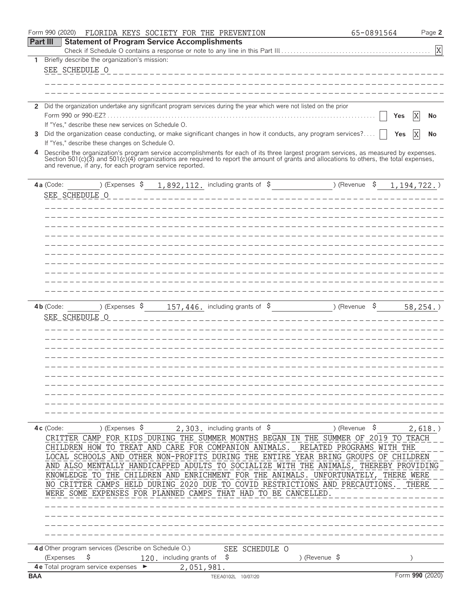|                 | Form 990 (2020)<br>FLORIDA KEYS SOCIETY FOR THE PREVENTION                                                                                                                                                                                                                           | 65-0891564    | Page 2          |
|-----------------|--------------------------------------------------------------------------------------------------------------------------------------------------------------------------------------------------------------------------------------------------------------------------------------|---------------|-----------------|
| <b>Part III</b> | <b>Statement of Program Service Accomplishments</b>                                                                                                                                                                                                                                  |               |                 |
|                 |                                                                                                                                                                                                                                                                                      |               | X               |
| 1               | Briefly describe the organization's mission:                                                                                                                                                                                                                                         |               |                 |
|                 | SEE SCHEDULE O<br>________________________________                                                                                                                                                                                                                                   |               |                 |
|                 |                                                                                                                                                                                                                                                                                      |               |                 |
|                 |                                                                                                                                                                                                                                                                                      |               |                 |
| 2               | Did the organization undertake any significant program services during the year which were not listed on the prior                                                                                                                                                                   |               |                 |
|                 | Form 990 or 990-EZ?                                                                                                                                                                                                                                                                  | Yes           | X<br>No         |
|                 | If "Yes," describe these new services on Schedule O.                                                                                                                                                                                                                                 |               |                 |
| 3               | Did the organization cease conducting, or make significant changes in how it conducts, any program services?                                                                                                                                                                         | Yes           | X<br>No         |
|                 | If "Yes," describe these changes on Schedule O.                                                                                                                                                                                                                                      |               |                 |
| 4               | Describe the organization's program service accomplishments for each of its three largest program services, as measured by expenses.<br>Section $501(c)(3)$ and $501(c)(4)$ organizations are required to report the amount of grants and allocations to others, the total expenses, |               |                 |
|                 | and revenue, if any, for each program service reported.                                                                                                                                                                                                                              |               |                 |
|                 |                                                                                                                                                                                                                                                                                      |               |                 |
|                 | $1,892,112$ including grants of $\$$ (Revenue $\$$<br>) (Expenses \$<br>4a (Code:                                                                                                                                                                                                    |               | 1, 194, 722.    |
|                 | SEE SCHEDULE O                                                                                                                                                                                                                                                                       |               |                 |
|                 |                                                                                                                                                                                                                                                                                      |               |                 |
|                 |                                                                                                                                                                                                                                                                                      |               |                 |
|                 |                                                                                                                                                                                                                                                                                      |               |                 |
|                 |                                                                                                                                                                                                                                                                                      |               |                 |
|                 |                                                                                                                                                                                                                                                                                      |               |                 |
|                 |                                                                                                                                                                                                                                                                                      |               |                 |
|                 |                                                                                                                                                                                                                                                                                      |               |                 |
|                 |                                                                                                                                                                                                                                                                                      |               |                 |
|                 |                                                                                                                                                                                                                                                                                      |               |                 |
|                 |                                                                                                                                                                                                                                                                                      |               |                 |
|                 | 157, 446. including grants of $\,$ \$<br>) (Expenses \$<br>$4b$ (Code:                                                                                                                                                                                                               | ) (Revenue \$ | 58, 254.        |
|                 | SEE_SCHEDULE_O                                                                                                                                                                                                                                                                       |               |                 |
|                 |                                                                                                                                                                                                                                                                                      |               |                 |
|                 |                                                                                                                                                                                                                                                                                      |               |                 |
|                 |                                                                                                                                                                                                                                                                                      |               |                 |
|                 |                                                                                                                                                                                                                                                                                      |               |                 |
|                 |                                                                                                                                                                                                                                                                                      |               |                 |
|                 |                                                                                                                                                                                                                                                                                      |               |                 |
|                 |                                                                                                                                                                                                                                                                                      |               |                 |
|                 |                                                                                                                                                                                                                                                                                      |               |                 |
|                 |                                                                                                                                                                                                                                                                                      |               |                 |
|                 |                                                                                                                                                                                                                                                                                      |               |                 |
|                 |                                                                                                                                                                                                                                                                                      |               |                 |
|                 | ) (Expenses $\frac{1}{2}$<br>2, 303. including grants of $\beta$<br>$4c$ (Code:                                                                                                                                                                                                      | ) (Revenue \$ | $2,618.$ )      |
|                 | CRITTER CAMP FOR KIDS DURING THE SUMMER MONTHS BEGAN IN THE SUMMER OF 2019 TO TEACH                                                                                                                                                                                                  |               |                 |
|                 | CHILDREN HOW TO TREAT AND CARE FOR COMPANION ANIMALS. RELATED PROGRAMS WITH THE                                                                                                                                                                                                      |               |                 |
|                 | LOCAL SCHOOLS AND OTHER NON-PROFITS DURING THE ENTIRE YEAR BRING GROUPS OF CHILDREN                                                                                                                                                                                                  |               |                 |
|                 | AND ALSO MENTALLY HANDICAPPED ADULTS TO SOCIALIZE WITH THE ANIMALS, THEREBY PROVIDING                                                                                                                                                                                                |               |                 |
|                 | KNOWLEDGE TO THE CHILDREN AND ENRICHMENT FOR THE ANIMALS. UNFORTUNATELY, THERE WERE                                                                                                                                                                                                  |               |                 |
|                 | NO CRITTER CAMPS HELD DURING 2020 DUE TO COVID RESTRICTIONS AND PRECAUTIONS.                                                                                                                                                                                                         |               | THERE           |
|                 | WERE SOME EXPENSES FOR PLANNED CAMPS THAT HAD TO BE CANCELLED.                                                                                                                                                                                                                       |               |                 |
|                 |                                                                                                                                                                                                                                                                                      |               |                 |
|                 |                                                                                                                                                                                                                                                                                      |               |                 |
|                 |                                                                                                                                                                                                                                                                                      |               |                 |
|                 |                                                                                                                                                                                                                                                                                      |               |                 |
|                 | 4d Other program services (Describe on Schedule O.)<br>SEE SCHEDULE O                                                                                                                                                                                                                |               |                 |
|                 | \$<br>(Expenses<br>120 including grants of $\frac{1}{5}$<br>) (Revenue $\sqrt{5}$                                                                                                                                                                                                    |               |                 |
|                 | 4 e Total program service expenses ▶<br>2,051,981.                                                                                                                                                                                                                                   |               |                 |
| <b>BAA</b>      | TEEA0102L 10/07/20                                                                                                                                                                                                                                                                   |               | Form 990 (2020) |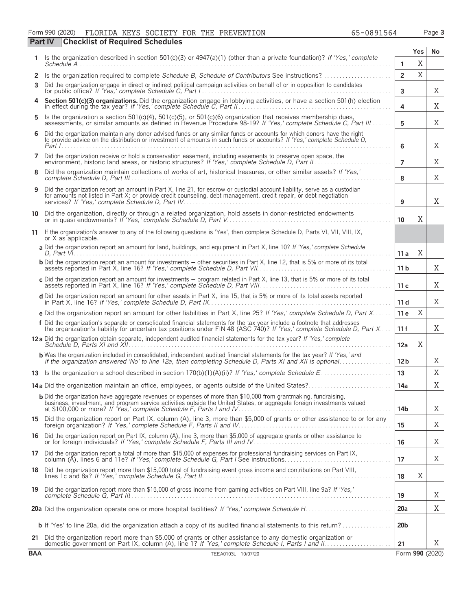### Form 990 (2020) FLORIDA KEYS SOCIETY FOR THE PREVENTION 65-0891564 Page **3**

|            | <b>Checklist of Required Schedules</b><br>Part IV                                                                                                                                                                                                     |                 |     |                 |  |  |  |  |
|------------|-------------------------------------------------------------------------------------------------------------------------------------------------------------------------------------------------------------------------------------------------------|-----------------|-----|-----------------|--|--|--|--|
| 1.         | Is the organization described in section 501(c)(3) or 4947(a)(1) (other than a private foundation)? If 'Yes,' complete                                                                                                                                |                 | Yes | No              |  |  |  |  |
|            |                                                                                                                                                                                                                                                       | 1               | X   |                 |  |  |  |  |
| 2<br>3     | Is the organization required to complete Schedule B, Schedule of Contributors See instructions?<br>Did the organization engage in direct or indirect political campaign activities on behalf of or in opposition to candidates                        | $\overline{2}$  | X   |                 |  |  |  |  |
|            |                                                                                                                                                                                                                                                       | 3               |     | Χ               |  |  |  |  |
|            | Section 501(c)(3) organizations. Did the organization engage in lobbying activities, or have a section 501(h) election in effect during the tax year? If 'Yes,' complete Schedule C, Part II.                                                         | 4               |     | Χ               |  |  |  |  |
| 5          | Is the organization a section 501(c)(4), 501(c)(5), or 501(c)(6) organization that receives membership dues, assessments, or similar amounts as defined in Revenue Procedure 98-19? If 'Yes,' complete Schedule C, Part III                           | 5               |     | Χ               |  |  |  |  |
| 6          | Did the organization maintain any donor advised funds or any similar funds or accounts for which donors have the right<br>to provide advice on the distribution or investment of amounts in such funds or accounts? If 'Yes,' complete Schedule D,    | 6               |     | Χ               |  |  |  |  |
| 7          | Did the organization receive or hold a conservation easement, including easements to preserve open space, the<br>environment, historic land areas, or historic structures? If 'Yes,' complete Schedule D, Part II.                                    | $\overline{7}$  |     | Χ               |  |  |  |  |
| 8          | Did the organization maintain collections of works of art, historical treasures, or other similar assets? If 'Yes,'                                                                                                                                   | 8               |     | X               |  |  |  |  |
| 9          | Did the organization report an amount in Part X, line 21, for escrow or custodial account liability, serve as a custodian<br>for amounts not listed in Part X; or provide credit counseling, debt management, credit repair, or debt negotiation<br>9 |                 |     |                 |  |  |  |  |
| 10         | Did the organization, directly or through a related organization, hold assets in donor-restricted endowments                                                                                                                                          | 10              | X   |                 |  |  |  |  |
| 11         | If the organization's answer to any of the following questions is 'Yes', then complete Schedule D, Parts VI, VII, VIII, IX,<br>or X as applicable.                                                                                                    |                 |     |                 |  |  |  |  |
|            | a Did the organization report an amount for land, buildings, and equipment in Part X, line 10? If 'Yes,' complete Schedule                                                                                                                            | 11 a            | Χ   |                 |  |  |  |  |
|            | <b>b</b> Did the organization report an amount for investments – other securities in Part X, line 12, that is 5% or more of its total                                                                                                                 | 11 <sub>b</sub> |     | X               |  |  |  |  |
|            | c Did the organization report an amount for investments - program related in Part X, line 13, that is 5% or more of its total                                                                                                                         | 11c             |     | Χ               |  |  |  |  |
|            | d Did the organization report an amount for other assets in Part X, line 15, that is 5% or more of its total assets reported                                                                                                                          | 11d             |     | Χ               |  |  |  |  |
|            | e Did the organization report an amount for other liabilities in Part X, line 25? If 'Yes,' complete Schedule D, Part X                                                                                                                               | 11 <sub>e</sub> | X   |                 |  |  |  |  |
|            | f Did the organization's separate or consolidated financial statements for the tax year include a footnote that addresses<br>the organization's liability for uncertain tax positions under FIN 48 (ASC 740)? If 'Yes,' complete Schedule D, Part X   | 11 f            |     | X               |  |  |  |  |
|            |                                                                                                                                                                                                                                                       | 12a             | X   |                 |  |  |  |  |
|            | <b>b</b> Was the organization included in consolidated, independent audited financial statements for the tax year? If 'Yes,' and<br>if the organization answered 'No' to line 12a, then completing Schedule D, Parts XI and XII is optional           | 12 <sub>b</sub> |     | Χ               |  |  |  |  |
|            |                                                                                                                                                                                                                                                       | 13              |     | X               |  |  |  |  |
|            | 14a Did the organization maintain an office, employees, or agents outside of the United States?                                                                                                                                                       | 14a             |     | $\mathbf X$     |  |  |  |  |
|            | <b>b</b> Did the organization have aggregate revenues or expenses of more than \$10,000 from grantmaking, fundraising,<br>business, investment, and program service activities outside the United States, or aggregate foreign investments valued     | 14 <sub>b</sub> |     | X               |  |  |  |  |
|            | 15 Did the organization report on Part IX, column (A), line 3, more than \$5,000 of grants or other assistance to or for any foreign organization? If 'Yes,' complete Schedule F, Parts II and IV                                                     | 15              |     | X               |  |  |  |  |
|            | 16 Did the organization report on Part IX, column (A), line 3, more than \$5,000 of aggregate grants or other assistance to or for foreign individuals? If 'Yes,' complete Schedule F, Parts III and IV                                               | 16              |     | Χ               |  |  |  |  |
|            | 17 Did the organization report a total of more than \$15,000 of expenses for professional fundraising services on Part IX,<br>column (A), lines 6 and 11e? If 'Yes,' complete Schedule G, Part I See instructions                                     | 17              |     | X               |  |  |  |  |
|            | 18 Did the organization report more than \$15,000 total of fundraising event gross income and contributions on Part VIII,                                                                                                                             | 18              | Χ   |                 |  |  |  |  |
|            | 19 Did the organization report more than \$15,000 of gross income from gaming activities on Part VIII, line 9a? If 'Yes,'                                                                                                                             | 19              |     | X               |  |  |  |  |
|            |                                                                                                                                                                                                                                                       | 20a             |     | Χ               |  |  |  |  |
|            | <b>b</b> If 'Yes' to line 20a, did the organization attach a copy of its audited financial statements to this return?                                                                                                                                 | 20 <sub>b</sub> |     |                 |  |  |  |  |
|            | 21 Did the organization report more than \$5,000 of grants or other assistance to any domestic organization or                                                                                                                                        | 21              |     | X               |  |  |  |  |
| <b>BAA</b> | TEEA0103L 10/07/20                                                                                                                                                                                                                                    |                 |     | Form 990 (2020) |  |  |  |  |

J.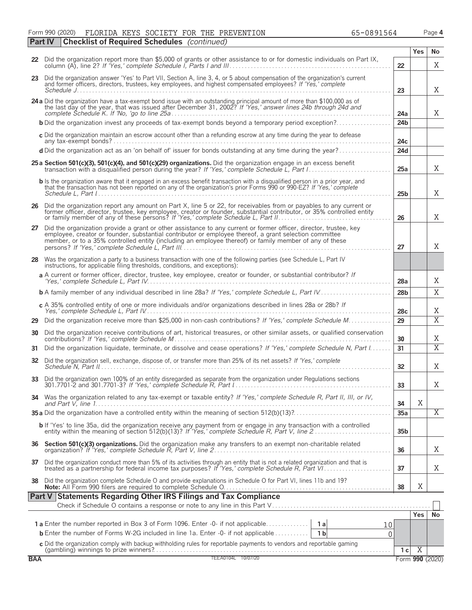Form 990 (2020) FLORIDA KEYS SOCIETY FOR THE PREVENTION 65-0891564 Page **4** FLORIDA KEYS SOCIETY FOR THE PREVENTION 65-0891564

|            | <b>Checklist of Required Schedules</b> (continued)<br>Part IV                                                                                                                                                                                                                                                                                  |                        |                |                 |  |  |  |  |
|------------|------------------------------------------------------------------------------------------------------------------------------------------------------------------------------------------------------------------------------------------------------------------------------------------------------------------------------------------------|------------------------|----------------|-----------------|--|--|--|--|
|            | 22 Did the organization report more than \$5,000 of grants or other assistance to or for domestic individuals on Part IX,                                                                                                                                                                                                                      | 22                     | Yes            | No<br>X         |  |  |  |  |
|            | 23 Did the organization answer 'Yes' to Part VII, Section A, line 3, 4, or 5 about compensation of the organization's current<br>and former officers, directors, trustees, key employees, and highest compensated employees? If 'Yes,' complete                                                                                                |                        |                |                 |  |  |  |  |
|            | 24 a Did the organization have a tax-exempt bond issue with an outstanding principal amount of more than \$100,000 as of the last day of the year, that was issued after December 31, 2002? If 'Yes,' answer lines 24b through                                                                                                                 | 23                     |                | X               |  |  |  |  |
|            | <b>b</b> Did the organization invest any proceeds of tax-exempt bonds beyond a temporary period exception?                                                                                                                                                                                                                                     | 24a<br>24 <sub>b</sub> |                | X               |  |  |  |  |
|            | c Did the organization maintain an escrow account other than a refunding escrow at any time during the year to defease                                                                                                                                                                                                                         |                        |                |                 |  |  |  |  |
|            | d Did the organization act as an 'on behalf of' issuer for bonds outstanding at any time during the year?                                                                                                                                                                                                                                      | 24 <sub>c</sub><br>24d |                |                 |  |  |  |  |
|            | 25 a Section 501(c)(3), 501(c)(4), and 501(c)(29) organizations. Did the organization engage in an excess benefit                                                                                                                                                                                                                              | 25a                    |                | X               |  |  |  |  |
|            | <b>b</b> Is the organization aware that it engaged in an excess benefit transaction with a disqualified person in a prior year, and<br>that the transaction has not been reported on any of the organization's prior Forms 990 or 990-EZ? If 'Yes,' complete                                                                                   | 25 <sub>b</sub>        |                | X               |  |  |  |  |
|            | 26 Did the organization report any amount on Part X, line 5 or 22, for receivables from or payables to any current or former officer, director, trustee, key employee, creator or founder, substantial contributor, or 35% con                                                                                                                 | 26                     |                | X               |  |  |  |  |
|            | 27 Did the organization provide a grant or other assistance to any current or former officer, director, trustee, key<br>employee, creator or founder, substantial contributor or employee thereof, a grant selection committee<br>member, or to a 35% controlled entity (including an employee thereof) or family member of any of these<br>27 |                        |                |                 |  |  |  |  |
| 28         | Was the organization a party to a business transaction with one of the following parties (see Schedule L, Part IV<br>instructions, for applicable filing thresholds, conditions, and exceptions):                                                                                                                                              |                        |                |                 |  |  |  |  |
|            | a A current or former officer, director, trustee, key employee, creator or founder, or substantial contributor? If                                                                                                                                                                                                                             | 28a                    |                | Χ               |  |  |  |  |
|            |                                                                                                                                                                                                                                                                                                                                                | 28 <sub>b</sub>        |                | X               |  |  |  |  |
|            | c A 35% controlled entity of one or more individuals and/or organizations described in lines 28a or 28b? If                                                                                                                                                                                                                                    | 28c                    |                | Χ               |  |  |  |  |
| 29         | Did the organization receive more than \$25,000 in non-cash contributions? If 'Yes,' complete Schedule M                                                                                                                                                                                                                                       | 29                     |                | $\overline{X}$  |  |  |  |  |
| 30         | Did the organization receive contributions of art, historical treasures, or other similar assets, or qualified conservation                                                                                                                                                                                                                    | 30                     |                | Χ               |  |  |  |  |
| 31         | Did the organization liquidate, terminate, or dissolve and cease operations? If 'Yes,' complete Schedule N, Part I                                                                                                                                                                                                                             | 31                     |                | $\overline{X}$  |  |  |  |  |
| 32         | Did the organization sell, exchange, dispose of, or transfer more than 25% of its net assets? If 'Yes,' complete                                                                                                                                                                                                                               | 32                     |                | X               |  |  |  |  |
| 33         | Did the organization own 100% of an entity disregarded as separate from the organization under Regulations sections                                                                                                                                                                                                                            | 33                     |                | Χ               |  |  |  |  |
|            | 34 Was the organization related to any tax-exempt or taxable entity? If 'Yes,' complete Schedule R, Part II, III, or IV,                                                                                                                                                                                                                       | 34                     | $\mathbf X$    |                 |  |  |  |  |
|            |                                                                                                                                                                                                                                                                                                                                                | 35a                    |                | Χ               |  |  |  |  |
|            | <b>b</b> If 'Yes' to line 35a, did the organization receive any payment from or engage in any transaction with a controlled entity within the meaning of section 512(b)(13)? If 'Yes,' complete Schedule R, Part V, line 2                                                                                                                     | 35 <sub>b</sub>        |                |                 |  |  |  |  |
|            |                                                                                                                                                                                                                                                                                                                                                | 36                     |                | Χ               |  |  |  |  |
|            | 37 Did the organization conduct more than 5% of its activities through an entity that is not a related organization and that is treated as a partnership for federal income tax purposes? If 'Yes,' complete Schedule R, Part                                                                                                                  | 37                     |                | Χ               |  |  |  |  |
|            | 38 Did the organization complete Schedule O and provide explanations in Schedule O for Part VI, lines 11b and 19?                                                                                                                                                                                                                              | 38                     | X              |                 |  |  |  |  |
|            | Part V Statements Regarding Other IRS Filings and Tax Compliance                                                                                                                                                                                                                                                                               |                        |                |                 |  |  |  |  |
|            |                                                                                                                                                                                                                                                                                                                                                |                        | Yes            | No              |  |  |  |  |
|            | 10                                                                                                                                                                                                                                                                                                                                             |                        |                |                 |  |  |  |  |
|            | <b>b</b> Enter the number of Forms W-2G included in line 1a. Enter -0- if not applicable<br>1 <sub>b</sub><br>0                                                                                                                                                                                                                                |                        |                |                 |  |  |  |  |
|            | C Did the organization comply with backup withholding rules for reportable payments to vendors and reportable gaming<br>(gambling) winnings to prize winners?<br>TEEA0104L 10/07/20                                                                                                                                                            | 1 <sub>c</sub>         | $\overline{X}$ |                 |  |  |  |  |
| <b>BAA</b> |                                                                                                                                                                                                                                                                                                                                                |                        |                | Form 990 (2020) |  |  |  |  |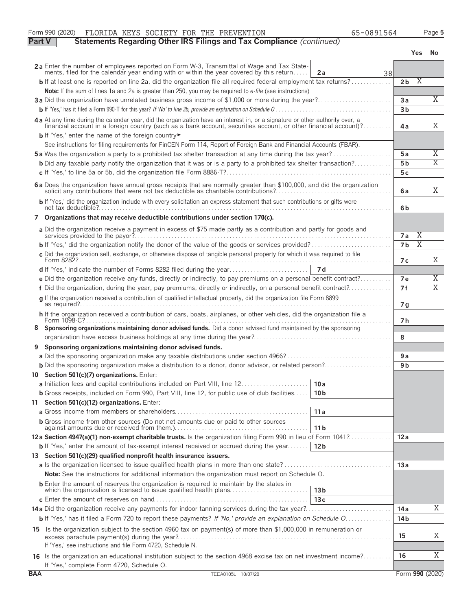|               | Form 990 (2020)<br>FLORIDA KEYS SOCIETY FOR THE PREVENTION<br>65-0891564                                                                                                                                                                         |                 |                         | Page 5                  |
|---------------|--------------------------------------------------------------------------------------------------------------------------------------------------------------------------------------------------------------------------------------------------|-----------------|-------------------------|-------------------------|
| <b>Part V</b> | Statements Regarding Other IRS Filings and Tax Compliance (continued)                                                                                                                                                                            |                 |                         |                         |
|               |                                                                                                                                                                                                                                                  |                 | Yes                     | No.                     |
|               | 2a Enter the number of employees reported on Form W-3, Transmittal of Wage and Tax State-<br>ments, filed for the calendar year ending with or within the year covered by this return<br>2a<br>38                                                |                 |                         |                         |
|               | <b>b</b> If at least one is reported on line 2a, did the organization file all required federal employment tax returns?                                                                                                                          | 2 <sub>b</sub>  | $\overline{\mathrm{X}}$ |                         |
|               | Note: If the sum of lines 1a and 2a is greater than 250, you may be required to e-file (see instructions)                                                                                                                                        |                 |                         |                         |
|               |                                                                                                                                                                                                                                                  | 3a              |                         | X                       |
|               |                                                                                                                                                                                                                                                  | 3 <sub>b</sub>  |                         |                         |
|               | 4a At any time during the calendar year, did the organization have an interest in, or a signature or other authority over, a<br>financial account in a foreign country (such as a bank account, securities account, or other financial account)? | 4a              |                         | X                       |
|               | b If 'Yes,' enter the name of the foreign country                                                                                                                                                                                                |                 |                         |                         |
|               | See instructions for filing requirements for FinCEN Form 114, Report of Foreign Bank and Financial Accounts (FBAR).                                                                                                                              |                 |                         |                         |
|               | <b>5a</b> Was the organization a party to a prohibited tax shelter transaction at any time during the tax year?                                                                                                                                  | 5a              |                         | Χ<br>$\overline{X}$     |
|               | <b>b</b> Did any taxable party notify the organization that it was or is a party to a prohibited tax shelter transaction?                                                                                                                        | 5 <sub>b</sub>  |                         |                         |
|               |                                                                                                                                                                                                                                                  | 5c              |                         |                         |
|               | 6 a Does the organization have annual gross receipts that are normally greater than \$100,000, and did the organization solicit any contributions that were not tax deductible as charitable contributions?                                      | 6a              |                         | X                       |
|               | b If 'Yes,' did the organization include with every solicitation an express statement that such contributions or gifts were                                                                                                                      | 6b              |                         |                         |
|               | 7 Organizations that may receive deductible contributions under section 170(c).                                                                                                                                                                  |                 |                         |                         |
|               | a Did the organization receive a payment in excess of \$75 made partly as a contribution and partly for goods and                                                                                                                                | 7a              | Χ                       |                         |
|               |                                                                                                                                                                                                                                                  | 7b              | Χ                       |                         |
|               | c Did the organization sell, exchange, or otherwise dispose of tangible personal property for which it was required to file                                                                                                                      | 7 с             |                         | X                       |
|               |                                                                                                                                                                                                                                                  |                 |                         |                         |
|               | e Did the organization receive any funds, directly or indirectly, to pay premiums on a personal benefit contract?                                                                                                                                | 7e              |                         | Χ                       |
|               | f Did the organization, during the year, pay premiums, directly or indirectly, on a personal benefit contract?                                                                                                                                   | 7f              |                         | $\overline{\mathrm{X}}$ |
|               | g If the organization received a contribution of qualified intellectual property, did the organization file Form 8899                                                                                                                            | 7 g             |                         |                         |
|               | h If the organization received a contribution of cars, boats, airplanes, or other vehicles, did the organization file a                                                                                                                          | 7 h             |                         |                         |
| 8             | Sponsoring organizations maintaining donor advised funds. Did a donor advised fund maintained by the sponsoring                                                                                                                                  | 8               |                         |                         |
| 9             | Sponsoring organizations maintaining donor advised funds.                                                                                                                                                                                        |                 |                         |                         |
|               |                                                                                                                                                                                                                                                  | 9a              |                         |                         |
|               |                                                                                                                                                                                                                                                  | 9 <sub>b</sub>  |                         |                         |
|               | 10 Section 501(c)(7) organizations. Enter:                                                                                                                                                                                                       |                 |                         |                         |
|               | a Initiation fees and capital contributions included on Part VIII, line 12<br>10a                                                                                                                                                                |                 |                         |                         |
|               | <b>b</b> Gross receipts, included on Form 990, Part VIII, line 12, for public use of club facilities<br>10 <sub>b</sub>                                                                                                                          |                 |                         |                         |
|               | 11 Section 501(c)(12) organizations. Enter:                                                                                                                                                                                                      |                 |                         |                         |
|               | 11a                                                                                                                                                                                                                                              |                 |                         |                         |
|               | <b>b</b> Gross income from other sources (Do not net amounts due or paid to other sources<br>11 <sub>b</sub>                                                                                                                                     |                 |                         |                         |
|               | 12a Section 4947(a)(1) non-exempt charitable trusts. Is the organization filing Form 990 in lieu of Form 1041?                                                                                                                                   | 12a             |                         |                         |
|               | <b>b</b> If 'Yes,' enter the amount of tax-exempt interest received or accrued during the year<br>12 <sub>b</sub>                                                                                                                                |                 |                         |                         |
|               | 13 Section 501(c)(29) qualified nonprofit health insurance issuers.                                                                                                                                                                              |                 |                         |                         |
|               |                                                                                                                                                                                                                                                  | 13a             |                         |                         |
|               | <b>Note:</b> See the instructions for additional information the organization must report on Schedule O.                                                                                                                                         |                 |                         |                         |
|               | <b>b</b> Enter the amount of reserves the organization is required to maintain by the states in<br>which the organization is licensed to issue qualified health plans<br>13 <sub>b</sub>                                                         |                 |                         |                         |
|               | 13c                                                                                                                                                                                                                                              |                 |                         | Χ                       |
|               |                                                                                                                                                                                                                                                  | 14 a            |                         |                         |
|               | <b>b</b> If 'Yes,' has it filed a Form 720 to report these payments? If 'No,' provide an explanation on Schedule O                                                                                                                               | 14 <sub>b</sub> |                         |                         |
|               | 15 Is the organization subject to the section 4960 tax on payment(s) of more than \$1,000,000 in remuneration or                                                                                                                                 | 15              |                         | Χ                       |
|               | If 'Yes,' see instructions and file Form 4720, Schedule N.<br>16 Is the organization an educational institution subject to the section 4968 excise tax on net investment income?                                                                 | 16              |                         | Χ                       |
|               | If 'Yes,' complete Form 4720, Schedule O.                                                                                                                                                                                                        |                 |                         |                         |
| <b>BAA</b>    | TEEA0105L 10/07/20                                                                                                                                                                                                                               |                 |                         | Form 990 (2020)         |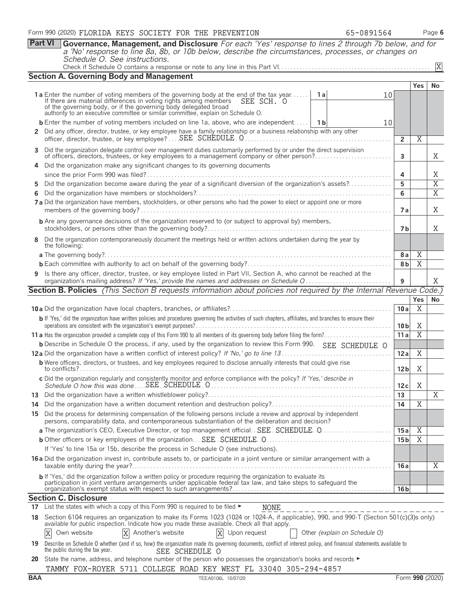|    | <b>Part VI</b><br>Governance, Management, and Disclosure For each 'Yes' response to lines 2 through 7b below, and for                                                                                                                      |                 |                     |                |
|----|--------------------------------------------------------------------------------------------------------------------------------------------------------------------------------------------------------------------------------------------|-----------------|---------------------|----------------|
|    | a 'No' response to line 8a, 8b, or 10b below, describe the circumstances, processes, or changes on<br>Schedule O. See instructions.                                                                                                        |                 |                     |                |
|    |                                                                                                                                                                                                                                            |                 |                     | X              |
|    | <b>Section A. Governing Body and Management</b>                                                                                                                                                                                            |                 |                     |                |
|    |                                                                                                                                                                                                                                            |                 | <b>Yes</b>          | No             |
|    | <b>1a</b> Enter the number of voting members of the governing body at the end of the tax year<br>1a<br>10<br>If there are material differences in voting rights among members<br>SEE SCH. O                                                |                 |                     |                |
|    | of the governing body, or if the governing body delegated broad<br>authority to an executive committee or similar committee, explain on Schedule O.                                                                                        |                 |                     |                |
|    | <b>b</b> Enter the number of voting members included on line 1a, above, who are independent 1b<br>10                                                                                                                                       |                 |                     |                |
|    | 2 Did any officer, director, trustee, or key employee have a family relationship or a business relationship with any other                                                                                                                 |                 |                     |                |
|    | officer, director, trustee, or key employee?  SEE SCHEDULE O                                                                                                                                                                               | $\overline{2}$  | Χ                   |                |
| 3  | Did the organization delegate control over management duties customarily performed by or under the direct supervision<br>of officers, directors, trustees, or key employees to a management company or other person?                       | 3               |                     | Χ              |
|    | Did the organization make any significant changes to its governing documents                                                                                                                                                               |                 |                     |                |
|    |                                                                                                                                                                                                                                            | 4               |                     | Χ              |
| 5. | Did the organization become aware during the year of a significant diversion of the organization's assets?                                                                                                                                 | 5               |                     | $\overline{X}$ |
|    |                                                                                                                                                                                                                                            | 6               |                     | $\overline{X}$ |
|    | 7a Did the organization have members, stockholders, or other persons who had the power to elect or appoint one or more                                                                                                                     | 7а              |                     | X              |
|    | <b>b</b> Are any governance decisions of the organization reserved to (or subject to approval by) members,                                                                                                                                 |                 |                     |                |
|    |                                                                                                                                                                                                                                            | 7 <sub>b</sub>  |                     | X              |
| 8  | Did the organization contemporaneously document the meetings held or written actions undertaken during the year by<br>the following:                                                                                                       |                 |                     |                |
|    |                                                                                                                                                                                                                                            | 8a              | $\overline{X}$<br>X |                |
|    | 9 Is there any officer, director, trustee, or key employee listed in Part VII, Section A, who cannot be reached at the                                                                                                                     | 8b              |                     |                |
|    | organization's mailing address? If 'Yes,' provide the names and addresses on Schedule Q                                                                                                                                                    | 9               |                     | Χ              |
|    | <b>Section B. Policies</b> (This Section B requests information about policies not required by the Internal Revenue Code.)                                                                                                                 |                 |                     |                |
|    |                                                                                                                                                                                                                                            |                 | Yes                 | No             |
|    | b If 'Yes,' did the organization have written policies and procedures governing the activities of such chapters, affiliates, and branches to ensure their                                                                                  | 10a             | Χ                   |                |
|    |                                                                                                                                                                                                                                            | 10 <sub>b</sub> | Χ                   |                |
|    |                                                                                                                                                                                                                                            | 11a             | $\overline{X}$      |                |
|    | <b>b</b> Describe in Schedule O the process, if any, used by the organization to review this Form 990. SEE SCHEDULE O                                                                                                                      |                 |                     |                |
|    | <b>b</b> Were officers, directors, or trustees, and key employees required to disclose annually interests that could give rise                                                                                                             | 12a             | X                   |                |
|    | to conflicts?                                                                                                                                                                                                                              | 12 <sub>b</sub> | Χ                   |                |
|    | c Did the organization regularly and consistently monitor and enforce compliance with the policy? If 'Yes,' describe in                                                                                                                    | 12c             | X                   |                |
| 13 |                                                                                                                                                                                                                                            | 13              |                     | $\overline{X}$ |
| 14 |                                                                                                                                                                                                                                            | 14              | Χ                   |                |
|    | 15 Did the process for determining compensation of the following persons include a review and approval by independent<br>persons, comparability data, and contemporaneous substantiation of the deliberation and decision?                 |                 |                     |                |
|    |                                                                                                                                                                                                                                            | 15a             | $\overline{X}$      |                |
|    |                                                                                                                                                                                                                                            | 15 <sub>b</sub> | $\overline{X}$      |                |
|    | If 'Yes' to line 15a or 15b, describe the process in Schedule O (see instructions).<br>16 a Did the organization invest in, contribute assets to, or participate in a joint venture or similar arrangement with a                          |                 |                     |                |
|    |                                                                                                                                                                                                                                            | 16 a            |                     | X              |
|    | b If 'Yes,' did the organization follow a written policy or procedure requiring the organization to evaluate its<br>participation in joint venture arrangements under applicable federal tax law, and take steps to safeguard the          | 16 <sub>b</sub> |                     |                |
|    | <b>Section C. Disclosure</b>                                                                                                                                                                                                               |                 |                     |                |
| 17 | List the states with which a copy of this Form 990 is required to be filed ►<br>NONE                                                                                                                                                       |                 |                     |                |
|    | 18 Section 6104 requires an organization to make its Forms 1023 (1024 or 1024-A, if applicable), 990, and 990-T (Section 501(c)(3)s only)<br>available for public inspection. Indicate how you made these available. Check all that apply. |                 |                     |                |
|    | X Another's website<br>X Upon request<br>Other (explain on Schedule O)<br>X<br>Own website                                                                                                                                                 |                 |                     |                |
|    | 19 Describe on Schedule O whether (and if so, how) the organization made its governing documents, conflict of interest policy, and financial statements available to<br>the public during the tax year.<br>SEE SCHEDULE O                  |                 |                     |                |
| 20 | State the name, address, and telephone number of the person who possesses the organization's books and records ►                                                                                                                           |                 |                     |                |
|    | TAMMY FOX-ROYER 5711 COLLEGE ROAD KEY WEST FL 33040 305-294-4857                                                                                                                                                                           |                 |                     |                |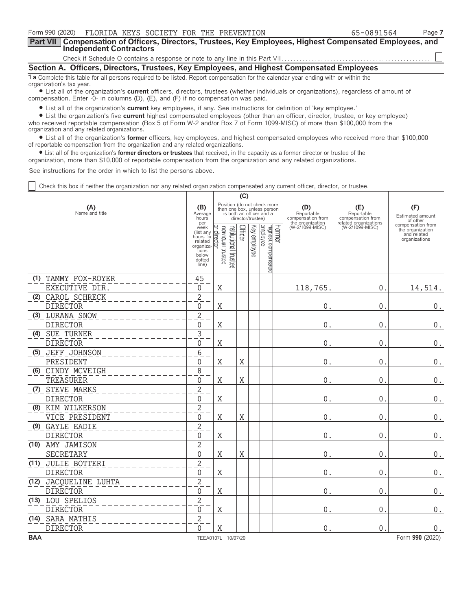| Form 990 (2020)  FLORIDA KEYS SOCIETY FOR THE PREVENTION                                                                                                              | 65-0891564 | Page 7 |  |  |  |  |  |  |
|-----------------------------------------------------------------------------------------------------------------------------------------------------------------------|------------|--------|--|--|--|--|--|--|
| Part VII   Compensation of Officers, Directors, Trustees, Key Employees, Highest Compensated Employees, and<br><b>Independent Contractors</b>                         |            |        |  |  |  |  |  |  |
|                                                                                                                                                                       |            |        |  |  |  |  |  |  |
| Section A. Officers, Directors, Trustees, Key Employees, and Highest Compensated Employees                                                                            |            |        |  |  |  |  |  |  |
| <b>1 a</b> Complete this table for all persons required to be listed. Report compensation for the calendar year ending with or within the<br>organization's tax year. |            |        |  |  |  |  |  |  |

? List all of the organization's **current** officers, directors, trustees (whether individuals or organizations), regardless of amount of compensation. Enter -0- in columns (D), (E), and (F) if no compensation was paid.

? List all of the organization's **current** key employees, if any. See instructions for definition of 'key employee.'

? List the organization's five **current** highest compensated employees (other than an officer, director, trustee, or key employee) who received reportable compensation (Box 5 of Form W-2 and/or Box 7 of Form 1099-MISC) of more than \$100,000 from the organization and any related organizations.

? List all of the organization's **former** officers, key employees, and highest compensated employees who received more than \$100,000 of reportable compensation from the organization and any related organizations.

? List all of the organization's **former directors or trustees** that received, in the capacity as a former director or trustee of the

organization, more than \$10,000 of reportable compensation from the organization and any related organizations.

See instructions for the order in which to list the persons above.

Check this box if neither the organization nor any related organization compensated any current officer, director, or trustee.

|            |                                    |                                                                                                   |                                                                                                                                 |                                 | (C)     |              |                                 |        |                                                            |                                                                 |                                                                       |
|------------|------------------------------------|---------------------------------------------------------------------------------------------------|---------------------------------------------------------------------------------------------------------------------------------|---------------------------------|---------|--------------|---------------------------------|--------|------------------------------------------------------------|-----------------------------------------------------------------|-----------------------------------------------------------------------|
|            | (A)<br>Name and title              |                                                                                                   | Position (do not check more<br>than one box, unless person<br>is both an officer and a<br>Average<br>director/trustee)<br>hours |                                 |         |              |                                 |        | (D)<br>Reportable<br>compensation from<br>the organization | (E)<br>Reportable<br>compensation from<br>related organizations | (F)<br>Estimated amount<br>of other                                   |
|            |                                    | per<br>week<br>(list any<br>hours for<br>related<br>organiza<br>tions<br>below<br>dotted<br>line) | ndividual trustee<br>direct<br>₫                                                                                                | Institutional<br><b>trustee</b> | Officer | Key employee | employee<br>Highest compensated | Former | (W-2/1099-MISC)                                            | (W-2/1099-MISC)                                                 | compensation from<br>the organization<br>and related<br>organizations |
|            | (1) TAMMY FOX-ROYER                | 45                                                                                                |                                                                                                                                 |                                 |         |              |                                 |        |                                                            |                                                                 |                                                                       |
|            | EXECUTIVE DIR.                     | $\mathbf{0}$                                                                                      | X                                                                                                                               |                                 |         |              |                                 |        | 118,765.                                                   | 0.                                                              | 14,514.                                                               |
|            | (2) CAROL SCHRECK                  | $\overline{2}$                                                                                    |                                                                                                                                 |                                 |         |              |                                 |        |                                                            |                                                                 |                                                                       |
|            | <b>DIRECTOR</b>                    | $\Omega$                                                                                          | $\rm X$                                                                                                                         |                                 |         |              |                                 |        | 0                                                          | $\mathbf 0$                                                     | $\boldsymbol{0}$ .                                                    |
|            | (3) LURANA SNOW<br><b>DIRECTOR</b> | $\overline{2}$<br>$\Omega$                                                                        | $\rm X$                                                                                                                         |                                 |         |              |                                 |        | 0                                                          | $\mathbf 0$                                                     | $0$ .                                                                 |
|            | (4) SUE TURNER                     | $\overline{3}$                                                                                    |                                                                                                                                 |                                 |         |              |                                 |        |                                                            |                                                                 |                                                                       |
|            | <b>DIRECTOR</b>                    | $\Omega$                                                                                          | X                                                                                                                               |                                 |         |              |                                 |        | 0                                                          | $\mathbf 0$                                                     | $0$ .                                                                 |
|            | (5) JEFF JOHNSON                   | 6                                                                                                 |                                                                                                                                 |                                 |         |              |                                 |        |                                                            |                                                                 |                                                                       |
|            | PRESIDENT                          | $\Omega$                                                                                          | X                                                                                                                               |                                 | X       |              |                                 |        | 0                                                          | $\mathbf 0$                                                     | $\boldsymbol{0}$ .                                                    |
|            | (6) CINDY MCVEIGH                  | 8                                                                                                 |                                                                                                                                 |                                 |         |              |                                 |        |                                                            |                                                                 |                                                                       |
|            | TREASURER                          | $\Omega$                                                                                          | X                                                                                                                               |                                 | X       |              |                                 |        | $\mathbf{0}$                                               | $\mathbf 0$                                                     | $\boldsymbol{0}$ .                                                    |
| (7)        | <b>STEVE MARKS</b>                 | $\sqrt{2}$                                                                                        |                                                                                                                                 |                                 |         |              |                                 |        |                                                            |                                                                 |                                                                       |
|            | <b>DIRECTOR</b>                    | $\Omega$                                                                                          | $\mathbf X$                                                                                                                     |                                 |         |              |                                 |        | $\mathbf{0}$                                               | $\mathbf{0}$                                                    | $\boldsymbol{0}$ .                                                    |
|            | (8) KIM WILKERSON                  | $\overline{c}$                                                                                    |                                                                                                                                 |                                 |         |              |                                 |        |                                                            |                                                                 |                                                                       |
|            | VICE PRESIDENT                     | $\Omega$                                                                                          | Χ                                                                                                                               |                                 | X       |              |                                 |        | 0                                                          | $\mathbf 0$                                                     | 0.                                                                    |
|            | (9) GAYLE EADIE                    | $\overline{2}$                                                                                    |                                                                                                                                 |                                 |         |              |                                 |        |                                                            |                                                                 |                                                                       |
|            | <b>DIRECTOR</b>                    | $\Omega$                                                                                          | X                                                                                                                               |                                 |         |              |                                 |        | 0                                                          | $\mathbf{0}$                                                    | 0.                                                                    |
|            | (10) AMY JAMISON                   | $\overline{c}$                                                                                    |                                                                                                                                 |                                 |         |              |                                 |        |                                                            |                                                                 |                                                                       |
|            | <b>SECRETARY</b>                   | $\mathbf{0}$                                                                                      | X                                                                                                                               |                                 | X       |              |                                 |        | $\mathbf 0$                                                | $\mathbf{0}$ .                                                  | $\boldsymbol{0}$ .                                                    |
|            | (11) JULIE BOTTERI                 | $\overline{c}$                                                                                    |                                                                                                                                 |                                 |         |              |                                 |        |                                                            |                                                                 |                                                                       |
|            | <b>DIRECTOR</b>                    | 0                                                                                                 | Χ                                                                                                                               |                                 |         |              |                                 |        | $\boldsymbol{0}$                                           | $\mathsf 0$                                                     | $0$ .                                                                 |
| (12)       | JACQUELINE LUHTA                   | $\overline{c}$                                                                                    |                                                                                                                                 |                                 |         |              |                                 |        |                                                            |                                                                 |                                                                       |
|            | <b>DIRECTOR</b>                    | $\mathbf{0}$                                                                                      | X                                                                                                                               |                                 |         |              |                                 |        | $\mathbf{0}$                                               | $\mathbf 0$                                                     | 0.                                                                    |
|            | (13) LOU SPELIOS                   | $\overline{2}$                                                                                    |                                                                                                                                 |                                 |         |              |                                 |        |                                                            |                                                                 |                                                                       |
|            | <b>DIRECTOR</b>                    | $\Omega$                                                                                          | X                                                                                                                               |                                 |         |              |                                 |        | $\mathbf{0}$                                               | $\mathbf 0$                                                     | 0.                                                                    |
|            | (14) SARA MATHIS                   | $\overline{2}$                                                                                    |                                                                                                                                 |                                 |         |              |                                 |        |                                                            |                                                                 |                                                                       |
|            | <b>DIRECTOR</b>                    | $\Omega$                                                                                          | Χ                                                                                                                               |                                 |         |              |                                 |        | $\Omega$                                                   | $\mathbf{0}$                                                    | 0.                                                                    |
| <b>BAA</b> |                                    | TEEA0107L 10/07/20                                                                                |                                                                                                                                 |                                 |         |              |                                 |        |                                                            |                                                                 | Form 990 (2020)                                                       |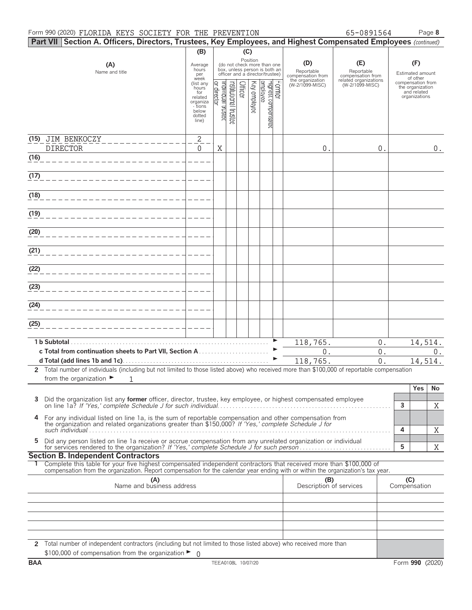#### Form 990 (2020) FLORIDA KEYS SOCIETY FOR THE PREVENTION 65-0891564 Page 8

|  | 65-0891564 |  |
|--|------------|--|

|      | Part VII Section A. Officers, Directors, Trustees, Key Employees, and Highest Compensated Employees (continued)                                                                                                                                                                                     |                                                                            |                               |                      |         |              |                                                                                                             |                               |                                                                               |                                                                 |                                                          |                  |
|------|-----------------------------------------------------------------------------------------------------------------------------------------------------------------------------------------------------------------------------------------------------------------------------------------------------|----------------------------------------------------------------------------|-------------------------------|----------------------|---------|--------------|-------------------------------------------------------------------------------------------------------------|-------------------------------|-------------------------------------------------------------------------------|-----------------------------------------------------------------|----------------------------------------------------------|------------------|
|      |                                                                                                                                                                                                                                                                                                     | (B)                                                                        |                               |                      | (C)     |              |                                                                                                             |                               |                                                                               |                                                                 |                                                          |                  |
|      | (A)<br>Name and title                                                                                                                                                                                                                                                                               | Average<br>hours<br>per<br>week<br>(list any                               |                               |                      |         |              | Position<br>(do not check more than one<br>box, unless person is both an<br>officer and a director/trustee) |                               | (D)<br>Reportable<br>compensation from<br>the organization<br>(W-2/1099-MISC) | (E)<br>Reportable<br>compensation from<br>related organizations | (F)<br>Estimated amount<br>of other<br>compensation from |                  |
|      |                                                                                                                                                                                                                                                                                                     | hours<br>for<br>related<br>organiza<br>- tions<br>below<br>dotted<br>line) | ndividual trustee<br>director | nstitutional trustee | Officer | Key employee | employee                                                                                                    | Farmer<br>Highest compensated |                                                                               | (W-2/1099-MISC)                                                 | the organization<br>and related<br>organizations         |                  |
|      | (15) JIM BENKOCZY                                                                                                                                                                                                                                                                                   | $\mathbf{2}$                                                               |                               |                      |         |              |                                                                                                             |                               |                                                                               |                                                                 |                                                          |                  |
|      | <b>DIRECTOR</b>                                                                                                                                                                                                                                                                                     | $\mathbf{0}$                                                               | X                             |                      |         |              |                                                                                                             |                               | 0.                                                                            | $0$ .                                                           |                                                          | $0$ .            |
| (16) |                                                                                                                                                                                                                                                                                                     |                                                                            |                               |                      |         |              |                                                                                                             |                               |                                                                               |                                                                 |                                                          |                  |
| (17) |                                                                                                                                                                                                                                                                                                     |                                                                            |                               |                      |         |              |                                                                                                             |                               |                                                                               |                                                                 |                                                          |                  |
| (18) |                                                                                                                                                                                                                                                                                                     |                                                                            |                               |                      |         |              |                                                                                                             |                               |                                                                               |                                                                 |                                                          |                  |
| (19) |                                                                                                                                                                                                                                                                                                     |                                                                            |                               |                      |         |              |                                                                                                             |                               |                                                                               |                                                                 |                                                          |                  |
| (20) |                                                                                                                                                                                                                                                                                                     |                                                                            |                               |                      |         |              |                                                                                                             |                               |                                                                               |                                                                 |                                                          |                  |
| (21) |                                                                                                                                                                                                                                                                                                     |                                                                            |                               |                      |         |              |                                                                                                             |                               |                                                                               |                                                                 |                                                          |                  |
| (22) |                                                                                                                                                                                                                                                                                                     |                                                                            |                               |                      |         |              |                                                                                                             |                               |                                                                               |                                                                 |                                                          |                  |
| (23) |                                                                                                                                                                                                                                                                                                     |                                                                            |                               |                      |         |              |                                                                                                             |                               |                                                                               |                                                                 |                                                          |                  |
| (24) |                                                                                                                                                                                                                                                                                                     |                                                                            |                               |                      |         |              |                                                                                                             |                               |                                                                               |                                                                 |                                                          |                  |
| (25) |                                                                                                                                                                                                                                                                                                     |                                                                            |                               |                      |         |              |                                                                                                             |                               |                                                                               |                                                                 |                                                          |                  |
|      | 1 b Subtotal.                                                                                                                                                                                                                                                                                       |                                                                            |                               |                      |         |              |                                                                                                             |                               | 118,765.                                                                      | $0$ .                                                           |                                                          | 14,514.          |
|      |                                                                                                                                                                                                                                                                                                     |                                                                            |                               |                      |         |              |                                                                                                             |                               | $0$ .<br>118,765.                                                             | $0$ .<br>0.                                                     |                                                          | $0$ .<br>14,514. |
|      | 2 Total number of individuals (including but not limited to those listed above) who received more than \$100,000 of reportable compensation                                                                                                                                                         |                                                                            |                               |                      |         |              |                                                                                                             |                               |                                                                               |                                                                 |                                                          |                  |
|      | from the organization $\blacktriangleright$<br>$\mathbf{1}$                                                                                                                                                                                                                                         |                                                                            |                               |                      |         |              |                                                                                                             |                               |                                                                               |                                                                 | <b>Yes</b>                                               | No               |
| 3    | Did the organization list any <b>former</b> officer, director, trustee, key employee, or highest compensated employee                                                                                                                                                                               |                                                                            |                               |                      |         |              |                                                                                                             |                               |                                                                               |                                                                 | 3                                                        |                  |
| 4    | For any individual listed on line 1a, is the sum of reportable compensation and other compensation from the organization and related organizations greater than \$150,000? If 'Yes,' complete Schedule J for                                                                                        |                                                                            |                               |                      |         |              |                                                                                                             |                               |                                                                               |                                                                 |                                                          | X                |
| 5    | Did any person listed on line 1a receive or accrue compensation from any unrelated organization or individual                                                                                                                                                                                       |                                                                            |                               |                      |         |              |                                                                                                             |                               |                                                                               |                                                                 | 4                                                        | X                |
|      |                                                                                                                                                                                                                                                                                                     |                                                                            |                               |                      |         |              |                                                                                                             |                               |                                                                               |                                                                 | 5                                                        | X                |
|      | <b>Section B. Independent Contractors</b><br>Complete this table for your five highest compensated independent contractors that received more than \$100,000 of<br>compensation from the organization. Report compensation for the calendar year ending with or within the organization's tax year. |                                                                            |                               |                      |         |              |                                                                                                             |                               |                                                                               |                                                                 |                                                          |                  |
|      | (A)<br>Name and business address                                                                                                                                                                                                                                                                    |                                                                            |                               |                      |         |              |                                                                                                             |                               | (B)<br>Description of services                                                |                                                                 | (C)<br>Compensation                                      |                  |
|      |                                                                                                                                                                                                                                                                                                     |                                                                            |                               |                      |         |              |                                                                                                             |                               |                                                                               |                                                                 |                                                          |                  |
|      |                                                                                                                                                                                                                                                                                                     |                                                                            |                               |                      |         |              |                                                                                                             |                               |                                                                               |                                                                 |                                                          |                  |
|      |                                                                                                                                                                                                                                                                                                     |                                                                            |                               |                      |         |              |                                                                                                             |                               |                                                                               |                                                                 |                                                          |                  |
|      | 2 Total number of independent contractors (including but not limited to those listed above) who received more than<br>\$100,000 of compensation from the organization ▶ 0                                                                                                                           |                                                                            |                               |                      |         |              |                                                                                                             |                               |                                                                               |                                                                 |                                                          |                  |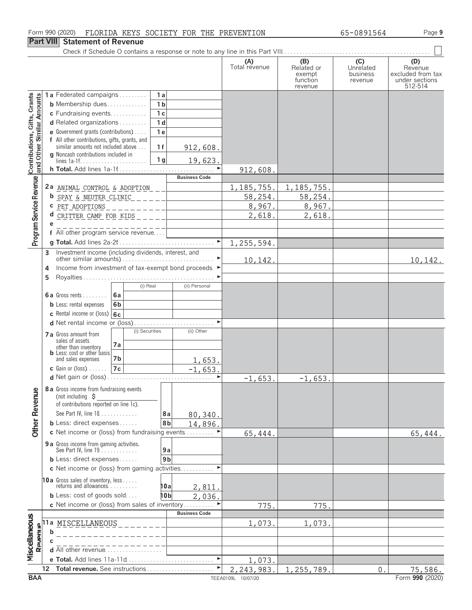#### Form 990 (2020) FLORIDA KEYS SOCIETY FOR THE PREVENTION 65-0891564 Page **9**

# **Part VIII Statement of Revenue**

|                                                           |                                                |                                                                                                      |                      |                      | (A)<br>Total revenue | (B)<br>Related or<br>exempt<br>function<br>revenue | (C)<br>Unrelated<br>business<br>revenue | (D)<br>Revenue<br>excluded from tax<br>under sections<br>512-514 |
|-----------------------------------------------------------|------------------------------------------------|------------------------------------------------------------------------------------------------------|----------------------|----------------------|----------------------|----------------------------------------------------|-----------------------------------------|------------------------------------------------------------------|
|                                                           |                                                | 1a Federated campaigns                                                                               | 1a                   |                      |                      |                                                    |                                         |                                                                  |
| Contributions, Gifts, Grants<br>and Other Similar Amounts |                                                | <b>b</b> Membership dues                                                                             | 1 <sub>b</sub>       |                      |                      |                                                    |                                         |                                                                  |
|                                                           |                                                | c Fundraising events                                                                                 | 1 <sub>c</sub>       |                      |                      |                                                    |                                         |                                                                  |
|                                                           |                                                | d Related organizations                                                                              | 1 <sub>d</sub>       |                      |                      |                                                    |                                         |                                                                  |
|                                                           |                                                | <b>e</b> Government grants (contributions) $\ldots$<br>f All other contributions, gifts, grants, and | 1 <sub>e</sub>       |                      |                      |                                                    |                                         |                                                                  |
|                                                           |                                                | similar amounts not included above                                                                   | 1f                   | 912,608.             |                      |                                                    |                                         |                                                                  |
|                                                           |                                                | g Noncash contributions included in                                                                  |                      |                      |                      |                                                    |                                         |                                                                  |
|                                                           |                                                | lines $1a-1f$                                                                                        | 1 <sub>q</sub>       | 19,623.              |                      |                                                    |                                         |                                                                  |
|                                                           |                                                |                                                                                                      |                      | <b>Business Code</b> | 912,608              |                                                    |                                         |                                                                  |
| Program Service Revenue                                   |                                                | 2a ANIMAL CONTROL & ADOPTION                                                                         |                      |                      | 1, 185, 755.         | 1, 185, 755.                                       |                                         |                                                                  |
|                                                           |                                                | <b>b</b> SPAY & NEUTER CLINIC                                                                        | ات کا ک              |                      | 58,254.              | 58,254.                                            |                                         |                                                                  |
|                                                           |                                                | C PET ADOPTIONS<br>$\begin{tabular}{cc} - & - & - & - \\ - & - & - & - \\ \end{tabular}$             |                      |                      | 8,967.               | 8,967.                                             |                                         |                                                                  |
|                                                           |                                                | $d$ CRITTER CAMP FOR KIDS $\_\_$                                                                     |                      |                      | 2,618.               | 2,618.                                             |                                         |                                                                  |
|                                                           | e                                              |                                                                                                      |                      |                      |                      |                                                    |                                         |                                                                  |
|                                                           |                                                | f All other program service revenue                                                                  |                      |                      |                      |                                                    |                                         |                                                                  |
|                                                           |                                                |                                                                                                      |                      |                      | 1,255,594.           |                                                    |                                         |                                                                  |
|                                                           | 3                                              | Investment income (including dividends, interest, and                                                |                      |                      |                      |                                                    |                                         |                                                                  |
|                                                           | 4                                              | Income from investment of tax-exempt bond proceeds ▶                                                 |                      |                      | 10,142.              |                                                    |                                         | 10, 142.                                                         |
|                                                           | 5                                              |                                                                                                      |                      |                      |                      |                                                    |                                         |                                                                  |
|                                                           |                                                |                                                                                                      | (i) Real             | (ii) Personal        |                      |                                                    |                                         |                                                                  |
|                                                           |                                                | 6a<br><b>6a</b> Gross rents $\ldots$                                                                 |                      |                      |                      |                                                    |                                         |                                                                  |
|                                                           |                                                | 6 <sub>b</sub><br><b>b</b> Less: rental expenses                                                     |                      |                      |                      |                                                    |                                         |                                                                  |
|                                                           |                                                | <b>c</b> Rental income or (loss) $ 6c $                                                              |                      |                      |                      |                                                    |                                         |                                                                  |
|                                                           |                                                | d Net rental income or (loss)                                                                        |                      |                      |                      |                                                    |                                         |                                                                  |
|                                                           | (i) Securities<br><b>7 a</b> Gross amount from |                                                                                                      | (ii) Other           |                      |                      |                                                    |                                         |                                                                  |
|                                                           | sales of assets<br>7a<br>other than inventory  |                                                                                                      |                      |                      |                      |                                                    |                                         |                                                                  |
|                                                           |                                                | <b>b</b> Less: cost or other basis                                                                   |                      |                      |                      |                                                    |                                         |                                                                  |
|                                                           |                                                | 7b<br>and sales expenses<br>7c                                                                       |                      | 1,653.               |                      |                                                    |                                         |                                                                  |
|                                                           |                                                | $c$ Gain or (loss) $\ldots$ .                                                                        |                      | $-1,653.$            | $-1,653.$            | $-1,653.$                                          |                                         |                                                                  |
|                                                           |                                                | 8 a Gross income from fundraising events                                                             |                      |                      |                      |                                                    |                                         |                                                                  |
| Other Revenue                                             |                                                | (not including $\sharp$                                                                              |                      |                      |                      |                                                    |                                         |                                                                  |
|                                                           |                                                | of contributions reported on line 1c).                                                               |                      |                      |                      |                                                    |                                         |                                                                  |
|                                                           |                                                | See Part IV, line 18                                                                                 | 8а                   | 80,340.              |                      |                                                    |                                         |                                                                  |
|                                                           |                                                | <b>b</b> Less: direct expenses                                                                       | 8b                   | 14,896.              |                      |                                                    |                                         |                                                                  |
|                                                           |                                                | c Net income or (loss) from fundraising events                                                       |                      |                      | 65,444.              |                                                    |                                         | 65,444.                                                          |
|                                                           |                                                | 9 a Gross income from gaming activities.                                                             |                      |                      |                      |                                                    |                                         |                                                                  |
|                                                           |                                                | See Part IV, line 19                                                                                 | 9a<br>9 <sub>b</sub> |                      |                      |                                                    |                                         |                                                                  |
|                                                           |                                                | <b>b</b> Less: direct expenses $\ldots$<br>c Net income or (loss) from gaming activities             |                      |                      |                      |                                                    |                                         |                                                                  |
|                                                           |                                                |                                                                                                      |                      |                      |                      |                                                    |                                         |                                                                  |
|                                                           |                                                | <b>10a</b> Gross sales of inventory, less<br>returns and allowances.                                 | 10a                  | 2,811                |                      |                                                    |                                         |                                                                  |
|                                                           |                                                | <b>b</b> Less: cost of goods sold                                                                    | 10 bl                | 2,036.               |                      |                                                    |                                         |                                                                  |
|                                                           |                                                | c Net income or (loss) from sales of inventory                                                       |                      |                      | 775.                 | 775.                                               |                                         |                                                                  |
|                                                           |                                                |                                                                                                      |                      | <b>Business Code</b> |                      |                                                    |                                         |                                                                  |
|                                                           | 11 a                                           | MISCELLANEOUS                                                                                        |                      |                      | 1,073                | 1,073                                              |                                         |                                                                  |
|                                                           | h                                              |                                                                                                      |                      |                      |                      |                                                    |                                         |                                                                  |
| Miscellaneous<br>Reven                                    |                                                | <b>d</b> All other revenue $\ldots \ldots \ldots \ldots \ldots$                                      |                      |                      |                      |                                                    |                                         |                                                                  |
|                                                           |                                                |                                                                                                      |                      |                      | 1,073.               |                                                    |                                         |                                                                  |
|                                                           | 12                                             | Total revenue. See instructions                                                                      |                      |                      | 2,243,983.           | 1,255,789.                                         | 0.                                      | 75,586.                                                          |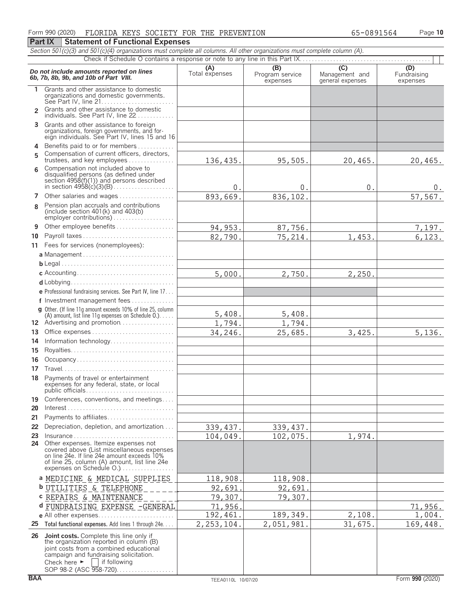| Section 501(c)(3) and 501(c)(4) organizations must complete all columns. All other organizations must complete column (A). |                                                                                                                                                                                                                                                                                                    |                       |                                    |                                                                 |                                |  |  |  |  |  |  |
|----------------------------------------------------------------------------------------------------------------------------|----------------------------------------------------------------------------------------------------------------------------------------------------------------------------------------------------------------------------------------------------------------------------------------------------|-----------------------|------------------------------------|-----------------------------------------------------------------|--------------------------------|--|--|--|--|--|--|
|                                                                                                                            |                                                                                                                                                                                                                                                                                                    |                       |                                    |                                                                 |                                |  |  |  |  |  |  |
|                                                                                                                            | Do not include amounts reported on lines<br>6b, 7b, 8b, 9b, and 10b of Part VIII.                                                                                                                                                                                                                  | (A)<br>Total expenses | (B)<br>Program service<br>expenses | $\overline{(\mathsf{C})}$<br>Management and<br>general expenses | (D)<br>Fundraising<br>expenses |  |  |  |  |  |  |
| 1.                                                                                                                         | Grants and other assistance to domestic<br>organizations and domestic governments.                                                                                                                                                                                                                 |                       |                                    |                                                                 |                                |  |  |  |  |  |  |
| $\mathfrak{p}$                                                                                                             | Grants and other assistance to domestic<br>individuals. See Part IV, line 22                                                                                                                                                                                                                       |                       |                                    |                                                                 |                                |  |  |  |  |  |  |
| 3                                                                                                                          | Grants and other assistance to foreign<br>organizations, foreign governments, and foreign individuals. See Part IV, lines 15 and 16                                                                                                                                                                |                       |                                    |                                                                 |                                |  |  |  |  |  |  |
| 4<br>5                                                                                                                     | Benefits paid to or for members<br>Compensation of current officers, directors,<br>trustees, and key employees                                                                                                                                                                                     | 136,435.              | 95,505.                            | 20,465.                                                         | 20,465.                        |  |  |  |  |  |  |
| 6                                                                                                                          | Compensation not included above to<br>disqualified persons (as defined under<br>section $4958(f)(1)$ and persons described                                                                                                                                                                         | 0.                    | 0.                                 | 0.                                                              | $0$ .                          |  |  |  |  |  |  |
|                                                                                                                            | 7 Other salaries and wages                                                                                                                                                                                                                                                                         | 893,669.              | 836,102.                           |                                                                 | 57,567.                        |  |  |  |  |  |  |
| 8                                                                                                                          | Pension plan accruals and contributions<br>(include section $401(k)$ and $403(b)$ )<br>employer contributions)                                                                                                                                                                                     |                       |                                    |                                                                 |                                |  |  |  |  |  |  |
| 9                                                                                                                          | Other employee benefits                                                                                                                                                                                                                                                                            | 94, 953.              | 87,756.                            |                                                                 | 7,197.                         |  |  |  |  |  |  |
| 10                                                                                                                         | Payroll taxes                                                                                                                                                                                                                                                                                      | 82,790.               | 75,214.                            | 1,453.                                                          | 6, 123.                        |  |  |  |  |  |  |
|                                                                                                                            | 11 Fees for services (nonemployees):                                                                                                                                                                                                                                                               |                       |                                    |                                                                 |                                |  |  |  |  |  |  |
|                                                                                                                            |                                                                                                                                                                                                                                                                                                    |                       |                                    |                                                                 |                                |  |  |  |  |  |  |
|                                                                                                                            |                                                                                                                                                                                                                                                                                                    |                       |                                    |                                                                 |                                |  |  |  |  |  |  |
|                                                                                                                            |                                                                                                                                                                                                                                                                                                    | 5,000.                | 2,750.                             | 2, 250.                                                         |                                |  |  |  |  |  |  |
|                                                                                                                            |                                                                                                                                                                                                                                                                                                    |                       |                                    |                                                                 |                                |  |  |  |  |  |  |
|                                                                                                                            | e Professional fundraising services. See Part IV, line 17                                                                                                                                                                                                                                          |                       |                                    |                                                                 |                                |  |  |  |  |  |  |
|                                                                                                                            | f Investment management fees                                                                                                                                                                                                                                                                       |                       |                                    |                                                                 |                                |  |  |  |  |  |  |
|                                                                                                                            | g Other. (If line 11q amount exceeds 10% of line 25, column<br>(A) amount, list line 11g expenses on Schedule $0.$ )                                                                                                                                                                               | 5,408.                | 5,408.                             |                                                                 |                                |  |  |  |  |  |  |
|                                                                                                                            | 12 Advertising and promotion                                                                                                                                                                                                                                                                       | 1,794.                | 1,794.                             |                                                                 |                                |  |  |  |  |  |  |
| 13                                                                                                                         |                                                                                                                                                                                                                                                                                                    | 34,246.               | 25,685.                            | 3,425.                                                          | 5,136.                         |  |  |  |  |  |  |
| 14                                                                                                                         | Information technology                                                                                                                                                                                                                                                                             |                       |                                    |                                                                 |                                |  |  |  |  |  |  |
| 15                                                                                                                         |                                                                                                                                                                                                                                                                                                    |                       |                                    |                                                                 |                                |  |  |  |  |  |  |
| 16                                                                                                                         | Occupancy                                                                                                                                                                                                                                                                                          |                       |                                    |                                                                 |                                |  |  |  |  |  |  |
| 17                                                                                                                         |                                                                                                                                                                                                                                                                                                    |                       |                                    |                                                                 |                                |  |  |  |  |  |  |
| 18                                                                                                                         | Payments of travel or entertainment<br>expenses for any federal, state, or local                                                                                                                                                                                                                   |                       |                                    |                                                                 |                                |  |  |  |  |  |  |
| 19<br>20                                                                                                                   | Conferences, conventions, and meetings                                                                                                                                                                                                                                                             |                       |                                    |                                                                 |                                |  |  |  |  |  |  |
| 21                                                                                                                         | Payments to affiliates                                                                                                                                                                                                                                                                             |                       |                                    |                                                                 |                                |  |  |  |  |  |  |
| 22                                                                                                                         | Depreciation, depletion, and amortization                                                                                                                                                                                                                                                          | 339, 437.             | 339, 437.                          |                                                                 |                                |  |  |  |  |  |  |
| 23<br>24                                                                                                                   | $insurance \ldots \ldots \ldots \ldots \ldots \ldots \ldots \ldots \ldots \ldots$<br>Other expenses. Itemize expenses not<br>covered above (List miscellaneous expenses<br>on line 24e. If line 24e amount exceeds 10%<br>of line 25, column (A) amount, list line 24e<br>expenses on Schedule O.) | 104,049.              | 102,075.                           | 1,974.                                                          |                                |  |  |  |  |  |  |
|                                                                                                                            | a MEDICINE & MEDICAL SUPPLIES                                                                                                                                                                                                                                                                      | 118,908.              | 118,908                            |                                                                 |                                |  |  |  |  |  |  |
|                                                                                                                            | <b>b</b> UTILITIES & TELEPHONE                                                                                                                                                                                                                                                                     | 92,691                | 92,691                             |                                                                 |                                |  |  |  |  |  |  |
|                                                                                                                            | C REPAIRS & MAINTENANCE                                                                                                                                                                                                                                                                            | 79,307                | 79,307                             |                                                                 |                                |  |  |  |  |  |  |
|                                                                                                                            | d FUNDRAISING EXPENSE -GENERAL                                                                                                                                                                                                                                                                     | 71,956.               |                                    |                                                                 | 71,956.                        |  |  |  |  |  |  |
|                                                                                                                            | e All other expenses                                                                                                                                                                                                                                                                               | 192,461.              | 189,349.                           | 2,108.                                                          | 1,004.                         |  |  |  |  |  |  |
| 25                                                                                                                         | Total functional expenses. Add lines 1 through 24e.                                                                                                                                                                                                                                                | 2, 253, 104.          | 2,051,981.                         | 31,675.                                                         | 169,448.                       |  |  |  |  |  |  |
|                                                                                                                            | 26 Joint costs. Complete this line only if<br>the organization reported in column (B)<br>joint costs from a combined educational<br>campaign and fundraising solicitation.<br>Check here $\blacktriangleright$   if following<br>SOP 98-2 (ASC 958-720).                                           |                       |                                    |                                                                 |                                |  |  |  |  |  |  |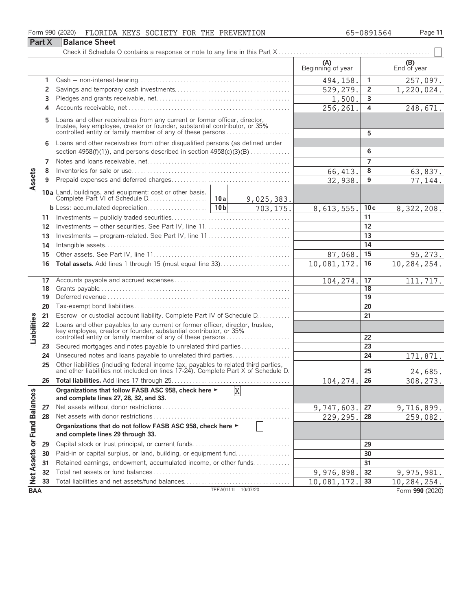|                             |               | Form 990 (2020)<br>FLORIDA KEYS SOCIETY FOR THE PREVENTION                                                                                                                                                      |  |                    |                          | 65-0891564      | Page 11                |
|-----------------------------|---------------|-----------------------------------------------------------------------------------------------------------------------------------------------------------------------------------------------------------------|--|--------------------|--------------------------|-----------------|------------------------|
|                             | <b>Part X</b> | <b>Balance Sheet</b>                                                                                                                                                                                            |  |                    |                          |                 |                        |
|                             |               |                                                                                                                                                                                                                 |  |                    |                          |                 |                        |
|                             |               |                                                                                                                                                                                                                 |  |                    | (A)<br>Beginning of year |                 | $( B )$<br>End of year |
|                             |               |                                                                                                                                                                                                                 |  |                    | 494,158.                 | 1               | 257,097.               |
|                             | 2             |                                                                                                                                                                                                                 |  |                    | 529,279.                 | $\overline{2}$  | 1,220,024.             |
|                             | 3             |                                                                                                                                                                                                                 |  |                    | 1,500.                   | 3               |                        |
|                             | 4             |                                                                                                                                                                                                                 |  |                    | 256,261.                 | 4               | 248,671.               |
|                             | 5             | Loans and other receivables from any current or former officer, director, trustee, key employee, creator or founder, substantial contributor, or 35% controlled entity or family member of any of these persons |  | 5                  |                          |                 |                        |
|                             | 6             | Loans and other receivables from other disqualified persons (as defined under                                                                                                                                   |  |                    |                          |                 |                        |
|                             |               | section $4958(f)(1)$ , and persons described in section $4958(c)(3)(B)$                                                                                                                                         |  |                    |                          | 6               |                        |
|                             | 7             |                                                                                                                                                                                                                 |  |                    |                          | 7               |                        |
|                             | 8             |                                                                                                                                                                                                                 |  |                    | 66, 413.                 | 8               | 63,837.                |
| Assets                      | 9             |                                                                                                                                                                                                                 |  |                    | 32,938.                  | 9               | 77,144.                |
|                             |               |                                                                                                                                                                                                                 |  |                    |                          |                 |                        |
|                             |               |                                                                                                                                                                                                                 |  | 9,025,383.         |                          |                 |                        |
|                             |               |                                                                                                                                                                                                                 |  | 703, 175.          | 8,613,555.               | 10c             | 8, 322, 208.           |
|                             | 11            |                                                                                                                                                                                                                 |  | 11                 |                          |                 |                        |
|                             | 12            |                                                                                                                                                                                                                 |  |                    |                          | 12              |                        |
|                             | 13            | Investments - program-related. See Part IV, line 11                                                                                                                                                             |  |                    | 13                       |                 |                        |
|                             | 14            |                                                                                                                                                                                                                 |  |                    | 14                       |                 |                        |
|                             | 15            |                                                                                                                                                                                                                 |  |                    | 87,068.                  | 15              | 95,273.                |
|                             | 16            |                                                                                                                                                                                                                 |  |                    | 10,081,172.              | 16              | 10,284,254.            |
|                             | 17            |                                                                                                                                                                                                                 |  |                    | 104, 274.                | 17              | 111,717.               |
|                             | 18            |                                                                                                                                                                                                                 |  |                    |                          | 18              |                        |
|                             | 19            |                                                                                                                                                                                                                 |  |                    |                          | $\overline{19}$ |                        |
|                             | 20            |                                                                                                                                                                                                                 |  |                    |                          | 20              |                        |
|                             | 21            | Escrow or custodial account liability. Complete Part IV of Schedule D.                                                                                                                                          |  |                    |                          | 21              |                        |
| Liabilities                 | 22            | Loans and other payables to any current or former officer, director, trustee, key employee, creator or founder, substantial contributor, or 35%<br>controlled entity or family member of any of these persons   |  |                    |                          | 22              |                        |
|                             | 23            | Secured mortgages and notes payable to unrelated third parties                                                                                                                                                  |  |                    |                          | 23              |                        |
|                             | 24            | Unsecured notes and loans payable to unrelated third parties                                                                                                                                                    |  |                    |                          | 24              | 171,871.               |
|                             | 25            | Other liabilities (including federal income tax, payables to related third parties, and other liabilities not included on lines 17-24). Complete Part X of Schedule D.                                          |  |                    |                          | 25              | 24,685.                |
|                             | 26            |                                                                                                                                                                                                                 |  |                    | 104, 274.                | 26              | 308, 273.              |
|                             |               | Organizations that follow FASB ASC 958, check here ►<br>and complete lines 27, 28, 32, and 33.                                                                                                                  |  | $\rm X$            |                          |                 |                        |
|                             | 27            |                                                                                                                                                                                                                 |  |                    | 9,747,603.               | 27              | 9,716,899.             |
|                             | 28            |                                                                                                                                                                                                                 |  |                    | 229,295.                 | 28              | 259,082.               |
| Net Assets or Fund Balances |               | Organizations that do not follow FASB ASC 958, check here ►<br>and complete lines 29 through 33.                                                                                                                |  |                    |                          |                 |                        |
|                             | 29            |                                                                                                                                                                                                                 |  |                    |                          | 29              |                        |
|                             | 30            | Paid-in or capital surplus, or land, building, or equipment fund                                                                                                                                                |  |                    |                          | 30              |                        |
|                             | 31            | Retained earnings, endowment, accumulated income, or other funds                                                                                                                                                |  |                    |                          | 31              |                        |
|                             | 32            |                                                                                                                                                                                                                 |  |                    | 9,976,898.               | 32              | 9,975,981.             |
|                             | 33            | Total liabilities and net assets/fund balances                                                                                                                                                                  |  |                    | 10,081,172.              | 33              | 10,284,254.            |
| <b>BAA</b>                  |               |                                                                                                                                                                                                                 |  | TEEA0111L 10/07/20 |                          |                 | Form 990 (2020)        |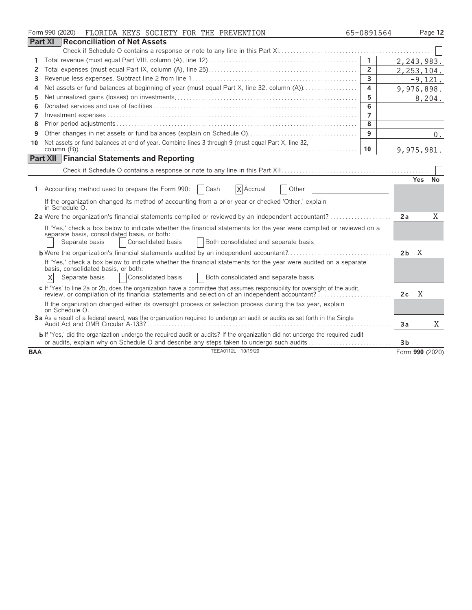|            | Form 990 (2020)<br>FLORIDA KEYS SOCIETY FOR THE PREVENTION                                                                                                                                                                                           | 65-0891564     |                |            | Page 12         |
|------------|------------------------------------------------------------------------------------------------------------------------------------------------------------------------------------------------------------------------------------------------------|----------------|----------------|------------|-----------------|
|            | <b>Part XI</b><br>Reconciliation of Net Assets                                                                                                                                                                                                       |                |                |            |                 |
|            |                                                                                                                                                                                                                                                      |                |                |            |                 |
| 1          |                                                                                                                                                                                                                                                      | $\overline{1}$ |                |            | 2,243,983.      |
| 2          |                                                                                                                                                                                                                                                      | $\overline{2}$ |                |            | 2, 253, 104.    |
| 3          |                                                                                                                                                                                                                                                      | 3              |                |            | $-9,121.$       |
| 4          |                                                                                                                                                                                                                                                      | 4              |                |            | 9,976,898.      |
| 5          |                                                                                                                                                                                                                                                      | 5              |                |            | 8,204.          |
| 6          |                                                                                                                                                                                                                                                      | 6              |                |            |                 |
| 7          |                                                                                                                                                                                                                                                      | $\overline{7}$ |                |            |                 |
| 8          |                                                                                                                                                                                                                                                      | 8              |                |            |                 |
| 9          |                                                                                                                                                                                                                                                      | 9              |                |            | $0$ .           |
| 10         | Net assets or fund balances at end of year. Combine lines 3 through 9 (must equal Part X, line 32,                                                                                                                                                   |                |                |            |                 |
|            |                                                                                                                                                                                                                                                      | 10             |                |            | 9,975,981.      |
|            | <b>Part XII Financial Statements and Reporting</b>                                                                                                                                                                                                   |                |                |            |                 |
|            |                                                                                                                                                                                                                                                      |                |                |            |                 |
|            |                                                                                                                                                                                                                                                      |                |                | <b>Yes</b> | No              |
|            | 1 Accounting method used to prepare the Form 990:<br>  Cash<br>X Accrual<br>Other                                                                                                                                                                    |                |                |            |                 |
|            | If the organization changed its method of accounting from a prior year or checked 'Other,' explain<br>in Schedule O.                                                                                                                                 |                |                |            |                 |
|            | 2a Were the organization's financial statements compiled or reviewed by an independent accountant?                                                                                                                                                   |                | 2a             |            | X               |
|            | If 'Yes,' check a box below to indicate whether the financial statements for the year were compiled or reviewed on a<br>separate basis, consolidated basis, or both:<br>Consolidated basis<br>Both consolidated and separate basis<br>Separate basis |                |                |            |                 |
|            |                                                                                                                                                                                                                                                      |                | 2 <sub>b</sub> | X          |                 |
|            | If 'Yes,' check a box below to indicate whether the financial statements for the year were audited on a separate<br>basis, consolidated basis, or both:<br>X<br>Consolidated basis<br>Separate basis<br>Both consolidated and separate basis         |                |                |            |                 |
|            | c If 'Yes' to line 2a or 2b, does the organization have a committee that assumes responsibility for oversight of the audit,<br>review, or compilation of its financial statements and selection of an independent accountant?                        |                | 2c             | X          |                 |
|            | If the organization changed either its oversight process or selection process during the tax year, explain<br>on Schedule O.                                                                                                                         |                |                |            |                 |
|            | 3a As a result of a federal award, was the organization required to undergo an audit or audits as set forth in the Single                                                                                                                            |                | Зa             |            | X               |
|            | b If 'Yes,' did the organization undergo the required audit or audits? If the organization did not undergo the required audit<br>or audits, explain why on Schedule O and describe any steps taken to undergo such audits                            |                | 3 <sub>b</sub> |            |                 |
| <b>BAA</b> | TEEA0112L 10/19/20                                                                                                                                                                                                                                   |                |                |            | Form 990 (2020) |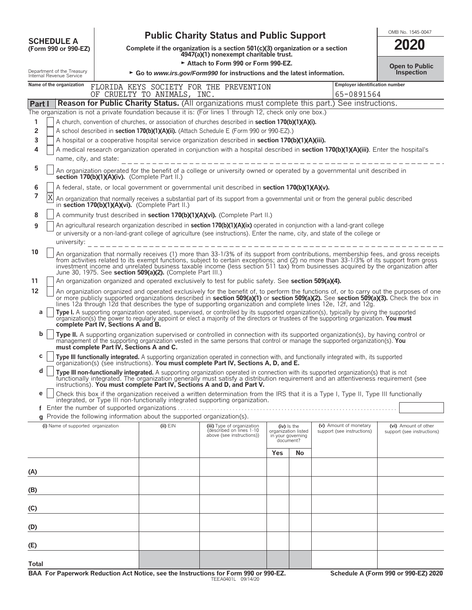| <b>SCHEDULE A</b> |                                                        | <b>Public Charity Status and Public Support</b>                                                                                                                                                                                                                                                                                                                                                                                                                                  |                                                                                          |                                                                                                                                                                                                                                                                                                                                                       |     |                                                                      |                                              |                                                                                                                                         |  |  |
|-------------------|--------------------------------------------------------|----------------------------------------------------------------------------------------------------------------------------------------------------------------------------------------------------------------------------------------------------------------------------------------------------------------------------------------------------------------------------------------------------------------------------------------------------------------------------------|------------------------------------------------------------------------------------------|-------------------------------------------------------------------------------------------------------------------------------------------------------------------------------------------------------------------------------------------------------------------------------------------------------------------------------------------------------|-----|----------------------------------------------------------------------|----------------------------------------------|-----------------------------------------------------------------------------------------------------------------------------------------|--|--|
|                   | (Form 990 or 990-EZ)                                   |                                                                                                                                                                                                                                                                                                                                                                                                                                                                                  |                                                                                          | Complete if the organization is a section 501(c)(3) organization or a section<br>4947(a)(1) nonexempt charitable trust.                                                                                                                                                                                                                               |     |                                                                      |                                              | 2020                                                                                                                                    |  |  |
|                   |                                                        |                                                                                                                                                                                                                                                                                                                                                                                                                                                                                  |                                                                                          | Attach to Form 990 or Form 990-EZ.                                                                                                                                                                                                                                                                                                                    |     |                                                                      |                                              | <b>Open to Public</b>                                                                                                                   |  |  |
|                   | Department of the Treasury<br>Internal Revenue Service |                                                                                                                                                                                                                                                                                                                                                                                                                                                                                  |                                                                                          | $\triangleright$ Go to <i>www.irs.gov/Form990</i> for instructions and the latest information.                                                                                                                                                                                                                                                        |     |                                                                      |                                              | Inspection                                                                                                                              |  |  |
|                   | Name of the organization                               | OF                                                                                                                                                                                                                                                                                                                                                                                                                                                                               | CRUELTY TO ANIMALS, INC.                                                                 | FLORIDA KEYS SOCIETY FOR THE PREVENTION                                                                                                                                                                                                                                                                                                               |     |                                                                      | Employer identification number<br>65-0891564 |                                                                                                                                         |  |  |
| Part I            |                                                        |                                                                                                                                                                                                                                                                                                                                                                                                                                                                                  |                                                                                          | <b>Reason for Public Charity Status.</b> (All organizations must complete this part.) See instructions.                                                                                                                                                                                                                                               |     |                                                                      |                                              |                                                                                                                                         |  |  |
|                   |                                                        |                                                                                                                                                                                                                                                                                                                                                                                                                                                                                  |                                                                                          | The organization is not a private foundation because it is: (For lines 1 through 12, check only one box.)                                                                                                                                                                                                                                             |     |                                                                      |                                              |                                                                                                                                         |  |  |
| 1                 |                                                        |                                                                                                                                                                                                                                                                                                                                                                                                                                                                                  |                                                                                          | A church, convention of churches, or association of churches described in section 170(b)(1)(A)(i).                                                                                                                                                                                                                                                    |     |                                                                      |                                              |                                                                                                                                         |  |  |
| 2<br>3            |                                                        |                                                                                                                                                                                                                                                                                                                                                                                                                                                                                  |                                                                                          | A school described in section 170(b)(1)(A)(ii). (Attach Schedule E (Form 990 or 990-EZ).)<br>A hospital or a cooperative hospital service organization described in section 170(b)(1)(A)(iii).                                                                                                                                                        |     |                                                                      |                                              |                                                                                                                                         |  |  |
| 4                 |                                                        |                                                                                                                                                                                                                                                                                                                                                                                                                                                                                  |                                                                                          | A medical research organization operated in conjunction with a hospital described in section 170(b)(1)(A)(iii). Enter the hospital's                                                                                                                                                                                                                  |     |                                                                      |                                              |                                                                                                                                         |  |  |
|                   | name, city, and state:                                 |                                                                                                                                                                                                                                                                                                                                                                                                                                                                                  |                                                                                          |                                                                                                                                                                                                                                                                                                                                                       |     |                                                                      |                                              |                                                                                                                                         |  |  |
| 5                 |                                                        |                                                                                                                                                                                                                                                                                                                                                                                                                                                                                  | section 170(b)(1)(A)(iv). (Complete Part II.)                                            | An organization operated for the benefit of a college or university owned or operated by a governmental unit described in                                                                                                                                                                                                                             |     |                                                                      |                                              |                                                                                                                                         |  |  |
| 6                 |                                                        |                                                                                                                                                                                                                                                                                                                                                                                                                                                                                  |                                                                                          | A federal, state, or local government or governmental unit described in section 170(b)(1)(A)(v).                                                                                                                                                                                                                                                      |     |                                                                      |                                              |                                                                                                                                         |  |  |
| 7                 | X                                                      |                                                                                                                                                                                                                                                                                                                                                                                                                                                                                  | in section 170(b)(1)(A)(vi). (Complete Part II.)                                         | An organization that normally receives a substantial part of its support from a governmental unit or from the general public described                                                                                                                                                                                                                |     |                                                                      |                                              |                                                                                                                                         |  |  |
| 8                 |                                                        |                                                                                                                                                                                                                                                                                                                                                                                                                                                                                  |                                                                                          | A community trust described in section 170(b)(1)(A)(vi). (Complete Part II.)                                                                                                                                                                                                                                                                          |     |                                                                      |                                              |                                                                                                                                         |  |  |
| 9                 |                                                        |                                                                                                                                                                                                                                                                                                                                                                                                                                                                                  |                                                                                          | An agricultural research organization described in section 170(b)(1)(A)(ix) operated in conjunction with a land-grant college                                                                                                                                                                                                                         |     |                                                                      |                                              |                                                                                                                                         |  |  |
|                   |                                                        |                                                                                                                                                                                                                                                                                                                                                                                                                                                                                  |                                                                                          | or university or a non-land-grant college of agriculture (see instructions). Enter the name, city, and state of the college or                                                                                                                                                                                                                        |     |                                                                      |                                              |                                                                                                                                         |  |  |
|                   | university:                                            |                                                                                                                                                                                                                                                                                                                                                                                                                                                                                  |                                                                                          |                                                                                                                                                                                                                                                                                                                                                       |     |                                                                      |                                              |                                                                                                                                         |  |  |
| 10                |                                                        | An organization that normally receives (1) more than 33-1/3% of its support from contributions, membership fees, and gross receipts<br>from activities related to its exempt functions, subject to certain exceptions; and (2) no more than 33-1/3% of its support from gross<br>investment income and unrelated business taxable income (less section 511 tax) from businesses acquired by the organization after<br>June 30, 1975. See section 509(a)(2). (Complete Part III.) |                                                                                          |                                                                                                                                                                                                                                                                                                                                                       |     |                                                                      |                                              |                                                                                                                                         |  |  |
| 11                |                                                        |                                                                                                                                                                                                                                                                                                                                                                                                                                                                                  |                                                                                          | An organization organized and operated exclusively to test for public safety. See section 509(a)(4).                                                                                                                                                                                                                                                  |     |                                                                      |                                              |                                                                                                                                         |  |  |
| $12 \overline{ }$ |                                                        |                                                                                                                                                                                                                                                                                                                                                                                                                                                                                  |                                                                                          | or more publicly supported organizations described in section 509(a)(1) or section 509(a)(2). See section 509(a)(3). Check the box in<br>lines 12a through 12d that describes the type of supporting organization and complete lines 12e, 12f, and 12g.                                                                                               |     |                                                                      |                                              | An organization organized and operated exclusively for the benefit of, to perform the functions of, or to carry out the purposes of one |  |  |
| a                 |                                                        | complete Part IV, Sections A and B.                                                                                                                                                                                                                                                                                                                                                                                                                                              |                                                                                          | Type I. A supporting organization operated, supervised, or controlled by its supported organization(s), typically by giving the supported<br>organization(s) the power to regularly appoint or elect a majority of the directors or trustees of the supporting organization. You must                                                                 |     |                                                                      |                                              |                                                                                                                                         |  |  |
| b                 |                                                        | must complete Part IV. Sections A and C.                                                                                                                                                                                                                                                                                                                                                                                                                                         |                                                                                          | Type II. A supporting organization supervised or controlled in connection with its supported organization(s), by having control or<br>management of the supporting organization vested in the same persons that control or manage the supported organization(s). You                                                                                  |     |                                                                      |                                              |                                                                                                                                         |  |  |
| C                 |                                                        |                                                                                                                                                                                                                                                                                                                                                                                                                                                                                  |                                                                                          | Type III functionally integrated. A supporting organization operated in connection with, and functionally integrated with, its supported organization(s) (see instructions). You must complete Part IV, Sections A, D, and E.                                                                                                                         |     |                                                                      |                                              |                                                                                                                                         |  |  |
| d                 |                                                        |                                                                                                                                                                                                                                                                                                                                                                                                                                                                                  |                                                                                          | Type III non-functionally integrated. A supporting organization operated in connection with its supported organization(s) that is not<br>functionally integrated. The organization generally must satisfy a distribution requirement and an attentiveness requirement (see<br>instructions). You must complete Part IV, Sections A and D, and Part V. |     |                                                                      |                                              |                                                                                                                                         |  |  |
| e                 |                                                        |                                                                                                                                                                                                                                                                                                                                                                                                                                                                                  |                                                                                          | Check this box if the organization received a written determination from the IRS that it is a Type I, Type II, Type III functionally<br>integrated, or Type III non-functionally integrated supporting organization.                                                                                                                                  |     |                                                                      |                                              |                                                                                                                                         |  |  |
|                   |                                                        |                                                                                                                                                                                                                                                                                                                                                                                                                                                                                  |                                                                                          |                                                                                                                                                                                                                                                                                                                                                       |     |                                                                      |                                              |                                                                                                                                         |  |  |
|                   | (i) Name of supported organization                     |                                                                                                                                                                                                                                                                                                                                                                                                                                                                                  | g Provide the following information about the supported organization(s).<br>$(ii)$ $EIN$ | (iii) Type of organization                                                                                                                                                                                                                                                                                                                            |     |                                                                      | (v) Amount of monetary                       | (vi) Amount of other                                                                                                                    |  |  |
|                   |                                                        |                                                                                                                                                                                                                                                                                                                                                                                                                                                                                  |                                                                                          | described on lines 1-10<br>above (see instructions))                                                                                                                                                                                                                                                                                                  |     | (iv) Is the<br>organization listed<br>in your governing<br>document? | support (see instructions)                   | support (see instructions)                                                                                                              |  |  |
|                   |                                                        |                                                                                                                                                                                                                                                                                                                                                                                                                                                                                  |                                                                                          |                                                                                                                                                                                                                                                                                                                                                       | Yes | No                                                                   |                                              |                                                                                                                                         |  |  |
|                   |                                                        |                                                                                                                                                                                                                                                                                                                                                                                                                                                                                  |                                                                                          |                                                                                                                                                                                                                                                                                                                                                       |     |                                                                      |                                              |                                                                                                                                         |  |  |
| (A)               |                                                        |                                                                                                                                                                                                                                                                                                                                                                                                                                                                                  |                                                                                          |                                                                                                                                                                                                                                                                                                                                                       |     |                                                                      |                                              |                                                                                                                                         |  |  |
| (B)               |                                                        |                                                                                                                                                                                                                                                                                                                                                                                                                                                                                  |                                                                                          |                                                                                                                                                                                                                                                                                                                                                       |     |                                                                      |                                              |                                                                                                                                         |  |  |
| (C)               |                                                        |                                                                                                                                                                                                                                                                                                                                                                                                                                                                                  |                                                                                          |                                                                                                                                                                                                                                                                                                                                                       |     |                                                                      |                                              |                                                                                                                                         |  |  |
| (D)               |                                                        |                                                                                                                                                                                                                                                                                                                                                                                                                                                                                  |                                                                                          |                                                                                                                                                                                                                                                                                                                                                       |     |                                                                      |                                              |                                                                                                                                         |  |  |
| (E)               |                                                        |                                                                                                                                                                                                                                                                                                                                                                                                                                                                                  |                                                                                          |                                                                                                                                                                                                                                                                                                                                                       |     |                                                                      |                                              |                                                                                                                                         |  |  |
| Total             |                                                        |                                                                                                                                                                                                                                                                                                                                                                                                                                                                                  |                                                                                          |                                                                                                                                                                                                                                                                                                                                                       |     |                                                                      |                                              |                                                                                                                                         |  |  |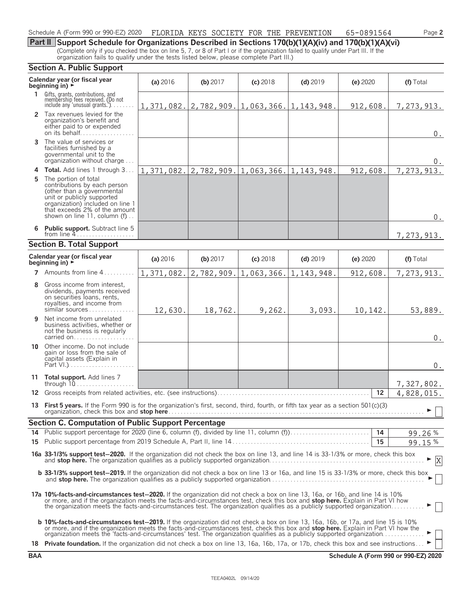## Schedule A (Form 990 or 990-EZ) 2020 FLORIDA KEYS SOCIETY FOR THE PREVENTION 65-0891564 Page **2**

**Part II Support Schedule for Organizations Described in Sections 170(b)(1)(A)(iv) and 170(b)(1)(A)(vi)** (Complete only if you checked the box on line 5, 7, or 8 of Part I or if the organization failed to qualify under Part III. If the organization fails to qualify under the tests listed below, please complete Part III.)

|                                 | Calendar year (or fiscal year<br>beginning in) $\rightarrow$                                                                                                                                                                                                                                                                                                                                                                                                                                                        | (a) 2016   | (b) 2017                                     | $(c)$ 2018                                   | $(d)$ 2019   | (e) 2020 | (f) Total                    |  |  |  |
|---------------------------------|---------------------------------------------------------------------------------------------------------------------------------------------------------------------------------------------------------------------------------------------------------------------------------------------------------------------------------------------------------------------------------------------------------------------------------------------------------------------------------------------------------------------|------------|----------------------------------------------|----------------------------------------------|--------------|----------|------------------------------|--|--|--|
| $\mathbf{1}$                    | Gifts, grants, contributions, and<br>membership fees received. (Do not<br>include any 'unusual grants.'). $\ldots$                                                                                                                                                                                                                                                                                                                                                                                                  |            |                                              | $1, 371, 082.   2, 782, 909.   1, 063, 366.$ | 1, 143, 948. | 912,608. | 7,273,913.                   |  |  |  |
|                                 | 2 Tax revenues levied for the<br>organization's benefit and<br>either paid to or expended<br>on its behalf                                                                                                                                                                                                                                                                                                                                                                                                          |            |                                              |                                              |              |          | $0$ .                        |  |  |  |
| 3                               | The value of services or<br>facilities furnished by a<br>governmental unit to the<br>organization without charge                                                                                                                                                                                                                                                                                                                                                                                                    |            |                                              |                                              |              |          | 0.                           |  |  |  |
| 4                               | Total. Add lines 1 through 3                                                                                                                                                                                                                                                                                                                                                                                                                                                                                        |            | $1, 371, 082.   2, 782, 909.   1, 063, 366.$ |                                              | 1, 143, 948. | 912,608. | 7,273,913.                   |  |  |  |
| 5                               | The portion of total<br>contributions by each person<br>(other than a governmental<br>unit or publicly supported<br>organization) included on line 1<br>that exceeds 2% of the amount<br>shown on line 11, column (f)                                                                                                                                                                                                                                                                                               |            |                                              |                                              |              |          | $0$ .                        |  |  |  |
| 6                               | <b>Public support.</b> Subtract line 5<br>from line $4$                                                                                                                                                                                                                                                                                                                                                                                                                                                             |            |                                              |                                              |              |          | 7,273,913.                   |  |  |  |
| <b>Section B. Total Support</b> |                                                                                                                                                                                                                                                                                                                                                                                                                                                                                                                     |            |                                              |                                              |              |          |                              |  |  |  |
|                                 | Calendar year (or fiscal year<br>beginning in) $\rightarrow$                                                                                                                                                                                                                                                                                                                                                                                                                                                        | (a) 2016   | (b) 2017                                     | $(c)$ 2018                                   | $(d)$ 2019   | (e) 2020 | (f) Total                    |  |  |  |
|                                 | 7 Amounts from line 4                                                                                                                                                                                                                                                                                                                                                                                                                                                                                               | 1,371,082. | 2,782,909.                                   | 1,063,366.                                   | 1,143,948.   | 912,608. | 7,273,913.                   |  |  |  |
| 8                               | Gross income from interest,<br>dividends, payments received<br>on securities loans, rents,<br>royalties, and income from<br>similar sources                                                                                                                                                                                                                                                                                                                                                                         | 12,630.    | 18,762.                                      | 9,262.                                       | 3,093.       | 10,142.  | 53,889.                      |  |  |  |
| 9                               | Net income from unrelated<br>business activities, whether or<br>not the business is regularly<br>carried on                                                                                                                                                                                                                                                                                                                                                                                                         |            |                                              |                                              |              |          | 0.                           |  |  |  |
|                                 | 10 Other income. Do not include<br>gain or loss from the sale of<br>capital assets (Explain in                                                                                                                                                                                                                                                                                                                                                                                                                      |            |                                              |                                              |              |          | $0$ .                        |  |  |  |
|                                 | 11 Total support. Add lines 7<br>through $10$                                                                                                                                                                                                                                                                                                                                                                                                                                                                       |            |                                              |                                              |              |          | 7,327,802.                   |  |  |  |
|                                 | 12 Gross receipts from related activities, etc. (see instructions)                                                                                                                                                                                                                                                                                                                                                                                                                                                  |            |                                              |                                              |              | 12       | 4,828,015.                   |  |  |  |
|                                 | 13 First 5 years. If the Form 990 is for the organization's first, second, third, fourth, or fifth tax year as a section 501(c)(3)<br>organization, check this box and stop here <b>contained</b> and the contact of the set of the contact of the contact of the contact of the contact of the contact of the contact of the contact of the contact of the contact of th                                                                                                                                           |            |                                              |                                              |              |          | $\blacktriangleright$ $\Box$ |  |  |  |
|                                 | Section C. Computation of Public Support Percentage                                                                                                                                                                                                                                                                                                                                                                                                                                                                 |            |                                              |                                              |              |          |                              |  |  |  |
|                                 |                                                                                                                                                                                                                                                                                                                                                                                                                                                                                                                     |            |                                              |                                              |              |          | 99.26%                       |  |  |  |
|                                 |                                                                                                                                                                                                                                                                                                                                                                                                                                                                                                                     |            |                                              |                                              |              | 15       | 99.15%                       |  |  |  |
|                                 | 16a 33-1/3% support test-2020. If the organization did not check the box on line 13, and line 14 is 33-1/3% or more, check this box                                                                                                                                                                                                                                                                                                                                                                                 |            |                                              |                                              |              |          | X                            |  |  |  |
|                                 | <b>b 33-1/3% support test-2019.</b> If the organization did not check a box on line 13 or 16a, and line 15 is 33-1/3% or more, check this box                                                                                                                                                                                                                                                                                                                                                                       |            |                                              |                                              |              |          |                              |  |  |  |
|                                 | 17a 10%-facts-and-circumstances test-2020. If the organization did not check a box on line 13, 16a, or 16b, and line 14 is 10%<br>or more, and if the organization meets the facts-and-circumstances test, check this box and stop here. Explain in Part VI how<br>the organization meets the facts-and-circumstances test. The organization qualifies as a publicly supported organization                                                                                                                         |            |                                              |                                              |              |          |                              |  |  |  |
|                                 | <b>b 10%-facts-and-circumstances test-2019.</b> If the organization did not check a box on line 13, 16a, 16b, or 17a, and line 15 is 10%<br>or more, and if the organization meets the facts-and-circumstances test, check this box and stop here. Explain in Part VI how the organization meets the 'facts-and-circumstances' test. The organization qualifies as a publi<br>18 Private foundation. If the organization did not check a box on line 13, 16a, 16b, 17a, or 17b, check this box and see instructions |            |                                              |                                              |              |          |                              |  |  |  |

**BAA Schedule A (Form 990 or 990-EZ) 2020**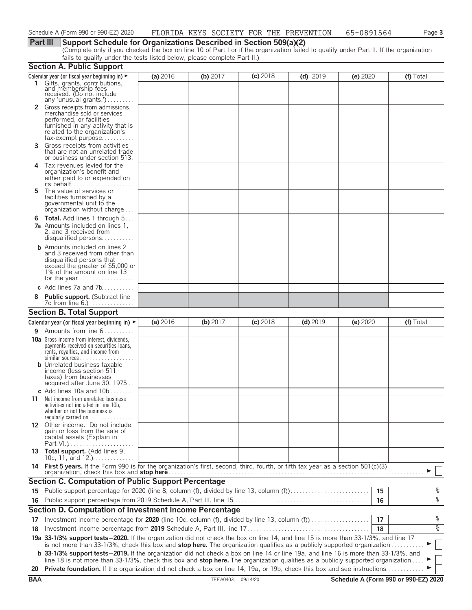# **Part III Support Schedule for Organizations Described in Section 509(a)(2)**

(Complete only if you checked the box on line 10 of Part I or if the organization failed to qualify under Part II. If the organization fails to qualify under the tests listed below, please complete Part II.)

|            | <b>Section A. Public Support</b>                                                                                                                                                                                                                               |          |                    |            |            |          |                                      |
|------------|----------------------------------------------------------------------------------------------------------------------------------------------------------------------------------------------------------------------------------------------------------------|----------|--------------------|------------|------------|----------|--------------------------------------|
|            | Calendar year (or fiscal year beginning in) $\blacktriangleright$<br>1 Gifts, grants, contributions,                                                                                                                                                           | (a) 2016 | (b) $2017$         | $(c)$ 2018 | $(d)$ 2019 | (e) 2020 | (f) Total                            |
|            | and membership fees<br>received. (Do not include<br>any 'unusual grants.')                                                                                                                                                                                     |          |                    |            |            |          |                                      |
|            | Gross receipts from admissions,<br>merchandise sold or services<br>performed, or facilities<br>furnished in any activity that is<br>related to the organization's                                                                                              |          |                    |            |            |          |                                      |
| 3.         | $tax\text{-}exempt$ purpose<br>Gross receipts from activities                                                                                                                                                                                                  |          |                    |            |            |          |                                      |
|            | that are not an unrelated trade<br>or business under section 513.                                                                                                                                                                                              |          |                    |            |            |          |                                      |
| 4          | Tax revenues levied for the<br>organization's benefit and<br>either paid to or expended on                                                                                                                                                                     |          |                    |            |            |          |                                      |
| 5          | The value of services or<br>facilities furnished by a<br>governmental unit to the<br>organization without charge                                                                                                                                               |          |                    |            |            |          |                                      |
|            | <b>6 Total.</b> Add lines 1 through 5<br><b>7a</b> Amounts included on lines 1,<br>2, and 3 received from<br>disqualified persons                                                                                                                              |          |                    |            |            |          |                                      |
|            | <b>b</b> Amounts included on lines 2<br>and 3 received from other than<br>disqualified persons that<br>exceed the greater of \$5,000 or<br>1% of the amount on line 13                                                                                         |          |                    |            |            |          |                                      |
|            | c Add lines $7a$ and $7b$                                                                                                                                                                                                                                      |          |                    |            |            |          |                                      |
|            | <b>Public support.</b> (Subtract line                                                                                                                                                                                                                          |          |                    |            |            |          |                                      |
|            | <b>Section B. Total Support</b>                                                                                                                                                                                                                                |          |                    |            |            |          |                                      |
|            | Calendar year (or fiscal year beginning in) $\blacktriangleright$                                                                                                                                                                                              | (a) 2016 | (b) 2017           | $(c)$ 2018 | $(d)$ 2019 | (e) 2020 | (f) Total                            |
| 9          | Amounts from line 6                                                                                                                                                                                                                                            |          |                    |            |            |          |                                      |
|            | <b>10a</b> Gross income from interest, dividends,<br>payments received on securities loans,<br>rents, royalties, and income from<br><b>b</b> Unrelated business taxable<br>income (less section 511<br>taxes) from businesses<br>acquired after June 30, 1975  |          |                    |            |            |          |                                      |
|            | c Add lines 10a and $10b$                                                                                                                                                                                                                                      |          |                    |            |            |          |                                      |
|            | <b>11</b> Net income from unrelated business<br>activities not included in line 10b,<br>whether or not the business is<br>regularly carried on $\dots\dots\dots\dots$                                                                                          |          |                    |            |            |          |                                      |
|            | 12 Other income. Do not include<br>gain or loss from the sale of<br>capital assets (Explain in                                                                                                                                                                 |          |                    |            |            |          |                                      |
|            | 13 Total support. (Add lines 9,<br>10c, 11, and $12.$                                                                                                                                                                                                          |          |                    |            |            |          |                                      |
|            | 14 First 5 years. If the Form 990 is for the organization's first, second, third, fourth, or fifth tax year as a section 501(c)(3)<br>organization, check this box and stop here                                                                               |          |                    |            |            |          |                                      |
|            | <b>Section C. Computation of Public Support Percentage</b>                                                                                                                                                                                                     |          |                    |            |            |          |                                      |
|            | 15 Public support percentage for 2020 (line 8, column (f), divided by line 13, column (f)                                                                                                                                                                      |          |                    |            |            | 15       | နွ                                   |
|            |                                                                                                                                                                                                                                                                |          |                    |            |            | 16       | $\frac{1}{\sqrt{2}}$                 |
|            | Section D. Computation of Investment Income Percentage                                                                                                                                                                                                         |          |                    |            |            |          |                                      |
| 17         | Investment income percentage for 2020 (line 10c, column (f), divided by line 13, column (f)                                                                                                                                                                    |          |                    |            |            | 17       | %                                    |
| 18         |                                                                                                                                                                                                                                                                |          |                    |            |            | 18       | $\frac{1}{\sqrt{2}}$                 |
|            | 19a 33-1/3% support tests-2020. If the organization did not check the box on line 14, and line 15 is more than 33-1/3%, and line 17<br>is not more than 33-1/3%, check this box and stop here. The organization qualifies as a publicly supported organization |          |                    |            |            |          |                                      |
|            | <b>b</b> 33-1/3% support tests-2019. If the organization did not check a box on line 14 or line 19a, and line 16 is more than 33-1/3%, and                                                                                                                     |          |                    |            |            |          |                                      |
| 20         | line 18 is not more than 33-1/3%, check this box and stop here. The organization qualifies as a publicly supported organization<br>Private foundation. If the organization did not check a box on line 14, 19a, or 19b, check this box and see instructions.   |          |                    |            |            |          |                                      |
| <b>BAA</b> |                                                                                                                                                                                                                                                                |          | TEEA0403L 09/14/20 |            |            |          | Schedule A (Form 990 or 990-EZ) 2020 |
|            |                                                                                                                                                                                                                                                                |          |                    |            |            |          |                                      |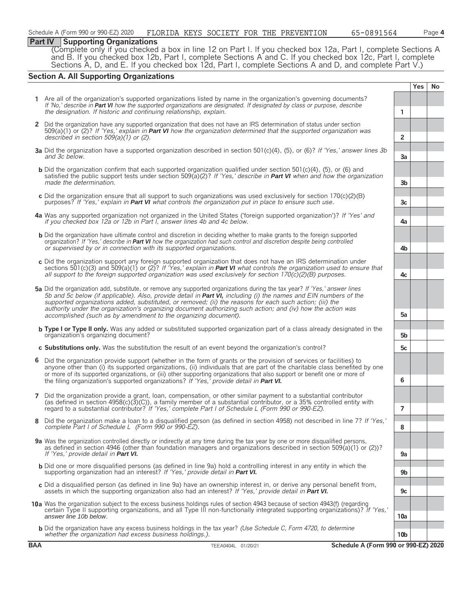# **Part IV Supporting Organizations**

(Complete only if you checked a box in line 12 on Part I. If you checked box 12a, Part I, complete Sections A and B. If you checked box 12b, Part I, complete Sections A and C. If you checked box 12c, Part I, complete Sections A, D, and E. If you checked box 12d, Part I, complete Sections A and D, and complete Part V.)

# **Section A. All Supporting Organizations**

|                |                                                                                                                                                                                                                                                                                                                                                                                                                                                                                                                                              |                      | <b>Yes</b> | No |
|----------------|----------------------------------------------------------------------------------------------------------------------------------------------------------------------------------------------------------------------------------------------------------------------------------------------------------------------------------------------------------------------------------------------------------------------------------------------------------------------------------------------------------------------------------------------|----------------------|------------|----|
|                | 1 Are all of the organization's supported organizations listed by name in the organization's governing documents?<br>If 'No,' describe in <b>Part VI</b> how the supported organizations are designated. If designated by class or purpose, describe                                                                                                                                                                                                                                                                                         |                      |            |    |
|                | the designation. If historic and continuing relationship, explain.                                                                                                                                                                                                                                                                                                                                                                                                                                                                           | 1                    |            |    |
|                | 2 Did the organization have any supported organization that does not have an IRS determination of status under section<br>$509(a)(1)$ or (2)? If 'Yes,' explain in Part VI how the organization determined that the supported organization was<br>described in section $509(a)(1)$ or (2).                                                                                                                                                                                                                                                   | $\overline{2}$       |            |    |
|                |                                                                                                                                                                                                                                                                                                                                                                                                                                                                                                                                              |                      |            |    |
|                | 3a Did the organization have a supported organization described in section 501(c)(4), (5), or (6)? If 'Yes,' answer lines 3b<br>and 3c below.                                                                                                                                                                                                                                                                                                                                                                                                | 3a                   |            |    |
|                | <b>b</b> Did the organization confirm that each supported organization qualified under section 501(c)(4), (5), or (6) and<br>satisfied the public support tests under section 509(a)(2)? If 'Yes,' describe in Part VI when and how the organization<br>made the determination.                                                                                                                                                                                                                                                              | 3 <sub>b</sub>       |            |    |
|                | c Did the organization ensure that all support to such organizations was used exclusively for section $170(c)(2)(B)$<br>purposes? If 'Yes,' explain in <b>Part VI</b> what controls the organization put in place to ensure such use.                                                                                                                                                                                                                                                                                                        | 3 <sub>c</sub>       |            |    |
|                | 4a Was any supported organization not organized in the United States ('foreign supported organization')? If 'Yes' and<br>if you checked box 12a or 12b in Part I, answer lines 4b and 4c below.                                                                                                                                                                                                                                                                                                                                              | 4a                   |            |    |
|                | <b>b</b> Did the organization have ultimate control and discretion in deciding whether to make grants to the foreign supported<br>organization? If 'Yes,' describe in <b>Part VI</b> how the organization had such control and discretion despite being controlled<br>or supervised by or in connection with its supported organizations.                                                                                                                                                                                                    | 4b                   |            |    |
|                | c Did the organization support any foreign supported organization that does not have an IRS determination under<br>sections 501(c)(3) and 509(a)(1) or (2)? If 'Yes,' explain in <b>Part VI</b> what controls the organization used to ensure that<br>all support to the foreign supported organization was used exclusively for section $170(c)(2)(B)$ purposes.                                                                                                                                                                            | 4c                   |            |    |
|                | 5a Did the organization add, substitute, or remove any supported organizations during the tax year? If 'Yes,' answer lines<br>5b and 5c below (if applicable). Also, provide detail in Part VI, including (i) the names and EIN numbers of the<br>supported organizations added, substituted, or removed; (ii) the reasons for each such action; (iii) the<br>authority under the organization's organizing document authorizing such action; and (iv) how the action was<br>accomplished (such as by amendment to the organizing document). | 5a                   |            |    |
|                | <b>b</b> Type I or Type II only. Was any added or substituted supported organization part of a class already designated in the                                                                                                                                                                                                                                                                                                                                                                                                               |                      |            |    |
|                | organization's organizing document?<br>c Substitutions only. Was the substitution the result of an event beyond the organization's control?                                                                                                                                                                                                                                                                                                                                                                                                  | 5 <sub>b</sub><br>5c |            |    |
|                |                                                                                                                                                                                                                                                                                                                                                                                                                                                                                                                                              |                      |            |    |
|                | 6 Did the organization provide support (whether in the form of grants or the provision of services or facilities) to<br>anyone other than (i) its supported organizations, (ii) individuals that are part of the charitable class benefited by one<br>or more of its supported organizations, or (iii) other supporting organizations that also support or benefit one or more of                                                                                                                                                            |                      |            |    |
|                | the filing organization's supported organizations? If 'Yes,' provide detail in Part VI.                                                                                                                                                                                                                                                                                                                                                                                                                                                      | 6                    |            |    |
| $\overline{7}$ | Did the organization provide a grant, loan, compensation, or other similar payment to a substantial contributor<br>(as defined in section $4958(c)(3)(C)$ ), a family member of a substantial contributor, or a 35% controlled entity with                                                                                                                                                                                                                                                                                                   |                      |            |    |
|                | regard to a substantial contributor? If 'Yes,' complete Part I of Schedule L (Form 990 or 990-EZ).                                                                                                                                                                                                                                                                                                                                                                                                                                           | $\overline{7}$       |            |    |
| 8              | Did the organization make a loan to a disqualified person (as defined in section 4958) not described in line 7? If 'Yes,'<br>complete Part I of Schedule L (Form 990 or 990-EZ).                                                                                                                                                                                                                                                                                                                                                             | 8                    |            |    |
|                | 9a Was the organization controlled directly or indirectly at any time during the tax year by one or more disqualified persons,                                                                                                                                                                                                                                                                                                                                                                                                               |                      |            |    |
|                | as defined in section 4946 (other than foundation managers and organizations described in section 509(a)(1) or (2))?<br>If 'Yes.' provide detail in <b>Part VI.</b>                                                                                                                                                                                                                                                                                                                                                                          | 9a                   |            |    |
|                | <b>b</b> Did one or more disqualified persons (as defined in line 9a) hold a controlling interest in any entity in which the<br>supporting organization had an interest? If 'Yes,' provide detail in Part VI.                                                                                                                                                                                                                                                                                                                                | 9 <sub>b</sub>       |            |    |
|                | c Did a disqualified person (as defined in line 9a) have an ownership interest in, or derive any personal benefit from,<br>assets in which the supporting organization also had an interest? If 'Yes,' provide detail in Part VI.                                                                                                                                                                                                                                                                                                            | 9c                   |            |    |
|                | 10a Was the organization subject to the excess business holdings rules of section 4943 because of section 4943(f) (regarding<br>certain Type II supporting organizations, and all Type III non-functionally integrated supporting organizations)? If 'Yes,'<br>answer line 10b below.                                                                                                                                                                                                                                                        | 10a                  |            |    |
|                | <b>b</b> Did the organization have any excess business holdings in the tax year? (Use Schedule C, Form 4720, to determine<br>whether the organization had excess business holdings.).                                                                                                                                                                                                                                                                                                                                                        | 10 <sub>b</sub>      |            |    |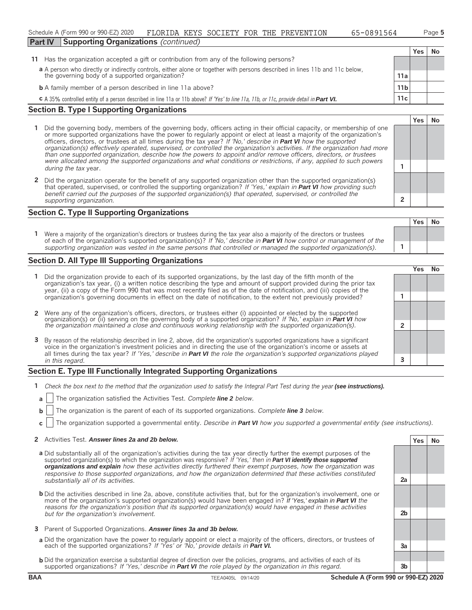| Schedule A (Form 990 or 990-EZ) 2020                |  | FLORIDA KEYS SOCIETY FOR THE PREVENTION | 65-0891564 | Page 5 |
|-----------------------------------------------------|--|-----------------------------------------|------------|--------|
| <b>Part IV Supporting Organizations (continued)</b> |  |                                         |            |        |

**Yes No**

|  | 11 Has the organization accepted a gift or contribution from any of the following persons?                                              |                 |  |  |
|--|-----------------------------------------------------------------------------------------------------------------------------------------|-----------------|--|--|
|  | a A person who directly or indirectly controls, either alone or together with persons described in lines 11b and 11c below,             |                 |  |  |
|  | the governing body of a supported organization?                                                                                         | 11a             |  |  |
|  | <b>b</b> A family member of a person described in line 11a above?                                                                       | 11 <sub>b</sub> |  |  |
|  | C A 35% controlled entity of a person described in line 11a or 11b above? If 'Yes' to line 11a, 11b, or 11c, provide detail in Part VI. | 11c             |  |  |

# **Section B. Type I Supporting Organizations**

- **1** Did the governing body, members of the governing body, officers acting in their official capacity, or membership of one or more supported organizations have the power to regularly appoint or elect at least a majority of the organization's officers, directors, or trustees at all times during the tax year? *If 'No,' describe in Part VI how the supported organization(s) effectively operated, supervised, or controlled the organization's activities. If the organization had more than one supported organization, describe how the powers to appoint and/or remove officers, directors, or trustees were allocated among the supported organizations and what conditions or restrictions, if any, applied to such powers* **<sup>1</sup>** *during the tax* year.
- **2** Did the organization operate for the benefit of any supported organization other than the supported organization(s) that operated, supervised, or controlled the supporting organization? *If 'Yes,' explain in Part VI how providing such benefit carried out the purposes of the supported organization(s) that operated, supervised, or controlled the supporting organization.* **2**

# **Section C. Type II Supporting Organizations**

**Yes No 1** Were a majority of the organization's directors or trustees during the tax year also a majority of the directors or trustees of each of the organization's supported organization(s)? *If 'No,' describe in Part VI how control or management of the supporting organization was vested in the same persons that controlled or managed the supported organization(s).* **1**

# **Section D. All Type III Supporting Organizations**

|   |                                                                                                                                                                                                                                                                                                                                                                                     | Yes |  |
|---|-------------------------------------------------------------------------------------------------------------------------------------------------------------------------------------------------------------------------------------------------------------------------------------------------------------------------------------------------------------------------------------|-----|--|
|   | Did the organization provide to each of its supported organizations, by the last day of the fifth month of the<br>organization's tax year, (i) a written notice describing the type and amount of support provided during the prior tax<br>year, (ii) a copy of the Form 990 that was most recently filed as of the date of notification, and (iii) copies of the                   |     |  |
|   | organization's governing documents in effect on the date of notification, to the extent not previously provided?                                                                                                                                                                                                                                                                    |     |  |
|   | 2 Were any of the organization's officers, directors, or trustees either (i) appointed or elected by the supported organization(s) or (ii) serving on the governing body of a supported organization? If 'No,' explain in Part                                                                                                                                                      |     |  |
|   |                                                                                                                                                                                                                                                                                                                                                                                     |     |  |
| 3 | By reason of the relationship described in line 2, above, did the organization's supported organizations have a significant<br>voice in the organization's investment policies and in directing the use of the organization's income or assets at<br>all times during the tax year? If 'Yes,' describe in <b>Part VI</b> the role the organization's supported organizations played |     |  |
|   | in this regard.                                                                                                                                                                                                                                                                                                                                                                     |     |  |
|   |                                                                                                                                                                                                                                                                                                                                                                                     |     |  |

# **Section E. Type III Functionally Integrated Supporting Organizations**

- **1** *Check the box next to the method that the organization used to satisfy the Integral Part Test during the year (see instructions).* 
	- **a** The organization satisfied the Activities Test. *Complete line 2 below.*
	- **b** The organization is the parent of each of its supported organizations. *Complete line* 3 *below.*
	- **c** The organization supported a governmental entity. *Describe in Part VI how you supported a governmental entity (see instructions).*

#### **2** Activities Test. Answer lines 2a and 2b below. **Yes No**

- **a** Did substantially all of the organization's activities during the tax year directly further the exempt purposes of the supported organization(s) to which the organization was responsive? *If 'Yes,' then in Part VI identify those supported organizations and explain how these activities directly furthered their exempt purposes, how the organization was responsive to those supported organizations, and how the organization determined that these activities constituted substantially all of its activities.* **2a**
- **b** Did the activities described in line 2a, above, constitute activities that, but for the organization's involvement, one or more of the organization's supported organization(s) would have been engaged in? *If 'Yes,' explain in Part VI the reasons for the organization's position that its supported organization(s) would have engaged in these activities but for the organization's involvement.* **2b**
- **3** Parent of Supported Organizations. *Answer lines 3a and 3b below.*
- **a** Did the organization have the power to regularly appoint or elect a majority of the officers, directors, or trustees of each of the supported organizations? *If 'Yes' or 'No,' provide details in Part VI.* **3a**
- **b** Did the organization exercise a substantial degree of direction over the policies, programs, and activities of each of its supported organizations? *If 'Yes,' describe in Part VI the role played by the organization in this regard.* **3b**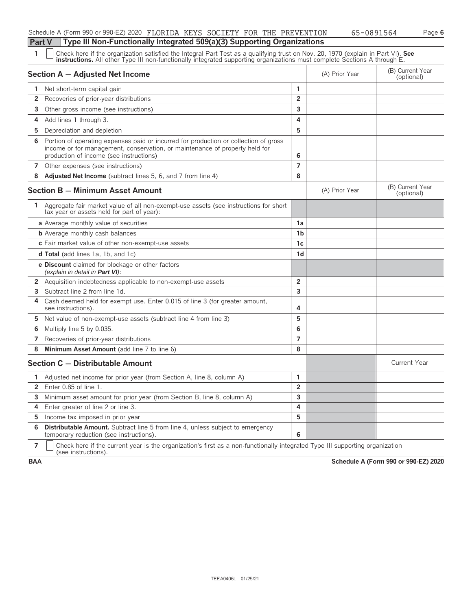| Schedule A (Form 990 or 990-EZ) 2020 FLORIDA KEYS SOCIETY FOR THE PREVENTION          |  |  | 65-0891564 | Page 6 |
|---------------------------------------------------------------------------------------|--|--|------------|--------|
| <b>Part V</b> Type III Non-Functionally Integrated 509(a)(3) Supporting Organizations |  |  |            |        |

1 Deneck here if the organization satisfied the Integral Part Test as a qualifying trust on Nov. 20, 1970 (explain in Part VI). See instructions. All other Type III non-functionally integrated supporting organizations mus

|                | Section A - Adjusted Net Income                                                                                                                                                                                | (A) Prior Year | (B) Current Year<br>(optional) |                                |
|----------------|----------------------------------------------------------------------------------------------------------------------------------------------------------------------------------------------------------------|----------------|--------------------------------|--------------------------------|
| 1.             | Net short-term capital gain                                                                                                                                                                                    | 1              |                                |                                |
| 2              | Recoveries of prior-year distributions                                                                                                                                                                         | $\overline{2}$ |                                |                                |
| 3.             | Other gross income (see instructions)                                                                                                                                                                          | 3              |                                |                                |
| 4              | Add lines 1 through 3.                                                                                                                                                                                         | 4              |                                |                                |
| 5.             | Depreciation and depletion                                                                                                                                                                                     | 5              |                                |                                |
| 6              | Portion of operating expenses paid or incurred for production or collection of gross<br>income or for management, conservation, or maintenance of property held for<br>production of income (see instructions) | 6              |                                |                                |
| $\overline{7}$ | Other expenses (see instructions)                                                                                                                                                                              | $\overline{7}$ |                                |                                |
| 8              | <b>Adjusted Net Income</b> (subtract lines 5, 6, and 7 from line 4)                                                                                                                                            | 8              |                                |                                |
|                | <b>Section B - Minimum Asset Amount</b>                                                                                                                                                                        |                | (A) Prior Year                 | (B) Current Year<br>(optional) |
| 1.             | Aggregate fair market value of all non-exempt-use assets (see instructions for short<br>tax year or assets held for part of year):                                                                             |                |                                |                                |
|                | a Average monthly value of securities                                                                                                                                                                          | 1a             |                                |                                |
|                | <b>b</b> Average monthly cash balances                                                                                                                                                                         | 1 <sub>b</sub> |                                |                                |
|                | c Fair market value of other non-exempt-use assets                                                                                                                                                             | 1c             |                                |                                |
|                | <b>d Total</b> (add lines 1a, 1b, and 1c)                                                                                                                                                                      | 1d             |                                |                                |
|                | e Discount claimed for blockage or other factors<br>(explain in detail in <b>Part VI</b> ):                                                                                                                    |                |                                |                                |
|                | 2 Acquisition indebtedness applicable to non-exempt-use assets                                                                                                                                                 | $\overline{2}$ |                                |                                |
| 3              | Subtract line 2 from line 1d.                                                                                                                                                                                  | $\overline{3}$ |                                |                                |
| 4              | Cash deemed held for exempt use. Enter 0.015 of line 3 (for greater amount,<br>see instructions).                                                                                                              | 4              |                                |                                |
|                | 5 Net value of non-exempt-use assets (subtract line 4 from line 3)                                                                                                                                             | 5              |                                |                                |
| 6              | Multiply line 5 by 0.035.                                                                                                                                                                                      | 6              |                                |                                |
| $\overline{7}$ | Recoveries of prior-year distributions                                                                                                                                                                         | $\overline{7}$ |                                |                                |
| 8              | Minimum Asset Amount (add line 7 to line 6)                                                                                                                                                                    | 8              |                                |                                |
|                | Section C - Distributable Amount                                                                                                                                                                               |                |                                | <b>Current Year</b>            |
| 1              | Adjusted net income for prior year (from Section A, line 8, column A)                                                                                                                                          | $\mathbf{1}$   |                                |                                |
| $\overline{2}$ | Enter 0.85 of line 1.                                                                                                                                                                                          | $\overline{2}$ |                                |                                |
| 3              | Minimum asset amount for prior year (from Section B, line 8, column A)                                                                                                                                         | 3              |                                |                                |
| 4              | Enter greater of line 2 or line 3.                                                                                                                                                                             | 4              |                                |                                |
|                | <b>5</b> Income tax imposed in prior year                                                                                                                                                                      | 5              |                                |                                |
| 6              | <b>Distributable Amount.</b> Subtract line 5 from line 4, unless subject to emergency<br>temporary reduction (see instructions).                                                                               | 6              |                                |                                |

**7**  $\mid$  Check here if the current year is the organization's first as a non-functionally integrated Type III supporting organization (see instructions).

**BAA Schedule A (Form 990 or 990-EZ) 2020**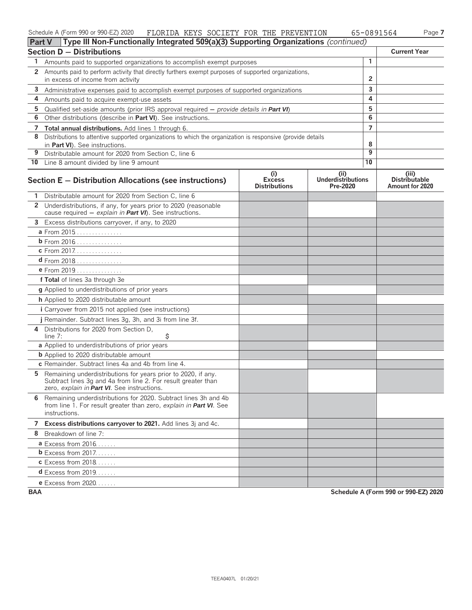#### Schedule A (Form 990 or 990-EZ) 2020 FLORIDA KEYS SOCIETY FOR THE PREVENTION 65-0891564 Page **7** FLORIDA KEYS SOCIETY FOR THE PREVENTION 65-0891564

| <b>Part V</b>         | <b>Type III Non-Functionally Integrated 509(a)(3) Supporting Organizations</b> (continued)                                                                                    |                                              |                                               |                |                                                  |
|-----------------------|-------------------------------------------------------------------------------------------------------------------------------------------------------------------------------|----------------------------------------------|-----------------------------------------------|----------------|--------------------------------------------------|
|                       | <b>Section D - Distributions</b>                                                                                                                                              |                                              |                                               |                | <b>Current Year</b>                              |
| 1                     | Amounts paid to supported organizations to accomplish exempt purposes                                                                                                         |                                              |                                               | 1              |                                                  |
| $\mathbf{2}^{\prime}$ | Amounts paid to perform activity that directly furthers exempt purposes of supported organizations,                                                                           |                                              |                                               |                |                                                  |
|                       | in excess of income from activity                                                                                                                                             |                                              |                                               | $\overline{2}$ |                                                  |
| 3                     | Administrative expenses paid to accomplish exempt purposes of supported organizations                                                                                         |                                              |                                               | 3              |                                                  |
| 4                     | Amounts paid to acquire exempt-use assets                                                                                                                                     |                                              |                                               | 4              |                                                  |
| 5                     | Qualified set-aside amounts (prior IRS approval required $-$ provide details in Part VI)                                                                                      |                                              |                                               | 5              |                                                  |
| 6                     | Other distributions (describe in Part VI). See instructions.                                                                                                                  |                                              |                                               | 6              |                                                  |
| 7                     | Total annual distributions. Add lines 1 through 6.                                                                                                                            |                                              |                                               | $\overline{7}$ |                                                  |
| 8                     | Distributions to attentive supported organizations to which the organization is responsive (provide details<br>in Part VI). See instructions.                                 |                                              |                                               | 8              |                                                  |
| 9                     | Distributable amount for 2020 from Section C, line 6                                                                                                                          |                                              |                                               | 9              |                                                  |
|                       | 10 Line 8 amount divided by line 9 amount                                                                                                                                     |                                              |                                               | 10             |                                                  |
|                       | Section E - Distribution Allocations (see instructions)                                                                                                                       | (i)<br><b>Excess</b><br><b>Distributions</b> | (ii)<br><b>Underdistributions</b><br>Pre-2020 |                | (iii)<br><b>Distributable</b><br>Amount for 2020 |
| 1.                    | Distributable amount for 2020 from Section C, line 6                                                                                                                          |                                              |                                               |                |                                                  |
|                       | 2 Underdistributions, if any, for years prior to 2020 (reasonable<br>cause required - explain in Part VI). See instructions.                                                  |                                              |                                               |                |                                                  |
| 3                     | Excess distributions carryover, if any, to 2020                                                                                                                               |                                              |                                               |                |                                                  |
|                       | a From 2015                                                                                                                                                                   |                                              |                                               |                |                                                  |
|                       | <b>b</b> From 2016                                                                                                                                                            |                                              |                                               |                |                                                  |
|                       | c From 2017.                                                                                                                                                                  |                                              |                                               |                |                                                  |
|                       | $d$ From 2018                                                                                                                                                                 |                                              |                                               |                |                                                  |
|                       | e From 2019                                                                                                                                                                   |                                              |                                               |                |                                                  |
|                       | f Total of lines 3a through 3e                                                                                                                                                |                                              |                                               |                |                                                  |
|                       | <b>g</b> Applied to underdistributions of prior years                                                                                                                         |                                              |                                               |                |                                                  |
|                       | h Applied to 2020 distributable amount                                                                                                                                        |                                              |                                               |                |                                                  |
|                       | <i>i</i> Carryover from 2015 not applied (see instructions)                                                                                                                   |                                              |                                               |                |                                                  |
|                       | j Remainder. Subtract lines 3g, 3h, and 3i from line 3f.                                                                                                                      |                                              |                                               |                |                                                  |
| 4                     | Distributions for 2020 from Section D,<br>\$<br>line 7:                                                                                                                       |                                              |                                               |                |                                                  |
|                       | a Applied to underdistributions of prior years                                                                                                                                |                                              |                                               |                |                                                  |
|                       | <b>b</b> Applied to 2020 distributable amount                                                                                                                                 |                                              |                                               |                |                                                  |
|                       | c Remainder. Subtract lines 4a and 4b from line 4.                                                                                                                            |                                              |                                               |                |                                                  |
| 5.                    | Remaining underdistributions for years prior to 2020, if any.<br>Subtract lines 3g and 4a from line 2. For result greater than<br>zero, explain in Part VI. See instructions. |                                              |                                               |                |                                                  |
|                       | 6 Remaining underdistributions for 2020. Subtract lines 3h and 4b<br>from line 1. For result greater than zero, explain in Part VI. See<br>instructions.                      |                                              |                                               |                |                                                  |
|                       | 7 Excess distributions carryover to 2021. Add lines 3j and 4c.                                                                                                                |                                              |                                               |                |                                                  |
|                       | 8 Breakdown of line 7:                                                                                                                                                        |                                              |                                               |                |                                                  |
|                       | <b>a</b> Excess from $2016$                                                                                                                                                   |                                              |                                               |                |                                                  |
|                       | <b>b</b> Excess from 2017.                                                                                                                                                    |                                              |                                               |                |                                                  |
|                       | <b>c</b> Excess from 2018                                                                                                                                                     |                                              |                                               |                |                                                  |
|                       | $d$ Excess from 2019.                                                                                                                                                         |                                              |                                               |                |                                                  |
|                       | e Excess from 2020.                                                                                                                                                           |                                              |                                               |                |                                                  |

**BAA Schedule A (Form 990 or 990-EZ) 2020**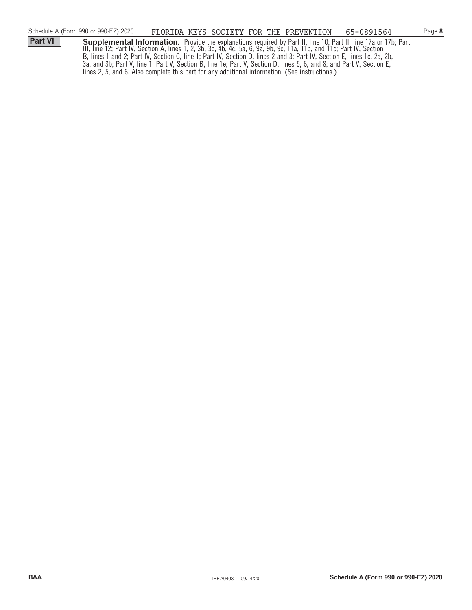|                | Schedule A (Form 990 or 990-EZ) 2020 | FLORIDA KEYS SOCIETY FOR THE PREVENTION                                                                                |  | 65-0891564                                                                                                                                                                                                                             | Page 8 |
|----------------|--------------------------------------|------------------------------------------------------------------------------------------------------------------------|--|----------------------------------------------------------------------------------------------------------------------------------------------------------------------------------------------------------------------------------------|--------|
| <b>Part VI</b> |                                      |                                                                                                                        |  | <b>Supplemental Information.</b> Provide the explanations required by Part II, line 10; Part II, line 17a or 17b; Part<br>III, line 12; Part IV, Section A, lines 1, 2, 3b, 3c, 4b, 4c, 5a, 6, 9a, 9b, 9c, 11a, 11b, and 11c; Part IV, |        |
|                |                                      |                                                                                                                        |  |                                                                                                                                                                                                                                        |        |
|                |                                      | B, lines 1 and 2; Part IV, Section C, line 1; Part IV, Section D, lines 2 and 3; Part IV, Section E, lines 1c, 2a, 2b, |  |                                                                                                                                                                                                                                        |        |
|                |                                      | 3a, and 3b; Part V, line 1; Part V, Section B, line 1e; Part V, Section D, lines 5, 6, and 8; and Part V, Section E,   |  |                                                                                                                                                                                                                                        |        |
|                |                                      | lines 2, 5, and 6. Also complete this part for any additional information. (See instructions.)                         |  |                                                                                                                                                                                                                                        |        |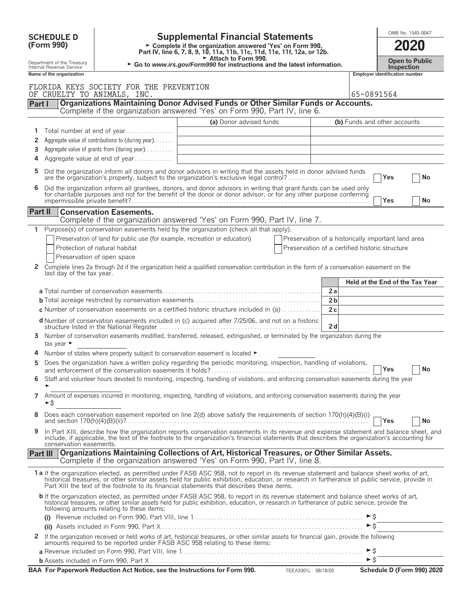|                   |                                                                                                                                                           |                                                                               | <b>Supplemental Financial Statements</b>                                                                                                                                                                                                                                                                                                                                               |                                                    |                                 | OMB No. 1545-0047                     |                                |  |  |  |
|-------------------|-----------------------------------------------------------------------------------------------------------------------------------------------------------|-------------------------------------------------------------------------------|----------------------------------------------------------------------------------------------------------------------------------------------------------------------------------------------------------------------------------------------------------------------------------------------------------------------------------------------------------------------------------------|----------------------------------------------------|---------------------------------|---------------------------------------|--------------------------------|--|--|--|
| <b>SCHEDULE D</b> |                                                                                                                                                           |                                                                               |                                                                                                                                                                                                                                                                                                                                                                                        |                                                    |                                 |                                       |                                |  |  |  |
|                   | (Form 990)<br>► Complete if the organization answered 'Yes' on Form 990,<br>Part IV, line 6, 7, 8, 9, 10, 11a, 11b, 11c, 11d, 11e, 11f, 12a, or 12b.      |                                                                               |                                                                                                                                                                                                                                                                                                                                                                                        |                                                    |                                 |                                       |                                |  |  |  |
|                   | Attach to Form 990.<br>Department of the Treasury<br>► Go to www.irs.gov/Form990 for instructions and the latest information.<br>Internal Revenue Service |                                                                               |                                                                                                                                                                                                                                                                                                                                                                                        |                                                    |                                 |                                       |                                |  |  |  |
|                   | Name of the organization                                                                                                                                  |                                                                               |                                                                                                                                                                                                                                                                                                                                                                                        |                                                    |                                 | <b>Employer identification number</b> |                                |  |  |  |
|                   |                                                                                                                                                           | FLORIDA KEYS SOCIETY FOR THE PREVENTION                                       |                                                                                                                                                                                                                                                                                                                                                                                        |                                                    |                                 |                                       |                                |  |  |  |
|                   |                                                                                                                                                           | OF CRUELTY TO ANIMALS, INC.                                                   |                                                                                                                                                                                                                                                                                                                                                                                        |                                                    | 65-0891564                      |                                       |                                |  |  |  |
| Part I            |                                                                                                                                                           |                                                                               | Organizations Maintaining Donor Advised Funds or Other Similar Funds or Accounts.<br>Complete if the organization answered 'Yes' on Form 990, Part IV, line 6.                                                                                                                                                                                                                         |                                                    |                                 |                                       |                                |  |  |  |
|                   |                                                                                                                                                           |                                                                               | (a) Donor advised funds                                                                                                                                                                                                                                                                                                                                                                |                                                    | (b) Funds and other accounts    |                                       |                                |  |  |  |
|                   |                                                                                                                                                           | Total number at end of year                                                   |                                                                                                                                                                                                                                                                                                                                                                                        |                                                    |                                 |                                       |                                |  |  |  |
| 2                 |                                                                                                                                                           | Aggregate value of contributions to (during year)                             |                                                                                                                                                                                                                                                                                                                                                                                        |                                                    |                                 |                                       |                                |  |  |  |
| 3                 |                                                                                                                                                           | Aggregate value of grants from (during year)                                  |                                                                                                                                                                                                                                                                                                                                                                                        |                                                    |                                 |                                       |                                |  |  |  |
| 4                 |                                                                                                                                                           | Aggregate value at end of year                                                |                                                                                                                                                                                                                                                                                                                                                                                        |                                                    |                                 |                                       |                                |  |  |  |
| 5                 |                                                                                                                                                           |                                                                               | Did the organization inform all donors and donor advisors in writing that the assets held in donor advised funds<br>are the organization's property, subject to the organization's exclusive legal control?                                                                                                                                                                            |                                                    |                                 | Yes                                   | No                             |  |  |  |
| 6                 |                                                                                                                                                           |                                                                               | Did the organization inform all grantees, donors, and donor advisors in writing that grant funds can be used only                                                                                                                                                                                                                                                                      |                                                    |                                 |                                       |                                |  |  |  |
|                   |                                                                                                                                                           |                                                                               | for charitable purposes and not for the benefit of the donor or donor advisor, or for any other purpose conferring                                                                                                                                                                                                                                                                     |                                                    |                                 | Yes                                   | No                             |  |  |  |
| Part II           |                                                                                                                                                           | <b>Conservation Easements.</b>                                                |                                                                                                                                                                                                                                                                                                                                                                                        |                                                    |                                 |                                       |                                |  |  |  |
|                   |                                                                                                                                                           |                                                                               | Complete if the organization answered 'Yes' on Form 990, Part IV, line 7.                                                                                                                                                                                                                                                                                                              |                                                    |                                 |                                       |                                |  |  |  |
| 1                 |                                                                                                                                                           |                                                                               | Purpose(s) of conservation easements held by the organization (check all that apply).                                                                                                                                                                                                                                                                                                  |                                                    |                                 |                                       |                                |  |  |  |
|                   |                                                                                                                                                           | Preservation of land for public use (for example, recreation or education)    |                                                                                                                                                                                                                                                                                                                                                                                        | Preservation of a historically important land area |                                 |                                       |                                |  |  |  |
|                   |                                                                                                                                                           | Protection of natural habitat                                                 |                                                                                                                                                                                                                                                                                                                                                                                        | Preservation of a certified historic structure     |                                 |                                       |                                |  |  |  |
|                   |                                                                                                                                                           | Preservation of open space                                                    |                                                                                                                                                                                                                                                                                                                                                                                        |                                                    |                                 |                                       |                                |  |  |  |
| 2                 | last day of the tax year.                                                                                                                                 |                                                                               | Complete lines 2a through 2d if the organization held a qualified conservation contribution in the form of a conservation easement on the                                                                                                                                                                                                                                              |                                                    |                                 |                                       |                                |  |  |  |
|                   |                                                                                                                                                           |                                                                               |                                                                                                                                                                                                                                                                                                                                                                                        |                                                    | Held at the End of the Tax Year |                                       |                                |  |  |  |
|                   |                                                                                                                                                           |                                                                               |                                                                                                                                                                                                                                                                                                                                                                                        | 2a<br>2 <sub>b</sub>                               |                                 |                                       |                                |  |  |  |
|                   |                                                                                                                                                           |                                                                               | <b>c</b> Number of conservation easements on a certified historic structure included in (a) $\dots$                                                                                                                                                                                                                                                                                    | 2c                                                 |                                 |                                       |                                |  |  |  |
|                   |                                                                                                                                                           |                                                                               |                                                                                                                                                                                                                                                                                                                                                                                        |                                                    |                                 |                                       |                                |  |  |  |
|                   |                                                                                                                                                           |                                                                               | <b>d</b> Number of conservation easements included in (c) acquired after 7/25/06, and not on a historic                                                                                                                                                                                                                                                                                | 2d                                                 |                                 |                                       |                                |  |  |  |
| 3                 | tax year $\blacktriangleright$                                                                                                                            |                                                                               | Number of conservation easements modified, transferred, released, extinguished, or terminated by the organization during the                                                                                                                                                                                                                                                           |                                                    |                                 |                                       |                                |  |  |  |
|                   |                                                                                                                                                           | Number of states where property subject to conservation easement is located ▶ |                                                                                                                                                                                                                                                                                                                                                                                        |                                                    |                                 |                                       |                                |  |  |  |
|                   |                                                                                                                                                           |                                                                               | Does the organization have a written policy regarding the periodic monitoring, inspection, handling of violations,                                                                                                                                                                                                                                                                     |                                                    |                                 |                                       | $  \overline{\phantom{a}} $ No |  |  |  |
| 6                 |                                                                                                                                                           |                                                                               | Staff and volunteer hours devoted to monitoring, inspecting, handling of violations, and enforcing conservation easements during the year                                                                                                                                                                                                                                              |                                                    |                                 |                                       |                                |  |  |  |
| 7                 | $\blacktriangleright$ \$                                                                                                                                  |                                                                               | Amount of expenses incurred in monitoring, inspecting, handling of violations, and enforcing conservation easements during the year                                                                                                                                                                                                                                                    |                                                    |                                 |                                       |                                |  |  |  |
| 8                 |                                                                                                                                                           |                                                                               | Does each conservation easement reported on line 2(d) above satisfy the requirements of section 170(h)(4)(B)(i)                                                                                                                                                                                                                                                                        |                                                    |                                 | <b>TYes</b>                           | No                             |  |  |  |
| 9                 | conservation easements.                                                                                                                                   |                                                                               | In Part XIII, describe how the organization reports conservation easements in its revenue and expense statement and balance sheet, and<br>include, if applicable, the text of the footnote to the organization's financial statements that describes the organization's accounting for                                                                                                 |                                                    |                                 |                                       |                                |  |  |  |
|                   | Part III                                                                                                                                                  |                                                                               | Organizations Maintaining Collections of Art, Historical Treasures, or Other Similar Assets.<br>Complete if the organization answered 'Yes' on Form 990, Part IV, line 8.                                                                                                                                                                                                              |                                                    |                                 |                                       |                                |  |  |  |
|                   |                                                                                                                                                           |                                                                               | 1a If the organization elected, as permitted under FASB ASC 958, not to report in its revenue statement and balance sheet works of art,<br>historical treasures, or other similar assets held for public exhibition, education, or research in furtherance of public service, provide in<br>Part XIII the text of the footnote to its financial statements that describes these items. |                                                    |                                 |                                       |                                |  |  |  |
|                   |                                                                                                                                                           | following amounts relating to these items:                                    | b If the organization elected, as permitted under FASB ASC 958, to report in its revenue statement and balance sheet works of art,<br>historical treasures, or other similar assets held for public exhibition, education, or research in furtherance of public service, provide the                                                                                                   |                                                    |                                 |                                       |                                |  |  |  |
|                   |                                                                                                                                                           |                                                                               |                                                                                                                                                                                                                                                                                                                                                                                        |                                                    | $\triangleright$ \$             |                                       |                                |  |  |  |
| $\mathbf{2}$      |                                                                                                                                                           |                                                                               |                                                                                                                                                                                                                                                                                                                                                                                        |                                                    |                                 |                                       |                                |  |  |  |
|                   |                                                                                                                                                           |                                                                               | If the organization received or held works of art, historical treasures, or other similar assets for financial gain, provide the following<br>amounts required to be reported under FASB ASC 958 relating to these items:                                                                                                                                                              |                                                    |                                 |                                       |                                |  |  |  |
|                   |                                                                                                                                                           |                                                                               |                                                                                                                                                                                                                                                                                                                                                                                        |                                                    | $\triangleright$ \$             |                                       |                                |  |  |  |
|                   |                                                                                                                                                           |                                                                               |                                                                                                                                                                                                                                                                                                                                                                                        |                                                    |                                 |                                       |                                |  |  |  |
|                   |                                                                                                                                                           |                                                                               | BAA For Paperwork Reduction Act Notice, see the Instructions for Form 990. TEEA3301L 08/18/20                                                                                                                                                                                                                                                                                          |                                                    |                                 |                                       | Schedule D (Form 990) 2020     |  |  |  |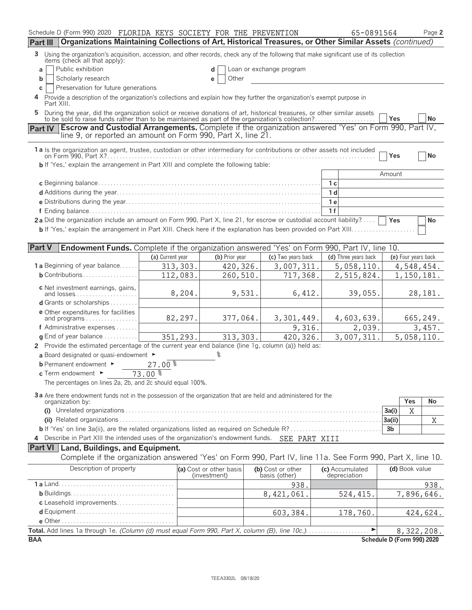| Schedule D (Form 990) 2020 FLORIDA KEYS SOCIETY FOR THE PREVENTION                                                                                                                           |                  |                                         |                                    | 65-0891564                      |                            | Page 2    |
|----------------------------------------------------------------------------------------------------------------------------------------------------------------------------------------------|------------------|-----------------------------------------|------------------------------------|---------------------------------|----------------------------|-----------|
| Organizations Maintaining Collections of Art, Historical Treasures, or Other Similar Assets (continued)<br><b>Part III</b>                                                                   |                  |                                         |                                    |                                 |                            |           |
| Using the organization's acquisition, accession, and other records, check any of the following that make significant use of its collection<br>3<br>items (check all that apply):             |                  |                                         |                                    |                                 |                            |           |
| Public exhibition<br>a                                                                                                                                                                       |                  |                                         | Loan or exchange program           |                                 |                            |           |
| Scholarly research<br>b                                                                                                                                                                      |                  | Other<br>е                              |                                    |                                 |                            |           |
| Preservation for future generations<br>С                                                                                                                                                     |                  |                                         |                                    |                                 |                            |           |
| Provide a description of the organization's collections and explain how they further the organization's exempt purpose in<br>4<br>Part XIII.                                                 |                  |                                         |                                    |                                 |                            |           |
| During the year, did the organization solicit or receive donations of art, historical treasures, or other similar assets<br>5.                                                               |                  |                                         |                                    |                                 | Yes                        | <b>No</b> |
| <b>Escrow and Custodial Arrangements.</b> Complete if the organization answered 'Yes' on Form 990, Part IV,<br><b>Part IV</b><br>line 9, or reported an amount on Form 990, Part X, line 21. |                  |                                         |                                    |                                 |                            |           |
| 1 a Is the organization an agent, trustee, custodian or other intermediary for contributions or other assets not included                                                                    |                  |                                         |                                    |                                 | Yes                        | No        |
| <b>b</b> If 'Yes,' explain the arrangement in Part XIII and complete the following table:                                                                                                    |                  |                                         |                                    |                                 |                            |           |
|                                                                                                                                                                                              |                  |                                         |                                    |                                 | Amount                     |           |
|                                                                                                                                                                                              |                  |                                         |                                    | 1 с                             |                            |           |
|                                                                                                                                                                                              |                  |                                         |                                    | 1 <sub>d</sub>                  |                            |           |
|                                                                                                                                                                                              |                  |                                         |                                    | 1 <sub>e</sub>                  |                            |           |
|                                                                                                                                                                                              |                  |                                         |                                    | 1f                              |                            |           |
| 2a Did the organization include an amount on Form 990, Part X, line 21, for escrow or custodial account liability?                                                                           |                  |                                         |                                    |                                 | Yes                        | No        |
| <b>b</b> If 'Yes,' explain the arrangement in Part XIII. Check here if the explanation has been provided on Part XIII                                                                        |                  |                                         |                                    |                                 |                            |           |
|                                                                                                                                                                                              |                  |                                         |                                    |                                 |                            |           |
| <b>Part V</b><br><b>Endowment Funds.</b> Complete if the organization answered 'Yes' on Form 990, Part IV, line 10.                                                                          |                  |                                         |                                    |                                 |                            |           |
|                                                                                                                                                                                              | (a) Current year | (b) Prior year                          | (c) Two years back                 | (d) Three years back            | (e) Four years back        |           |
| <b>1 a</b> Beginning of year balance                                                                                                                                                         | 313, 303.        | 420,326.                                | 3,007,311.                         | 5,058,110.                      | 4,548,454.                 |           |
| $b$ Contributions                                                                                                                                                                            | 112,083.         | 260,510.                                | 717,368.                           | 2,515,824.                      | 1,150,181.                 |           |
|                                                                                                                                                                                              |                  |                                         |                                    |                                 |                            |           |
| c Net investment earnings, gains,                                                                                                                                                            | 8,204.           | 9,531.                                  | 6,412.                             | 39,055.                         |                            | 28,181.   |
| d Grants or scholarships                                                                                                                                                                     |                  |                                         |                                    |                                 |                            |           |
| <b>e</b> Other expenditures for facilities                                                                                                                                                   |                  |                                         |                                    |                                 |                            |           |
| and programs                                                                                                                                                                                 | 82,297.          | 377,064.                                | 3,301,449.                         | 4,603,639.                      |                            | 665,249.  |
| f Administrative expenses                                                                                                                                                                    |                  |                                         | 9,316.                             | 2,039.                          |                            | 3,457.    |
| $q$ End of year balance $\ldots \ldots \ldots$                                                                                                                                               | 351,293.         | 313, 303.                               | 420,326.                           | 3,007,311.                      | 5,058,110.                 |           |
| 2 Provide the estimated percentage of the current year end balance (line 1g, column (a)) held as:                                                                                            |                  |                                         |                                    |                                 |                            |           |
| a Board designated or quasi-endowment ►                                                                                                                                                      |                  |                                         |                                    |                                 |                            |           |
| <b>b</b> Permanent endowment ►                                                                                                                                                               | 27.00%           |                                         |                                    |                                 |                            |           |
| $c$ Term endowment $\blacktriangleright$                                                                                                                                                     | $73.00*$         |                                         |                                    |                                 |                            |           |
| The percentages on lines 2a, 2b, and 2c should equal 100%.                                                                                                                                   |                  |                                         |                                    |                                 |                            |           |
|                                                                                                                                                                                              |                  |                                         |                                    |                                 |                            |           |
| 3a Are there endowment funds not in the possession of the organization that are held and administered for the<br>organization by:                                                            |                  |                                         |                                    |                                 | Yes                        | No        |
|                                                                                                                                                                                              |                  |                                         |                                    |                                 | X<br>3a(i)                 |           |
|                                                                                                                                                                                              |                  |                                         |                                    |                                 | 3a(ii)                     | X         |
|                                                                                                                                                                                              |                  |                                         |                                    |                                 | 3b                         |           |
| 4 Describe in Part XIII the intended uses of the organization's endowment funds. SEE PART XIII                                                                                               |                  |                                         |                                    |                                 |                            |           |
| Part VI   Land, Buildings, and Equipment.                                                                                                                                                    |                  |                                         |                                    |                                 |                            |           |
| Complete if the organization answered 'Yes' on Form 990, Part IV, line 11a. See Form 990, Part X, line 10.                                                                                   |                  |                                         |                                    |                                 |                            |           |
|                                                                                                                                                                                              |                  |                                         |                                    |                                 |                            |           |
| Description of property                                                                                                                                                                      |                  | (a) Cost or other basis<br>(investment) | (b) Cost or other<br>basis (other) | (c) Accumulated<br>depreciation | (d) Book value             |           |
|                                                                                                                                                                                              |                  |                                         | 938.                               |                                 |                            | 938.      |
|                                                                                                                                                                                              |                  |                                         | 8,421,061.                         | 524, 415.                       | 7,896,646.                 |           |
| c Leasehold improvements                                                                                                                                                                     |                  |                                         |                                    |                                 |                            |           |
|                                                                                                                                                                                              |                  |                                         | 603,384.                           | 178,760.                        |                            | 424,624.  |
|                                                                                                                                                                                              |                  |                                         |                                    |                                 |                            |           |
| Total. Add lines 1a through 1e. (Column (d) must equal Form 990, Part X, column (B), line 10c.)                                                                                              |                  |                                         |                                    | ▶                               | 8,322,208.                 |           |
| <b>BAA</b>                                                                                                                                                                                   |                  |                                         |                                    |                                 | Schedule D (Form 990) 2020 |           |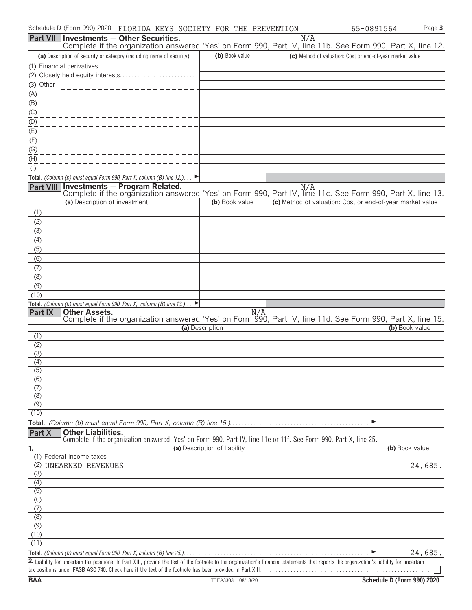| Schedule D (Form 990) 2020<br>FLORIDA KEYS SOCIETY FOR THE PREVENTION                                                                                                                       |                              |     | 65-0891564                                                | Page 3  |
|---------------------------------------------------------------------------------------------------------------------------------------------------------------------------------------------|------------------------------|-----|-----------------------------------------------------------|---------|
| <b>Part VII Investments - Other Securities.</b>                                                                                                                                             |                              | N/A |                                                           |         |
| Complete if the organization answered 'Yes' on Form 990, Part IV, line 11b. See Form 990, Part X, line 12.                                                                                  |                              |     |                                                           |         |
| (a) Description of security or category (including name of security)                                                                                                                        | (b) Book value               |     | (c) Method of valuation: Cost or end-of-year market value |         |
|                                                                                                                                                                                             |                              |     |                                                           |         |
|                                                                                                                                                                                             |                              |     |                                                           |         |
| (3) Other                                                                                                                                                                                   |                              |     |                                                           |         |
| (A)                                                                                                                                                                                         |                              |     |                                                           |         |
| (B)                                                                                                                                                                                         |                              |     |                                                           |         |
| (C)<br>(D)                                                                                                                                                                                  |                              |     |                                                           |         |
| $E(\overline{E})$                                                                                                                                                                           |                              |     |                                                           |         |
| (F)                                                                                                                                                                                         |                              |     |                                                           |         |
| (G)                                                                                                                                                                                         |                              |     |                                                           |         |
| (H)                                                                                                                                                                                         |                              |     |                                                           |         |
| (1)                                                                                                                                                                                         |                              |     |                                                           |         |
| Total. (Column (b) must equal Form 990, Part X, column (B) line $12$ .)                                                                                                                     |                              |     |                                                           |         |
| Investments - Program Related.<br>Part VIII                                                                                                                                                 |                              | N/A |                                                           |         |
| Complete if the organization answered 'Yes' on Form 990, Part IV, line 11c. See Form 990, Part X, line 13.<br>(a) Description of investment                                                 | (b) Book value               |     | (c) Method of valuation: Cost or end-of-year market value |         |
|                                                                                                                                                                                             |                              |     |                                                           |         |
| (1)                                                                                                                                                                                         |                              |     |                                                           |         |
| (2)<br>(3)                                                                                                                                                                                  |                              |     |                                                           |         |
| (4)                                                                                                                                                                                         |                              |     |                                                           |         |
| (5)                                                                                                                                                                                         |                              |     |                                                           |         |
| (6)                                                                                                                                                                                         |                              |     |                                                           |         |
| (7)                                                                                                                                                                                         |                              |     |                                                           |         |
| (8)                                                                                                                                                                                         |                              |     |                                                           |         |
| (9)                                                                                                                                                                                         |                              |     |                                                           |         |
| (10)                                                                                                                                                                                        |                              |     |                                                           |         |
| Total. (Column (b) must equal Form 990, Part X, column (B) line 13.).<br>E                                                                                                                  |                              |     |                                                           |         |
| <b>Part IX</b><br><b>Other Assets.</b><br>Complete if the organization answered 'Yes' on Form 990, Part IV, line 11d. See Form 990, Part X, line 15.                                        | N/A                          |     |                                                           |         |
|                                                                                                                                                                                             | (a) Description              |     | (b) Book value                                            |         |
| (1)                                                                                                                                                                                         |                              |     |                                                           |         |
| (2)                                                                                                                                                                                         |                              |     |                                                           |         |
| (3)                                                                                                                                                                                         |                              |     |                                                           |         |
| (4)<br>(5)                                                                                                                                                                                  |                              |     |                                                           |         |
| (6)                                                                                                                                                                                         |                              |     |                                                           |         |
| (7)                                                                                                                                                                                         |                              |     |                                                           |         |
| (8)                                                                                                                                                                                         |                              |     |                                                           |         |
| (9)                                                                                                                                                                                         |                              |     |                                                           |         |
| (10)                                                                                                                                                                                        |                              |     |                                                           |         |
|                                                                                                                                                                                             |                              |     | ▶                                                         |         |
| <b>Other Liabilities.</b><br>Part X<br>Complete if the organization answered 'Yes' on Form 990, Part IV, line 11e or 11f. See Form 990, Part X, line 25.                                    |                              |     |                                                           |         |
| 1.                                                                                                                                                                                          | (a) Description of liability |     | (b) Book value                                            |         |
| (1) Federal income taxes                                                                                                                                                                    |                              |     |                                                           |         |
| (2)<br>UNEARNED REVENUES                                                                                                                                                                    |                              |     |                                                           | 24,685. |
| (3)                                                                                                                                                                                         |                              |     |                                                           |         |
| (4)                                                                                                                                                                                         |                              |     |                                                           |         |
| (5)<br>(6)                                                                                                                                                                                  |                              |     |                                                           |         |
| $\overline{(7)}$                                                                                                                                                                            |                              |     |                                                           |         |
| (8)                                                                                                                                                                                         |                              |     |                                                           |         |
| (9)                                                                                                                                                                                         |                              |     |                                                           |         |
| (10)                                                                                                                                                                                        |                              |     |                                                           |         |
| (11)                                                                                                                                                                                        |                              |     |                                                           |         |
|                                                                                                                                                                                             |                              |     |                                                           | 24,685. |
| 2. Liability for uncertain tax positions. In Part XIII, provide the text of the footnote to the organization's financial statements that reports the organization's liability for uncertain |                              |     |                                                           |         |
|                                                                                                                                                                                             |                              |     |                                                           |         |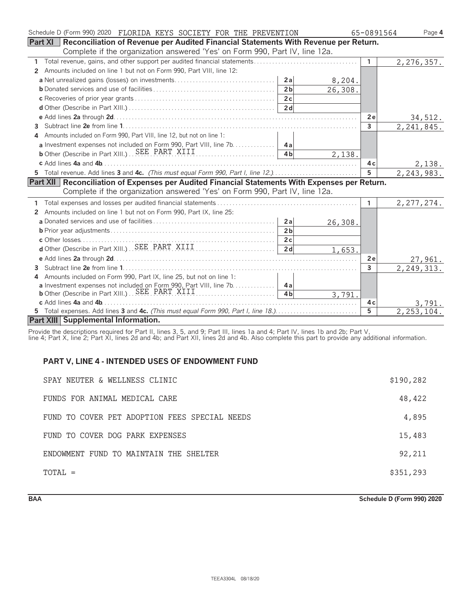| Schedule D (Form 990) 2020 FLORIDA KEYS SOCIETY FOR THE PREVENTION                             | 65-0891564     | Page 4       |
|------------------------------------------------------------------------------------------------|----------------|--------------|
| Part XI<br>Reconciliation of Revenue per Audited Financial Statements With Revenue per Return. |                |              |
| Complete if the organization answered 'Yes' on Form 990, Part IV, line 12a.                    |                |              |
|                                                                                                | $\mathbf{1}$   | 2, 276, 357. |
| Amounts included on line 1 but not on Form 990, Part VIII, line 12:<br>2                       |                |              |
| 2a                                                                                             | 8,204.         |              |
| 2 <sub>b</sub><br>26,308.                                                                      |                |              |
| 2c                                                                                             |                |              |
| 2 <sub>d</sub>                                                                                 |                |              |
|                                                                                                | 2e             | 34,512.      |
| 3                                                                                              | $\mathbf{3}$   | 2, 241, 845. |
| Amounts included on Form 990, Part VIII, line 12, but not on line 1:<br>4                      |                |              |
| a Investment expenses not included on Form 990, Part VIII, line 7b. 4a                         |                |              |
| 4 <sub>h</sub>                                                                                 | 2,138.         |              |
|                                                                                                | 4 c            | 2,138.       |
| 5 Total revenue. Add lines 3 and 4c. (This must equal Form 990, Part I, line 12.)              | 5              | 2, 243, 983. |
| Part XII Reconciliation of Expenses per Audited Financial Statements With Expenses per Return. |                |              |
| Complete if the organization answered 'Yes' on Form 990, Part IV, line 12a.                    |                |              |
|                                                                                                | 1              | 2, 277, 274. |
| Amounts included on line 1 but not on Form 990, Part IX, line 25:<br>2                         |                |              |
| 2a<br>26,308.                                                                                  |                |              |
| 2 <sub>b</sub>                                                                                 |                |              |
| 2c                                                                                             |                |              |
| 2 <sub>d</sub>                                                                                 | 1,653.         |              |
|                                                                                                | 2e             | 27,961.      |
| 3                                                                                              | $\mathbf{3}$   | 2, 249, 313. |
| Amounts included on Form 990, Part IX, line 25, but not on line 1:<br>4                        |                |              |
| a Investment expenses not included on Form 990, Part VIII, line 7b. 4a                         |                |              |
| b Other (Describe in Part XIII.) SEE PART XIII<br>4 <sub>h</sub>                               | 3,791.         |              |
|                                                                                                | 4 c            | 3,791.       |
| 5 Total expenses. Add lines 3 and 4c. (This must equal Form 990, Part I, line 18.)             | $\overline{5}$ | 2, 253, 104. |
| Part XIII Supplemental Information.                                                            |                |              |

Provide the descriptions required for Part II, lines 3, 5, and 9; Part III, lines 1a and 4; Part IV, lines 1b and 2b; Part V,

line 4; Part X, line 2; Part XI, lines 2d and 4b; and Part XII, lines 2d and 4b. Also complete this part to provide any additional information.

# **PART V, LINE 4 - INTENDED USES OF ENDOWMENT FUND**

| SPAY NEUTER & WELLNESS CLINIC                 | \$190,282 |
|-----------------------------------------------|-----------|
| FUNDS FOR ANIMAL MEDICAL CARE                 | 48,422    |
| FUND TO COVER PET ADOPTION FEES SPECIAL NEEDS | 4,895     |
| FUND TO COVER DOG PARK EXPENSES               | 15,483    |
| ENDOWMENT FUND TO MAINTAIN THE SHELTER        | 92,211    |
| TOTAL =                                       | \$351,293 |

**BAA Schedule D (Form 990) 2020**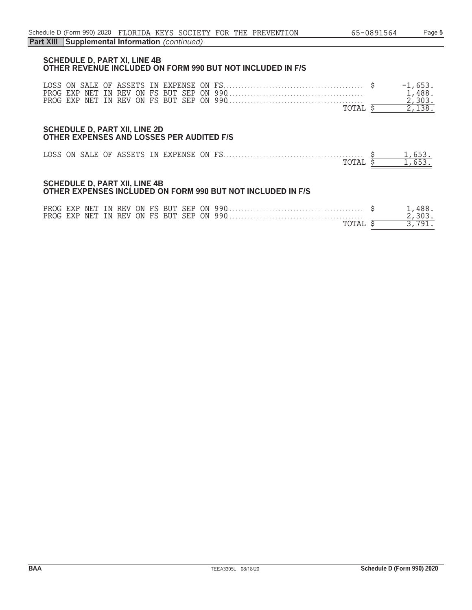### **SCHEDULE D, PART XI, LINE 4B OTHER REVENUE INCLUDED ON FORM 990 BUT NOT INCLUDED IN F/S**

|  |  |  |  |  |       | $-1.653.$ |
|--|--|--|--|--|-------|-----------|
|  |  |  |  |  |       | 1,488.    |
|  |  |  |  |  |       | 2.303.    |
|  |  |  |  |  | TOTAI |           |

#### **SCHEDULE D, PART XII, LINE 2D OTHER EXPENSES AND LOSSES PER AUDITED F/S**

|  |  |  |  | TOTAL \$ | 1.653 |
|--|--|--|--|----------|-------|

#### **SCHEDULE D, PART XII, LINE 4B OTHER EXPENSES INCLUDED ON FORM 990 BUT NOT INCLUDED IN F/S**

|  |  |  |  |  | TOTAL |  |
|--|--|--|--|--|-------|--|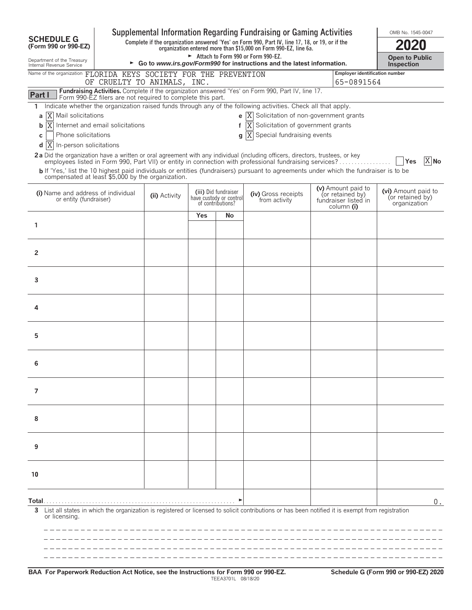|                                                              |                                                            |               |     |                                                                      | Supplemental Information Regarding Fundraising or Gaming Activities                                                                                                            |                                                                              | OMB No. 1545-0047                                       |
|--------------------------------------------------------------|------------------------------------------------------------|---------------|-----|----------------------------------------------------------------------|--------------------------------------------------------------------------------------------------------------------------------------------------------------------------------|------------------------------------------------------------------------------|---------------------------------------------------------|
| <b>SCHEDULE G</b><br>(Form 990 or 990-EZ)                    |                                                            |               |     |                                                                      | Complete if the organization answered 'Yes' on Form 990, Part IV, line 17, 18, or 19, or if the<br>organization entered more than \$15,000 on Form 990-EZ, line 6a.            |                                                                              |                                                         |
| Department of the Treasury<br>Internal Revenue Service       |                                                            |               |     |                                                                      | Attach to Form 990 or Form 990-EZ.<br>► Go to www.irs.gov/Form990 for instructions and the latest information.                                                                 |                                                                              | <b>Open to Public</b><br>Inspection                     |
| Name of the organization                                     | FLORIDA KEYS SOCIETY FOR THE PREVENTION                    |               |     |                                                                      |                                                                                                                                                                                |                                                                              | Employer identification number                          |
|                                                              | OF CRUELTY TO ANIMALS, INC.                                |               |     |                                                                      | Fundraising Activities. Complete if the organization answered 'Yes' on Form 990, Part IV, line 17.                                                                             | 65-0891564                                                                   |                                                         |
| Part I                                                       | Form 990-EZ filers are not required to complete this part. |               |     |                                                                      |                                                                                                                                                                                |                                                                              |                                                         |
| 1.<br>Mail solicitations<br>a  X                             |                                                            |               |     |                                                                      | Indicate whether the organization raised funds through any of the following activities. Check all that apply.<br><b>e</b> $\overline{X}$ Solicitation of non-government grants |                                                                              |                                                         |
| ΙX<br>b                                                      | Internet and email solicitations                           |               |     | f                                                                    | Solicitation of government grants<br> X                                                                                                                                        |                                                                              |                                                         |
| Phone solicitations<br>C                                     |                                                            |               |     |                                                                      | $g\overline{X}$<br>Special fundraising events                                                                                                                                  |                                                                              |                                                         |
| ΙX<br>d<br>In-person solicitations                           |                                                            |               |     |                                                                      | 2a Did the organization have a written or oral agreement with any individual (including officers, directors, trustees, or key                                                  |                                                                              |                                                         |
|                                                              |                                                            |               |     |                                                                      | employees listed in Form 990, Part VII) or entity in connection with professional fundraising services?                                                                        |                                                                              | X No<br>Yes                                             |
| compensated at least \$5,000 by the organization.            |                                                            |               |     |                                                                      | b If 'Yes,' list the 10 highest paid individuals or entities (fundraisers) pursuant to agreements under which the fundraiser is to be                                          |                                                                              |                                                         |
| (i) Name and address of individual<br>or entity (fundraiser) |                                                            | (ii) Activity |     | (iii) Did fundraiser<br>have custody or control<br>of contributions? | (iv) Gross receipts<br>from activity                                                                                                                                           | (v) Amount paid to<br>(or retained by)<br>fundraiser listed in<br>column (i) | (vi) Amount paid to<br>(or retained by)<br>organization |
|                                                              |                                                            |               | Yes | No                                                                   |                                                                                                                                                                                |                                                                              |                                                         |
| 1                                                            |                                                            |               |     |                                                                      |                                                                                                                                                                                |                                                                              |                                                         |
|                                                              |                                                            |               |     |                                                                      |                                                                                                                                                                                |                                                                              |                                                         |
| $\overline{2}$                                               |                                                            |               |     |                                                                      |                                                                                                                                                                                |                                                                              |                                                         |
|                                                              |                                                            |               |     |                                                                      |                                                                                                                                                                                |                                                                              |                                                         |
| 3                                                            |                                                            |               |     |                                                                      |                                                                                                                                                                                |                                                                              |                                                         |
|                                                              |                                                            |               |     |                                                                      |                                                                                                                                                                                |                                                                              |                                                         |
| 4                                                            |                                                            |               |     |                                                                      |                                                                                                                                                                                |                                                                              |                                                         |
|                                                              |                                                            |               |     |                                                                      |                                                                                                                                                                                |                                                                              |                                                         |
| 5                                                            |                                                            |               |     |                                                                      |                                                                                                                                                                                |                                                                              |                                                         |
|                                                              |                                                            |               |     |                                                                      |                                                                                                                                                                                |                                                                              |                                                         |
| 6                                                            |                                                            |               |     |                                                                      |                                                                                                                                                                                |                                                                              |                                                         |
|                                                              |                                                            |               |     |                                                                      |                                                                                                                                                                                |                                                                              |                                                         |
| 7                                                            |                                                            |               |     |                                                                      |                                                                                                                                                                                |                                                                              |                                                         |
|                                                              |                                                            |               |     |                                                                      |                                                                                                                                                                                |                                                                              |                                                         |
| 8                                                            |                                                            |               |     |                                                                      |                                                                                                                                                                                |                                                                              |                                                         |
|                                                              |                                                            |               |     |                                                                      |                                                                                                                                                                                |                                                                              |                                                         |
| 9                                                            |                                                            |               |     |                                                                      |                                                                                                                                                                                |                                                                              |                                                         |
|                                                              |                                                            |               |     |                                                                      |                                                                                                                                                                                |                                                                              |                                                         |
| 10                                                           |                                                            |               |     |                                                                      |                                                                                                                                                                                |                                                                              |                                                         |
|                                                              |                                                            |               |     |                                                                      |                                                                                                                                                                                |                                                                              |                                                         |
| Total                                                        |                                                            |               |     |                                                                      |                                                                                                                                                                                |                                                                              | 0.                                                      |
|                                                              |                                                            |               |     |                                                                      | 3 List all states in which the organization is registered or licensed to solicit contributions or has been notified it is exempt from registration                             |                                                                              |                                                         |
| or licensing.                                                |                                                            |               |     |                                                                      |                                                                                                                                                                                |                                                                              |                                                         |
|                                                              |                                                            |               |     |                                                                      |                                                                                                                                                                                |                                                                              |                                                         |
|                                                              |                                                            |               |     |                                                                      |                                                                                                                                                                                |                                                                              |                                                         |
|                                                              |                                                            |               |     |                                                                      |                                                                                                                                                                                |                                                                              |                                                         |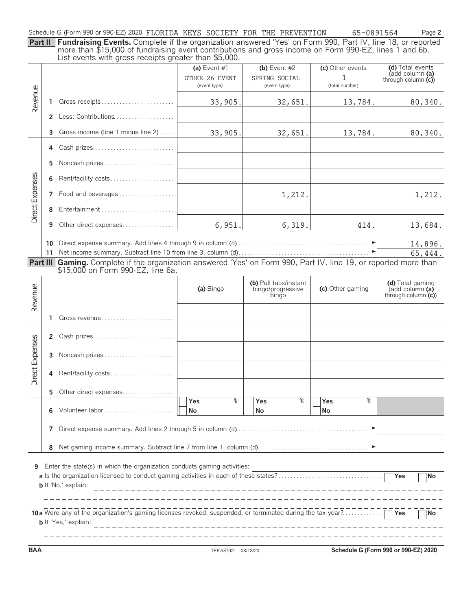| Schedule G (Form 990 or 990-EZ) 2020 FLORIDA KEYS SOCIETY FOR THE PREVENTION |  |  |  | 65-0891564 | Page 2 |
|------------------------------------------------------------------------------|--|--|--|------------|--------|
|                                                                              |  |  |  |            |        |

**Part II Fundraising Events.** Complete if the organization answered 'Yes' on Form 990, Part IV, line 18, or reported more than \$15,000 of fundraising event contributions and gross income on Form 990-EZ, lines 1 and 6b. List events with gross receipts greater than \$5,000.

|                 |    | $\sim$ . The control matrix of the control diversion the control of $\sim$                                                                             | (a) Event $#1$ | (b) Event $#2$                                      | (c) Other events       | (d) Total events                                            |
|-----------------|----|--------------------------------------------------------------------------------------------------------------------------------------------------------|----------------|-----------------------------------------------------|------------------------|-------------------------------------------------------------|
|                 |    |                                                                                                                                                        | OTHER 26 EVENT | SPRING SOCIAL                                       |                        | (add column (a)<br>through column $(c)$                     |
|                 |    |                                                                                                                                                        | (event type)   | (event type)                                        | (total number)         |                                                             |
| Revenue         | 1  | Gross receipts                                                                                                                                         | 33,905.        | 32,651.                                             | 13,784.                | 80,340.                                                     |
|                 |    | 2 Less: Contributions                                                                                                                                  |                |                                                     |                        |                                                             |
|                 | 3  | Gross income (line 1 minus line 2)                                                                                                                     | 33,905.        | 32,651.                                             | 13,784.                | 80,340.                                                     |
|                 | 4  | Cash prizes                                                                                                                                            |                |                                                     |                        |                                                             |
|                 | 5. | Noncash prizes                                                                                                                                         |                |                                                     |                        |                                                             |
|                 | 6  | Rent/facility costs                                                                                                                                    |                |                                                     |                        |                                                             |
| Direct Expenses |    | 7 Food and beverages                                                                                                                                   |                | 1,212.                                              |                        | 1,212.                                                      |
|                 | 8  | Entertainment                                                                                                                                          |                |                                                     |                        |                                                             |
|                 | 9  | Other direct expenses                                                                                                                                  | 6,951.         | 6,319.                                              | 414.                   | 13,684.                                                     |
|                 | 10 |                                                                                                                                                        |                |                                                     |                        | 14,896.                                                     |
|                 | 11 |                                                                                                                                                        |                |                                                     |                        | 65,444.                                                     |
|                 |    | Part III Gaming. Complete if the organization answered 'Yes' on Form 990, Part IV, line 19, or reported more than<br>\$15,000 on Form 990-EZ, line 6a. |                |                                                     |                        |                                                             |
| Revenue         |    |                                                                                                                                                        | (a) Bingo      | (b) Pull tabs/instant<br>bingo/progressive<br>bingo | (c) Other gaming       | (d) Total gaming<br>(add column (a)<br>through column $(c)$ |
|                 | 1. | Gross revenue                                                                                                                                          |                |                                                     |                        |                                                             |
|                 |    | 2 Cash prizes                                                                                                                                          |                |                                                     |                        |                                                             |
|                 |    | 3 Noncash prizes                                                                                                                                       |                |                                                     |                        |                                                             |
| Direct Expenses |    | 4 Rent/facility costs                                                                                                                                  |                |                                                     |                        |                                                             |
|                 |    | 5 Other direct expenses                                                                                                                                |                |                                                     |                        |                                                             |
|                 | 6  |                                                                                                                                                        | %<br>Yes<br>No | နွ<br>Yes<br>No                                     | နွ<br><b>Yes</b><br>No |                                                             |
|                 | 7  |                                                                                                                                                        |                |                                                     |                        |                                                             |
|                 | 8  |                                                                                                                                                        |                |                                                     |                        |                                                             |
| 9               |    | Enter the state(s) in which the organization conducts gaming activities:<br><b>b</b> If 'No,' explain:                                                 |                |                                                     |                        | <b>No</b>                                                   |
|                 |    | 10 a Were any of the organization's gaming licenses revoked, suspended, or terminated during the tax year? $\ldots$<br><b>b</b> If 'Yes,' explain:     |                |                                                     |                        | ∏No                                                         |

**BAA** TEEA3702L 08/18/20 **Schedule G (Form 990 or 990-EZ) 2020**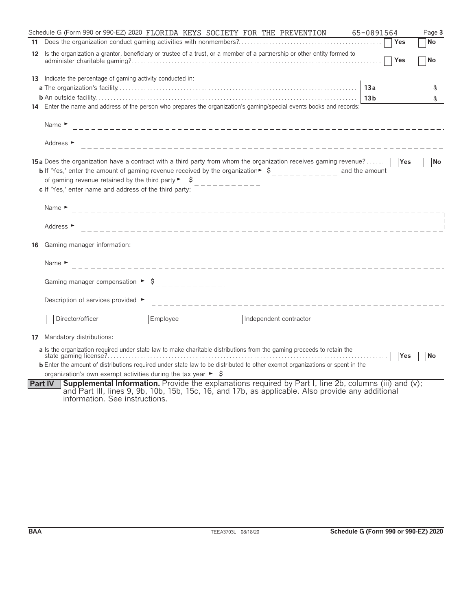| Schedule G (Form 990 or 990-EZ) 2020 FLORIDA KEYS SOCIETY FOR THE PREVENTION                                                                                                                                                                                                                                                                                                                         | 65-0891564       | Page 3    |
|------------------------------------------------------------------------------------------------------------------------------------------------------------------------------------------------------------------------------------------------------------------------------------------------------------------------------------------------------------------------------------------------------|------------------|-----------|
|                                                                                                                                                                                                                                                                                                                                                                                                      | <b>Yes</b>       | <b>No</b> |
| Is the organization a grantor, beneficiary or trustee of a trust, or a member of a partnership or other entity formed to<br>12.                                                                                                                                                                                                                                                                      | Yes              | No        |
| <b>13</b> Indicate the percentage of gaming activity conducted in:                                                                                                                                                                                                                                                                                                                                   |                  |           |
| 13a                                                                                                                                                                                                                                                                                                                                                                                                  |                  | ႜ         |
|                                                                                                                                                                                                                                                                                                                                                                                                      | 13 <sub>b</sub>  | $\approx$ |
| 14 Enter the name and address of the person who prepares the organization's gaming/special events books and records:                                                                                                                                                                                                                                                                                 |                  |           |
| Name $\blacktriangleright$                                                                                                                                                                                                                                                                                                                                                                           |                  |           |
| Address ►                                                                                                                                                                                                                                                                                                                                                                                            |                  |           |
| <b>15a</b> Does the organization have a contract with a third party from whom the organization receives gaming revenue?<br><b>b</b> If 'Yes,' enter the amount of gaming revenue received by the organization $\ast$ $\ast$<br>and the amount<br>of gaming revenue retained by the third party $\blacktriangleright$ $\blacktriangleright$<br>c If 'Yes,' enter name and address of the third party: |                  | <b>No</b> |
| Name $\blacktriangleright$                                                                                                                                                                                                                                                                                                                                                                           |                  |           |
| Address ►                                                                                                                                                                                                                                                                                                                                                                                            |                  |           |
| Gaming manager information:<br>16                                                                                                                                                                                                                                                                                                                                                                    |                  |           |
| Name $\blacktriangleright$                                                                                                                                                                                                                                                                                                                                                                           |                  |           |
|                                                                                                                                                                                                                                                                                                                                                                                                      |                  |           |
| Description of services provided ►                                                                                                                                                                                                                                                                                                                                                                   |                  |           |
| Director/officer<br>Employee<br>Independent contractor                                                                                                                                                                                                                                                                                                                                               |                  |           |
| Mandatory distributions:<br>17                                                                                                                                                                                                                                                                                                                                                                       |                  |           |
| a Is the organization required under state law to make charitable distributions from the gaming proceeds to retain the                                                                                                                                                                                                                                                                               | <b>PYes</b><br>. | l No      |
| <b>b</b> Enter the amount of distributions required under state law to be distributed to other exempt organizations or spent in the                                                                                                                                                                                                                                                                  |                  |           |
| organization's own exempt activities during the tax year $\blacktriangleright$ $\blacklozenge$<br><b>Supplemental Information.</b> Provide the explanations required by Part I, line 2b, columns (iii) and (v);<br><b>Part IV</b>                                                                                                                                                                    |                  |           |
| and Part III, lines 9, 9b, 10b, 15b, 15c, 16, and 17b, as applicable. Also provide any additional<br>information. See instructions.                                                                                                                                                                                                                                                                  |                  |           |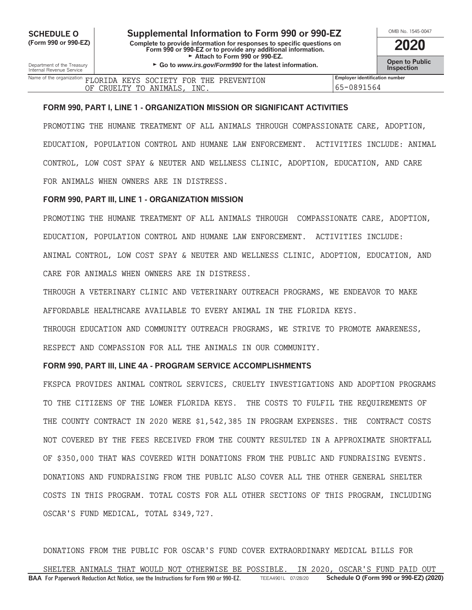**CHEDULE O Supplemental Information to Form 990 or 990-EZ** MB No. 1545-00<br>
Complete to provide information for responses to specific questions on **COOO (Form 990 or 990-EZ) Complete to provide information for responses to specific questions on Form 990 or 990-EZ or to provide any additional information. 2020** Attach to Form 990 or 990-EZ.

Department of the Treasury **Comment of the Treasury Comment of the Universe of the Service Comment of the Internal Revenue Service<br>Internal Revenue Service <b>Inspection** 

| OMB No. 1545-0047                    |
|--------------------------------------|
| 2020                                 |
|                                      |
| <b>Open to Public<br/>Inspection</b> |

Name of the organization **FLORIDA KEYS SOCIETY FOR THE PREVENTION Employer identification number** 65-0891564 OF CRUELTY TO ANIMALS, INC.

#### **FORM 990, PART I, LINE 1 - ORGANIZATION MISSION OR SIGNIFICANT ACTIVITIES**

PROMOTING THE HUMANE TREATMENT OF ALL ANIMALS THROUGH COMPASSIONATE CARE, ADOPTION, EDUCATION, POPULATION CONTROL AND HUMANE LAW ENFORCEMENT. ACTIVITIES INCLUDE: ANIMAL CONTROL, LOW COST SPAY & NEUTER AND WELLNESS CLINIC, ADOPTION, EDUCATION, AND CARE FOR ANIMALS WHEN OWNERS ARE IN DISTRESS.

### **FORM 990, PART III, LINE 1 - ORGANIZATION MISSION**

PROMOTING THE HUMANE TREATMENT OF ALL ANIMALS THROUGH COMPASSIONATE CARE, ADOPTION, EDUCATION, POPULATION CONTROL AND HUMANE LAW ENFORCEMENT. ACTIVITIES INCLUDE: ANIMAL CONTROL, LOW COST SPAY & NEUTER AND WELLNESS CLINIC, ADOPTION, EDUCATION, AND CARE FOR ANIMALS WHEN OWNERS ARE IN DISTRESS.

THROUGH A VETERINARY CLINIC AND VETERINARY OUTREACH PROGRAMS, WE ENDEAVOR TO MAKE AFFORDABLE HEALTHCARE AVAILABLE TO EVERY ANIMAL IN THE FLORIDA KEYS.

THROUGH EDUCATION AND COMMUNITY OUTREACH PROGRAMS, WE STRIVE TO PROMOTE AWARENESS, RESPECT AND COMPASSION FOR ALL THE ANIMALS IN OUR COMMUNITY.

# **FORM 990, PART III, LINE 4A - PROGRAM SERVICE ACCOMPLISHMENTS**

FKSPCA PROVIDES ANIMAL CONTROL SERVICES, CRUELTY INVESTIGATIONS AND ADOPTION PROGRAMS TO THE CITIZENS OF THE LOWER FLORIDA KEYS. THE COSTS TO FULFIL THE REQUIREMENTS OF THE COUNTY CONTRACT IN 2020 WERE \$1,542,385 IN PROGRAM EXPENSES. THE CONTRACT COSTS NOT COVERED BY THE FEES RECEIVED FROM THE COUNTY RESULTED IN A APPROXIMATE SHORTFALL OF \$350,000 THAT WAS COVERED WITH DONATIONS FROM THE PUBLIC AND FUNDRAISING EVENTS. DONATIONS AND FUNDRAISING FROM THE PUBLIC ALSO COVER ALL THE OTHER GENERAL SHELTER COSTS IN THIS PROGRAM. TOTAL COSTS FOR ALL OTHER SECTIONS OF THIS PROGRAM, INCLUDING OSCAR'S FUND MEDICAL, TOTAL \$349,727.

**BAA For Paperwork Reduction Act Notice, see the Instructions for Form 990 or 990-EZ.** TEEA4901L 07/28/20 **Schedule O (Form 990 or 990-EZ) (2020)** DONATIONS FROM THE PUBLIC FOR OSCAR'S FUND COVER EXTRAORDINARY MEDICAL BILLS FOR SHELTER ANIMALS THAT WOULD NOT OTHERWISE BE POSSIBLE. IN 2020, OSCAR'S FUND PAID OUT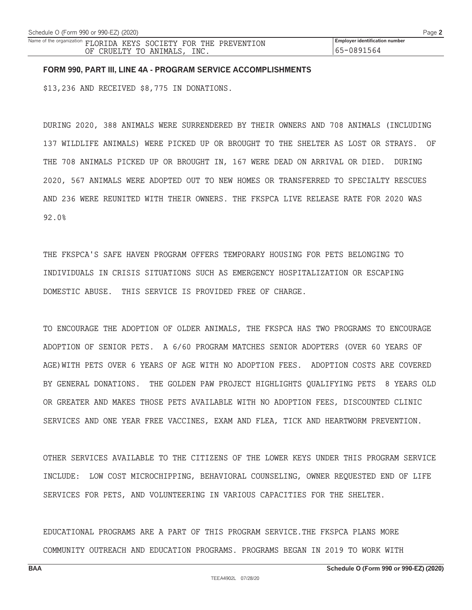65-0891564

# **FORM 990, PART III, LINE 4A - PROGRAM SERVICE ACCOMPLISHMENTS**

\$13,236 AND RECEIVED \$8,775 IN DONATIONS.

DURING 2020, 388 ANIMALS WERE SURRENDERED BY THEIR OWNERS AND 708 ANIMALS (INCLUDING 137 WILDLIFE ANIMALS) WERE PICKED UP OR BROUGHT TO THE SHELTER AS LOST OR STRAYS. OF THE 708 ANIMALS PICKED UP OR BROUGHT IN, 167 WERE DEAD ON ARRIVAL OR DIED. DURING 2020, 567 ANIMALS WERE ADOPTED OUT TO NEW HOMES OR TRANSFERRED TO SPECIALTY RESCUES AND 236 WERE REUNITED WITH THEIR OWNERS. THE FKSPCA LIVE RELEASE RATE FOR 2020 WAS 92.0%

THE FKSPCA'S SAFE HAVEN PROGRAM OFFERS TEMPORARY HOUSING FOR PETS BELONGING TO INDIVIDUALS IN CRISIS SITUATIONS SUCH AS EMERGENCY HOSPITALIZATION OR ESCAPING DOMESTIC ABUSE. THIS SERVICE IS PROVIDED FREE OF CHARGE.

TO ENCOURAGE THE ADOPTION OF OLDER ANIMALS, THE FKSPCA HAS TWO PROGRAMS TO ENCOURAGE ADOPTION OF SENIOR PETS. A 6/60 PROGRAM MATCHES SENIOR ADOPTERS (OVER 60 YEARS OF AGE)WITH PETS OVER 6 YEARS OF AGE WITH NO ADOPTION FEES. ADOPTION COSTS ARE COVERED BY GENERAL DONATIONS. THE GOLDEN PAW PROJECT HIGHLIGHTS QUALIFYING PETS 8 YEARS OLD OR GREATER AND MAKES THOSE PETS AVAILABLE WITH NO ADOPTION FEES, DISCOUNTED CLINIC SERVICES AND ONE YEAR FREE VACCINES, EXAM AND FLEA, TICK AND HEARTWORM PREVENTION.

OTHER SERVICES AVAILABLE TO THE CITIZENS OF THE LOWER KEYS UNDER THIS PROGRAM SERVICE INCLUDE: LOW COST MICROCHIPPING, BEHAVIORAL COUNSELING, OWNER REQUESTED END OF LIFE SERVICES FOR PETS, AND VOLUNTEERING IN VARIOUS CAPACITIES FOR THE SHELTER.

EDUCATIONAL PROGRAMS ARE A PART OF THIS PROGRAM SERVICE.THE FKSPCA PLANS MORE COMMUNITY OUTREACH AND EDUCATION PROGRAMS. PROGRAMS BEGAN IN 2019 TO WORK WITH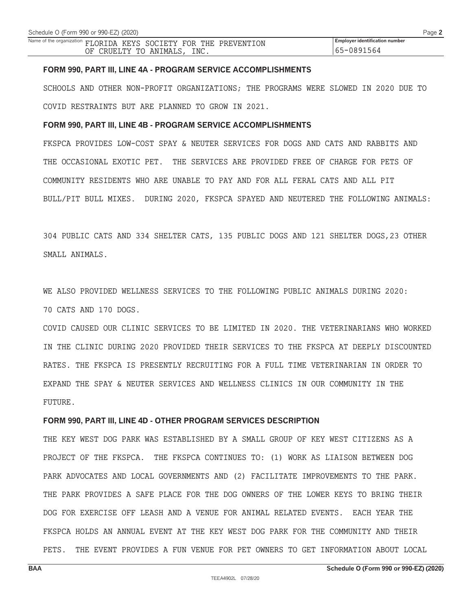Name of the organization **FLORIDA KEYS SOCIETY FOR THE PREVENTION Employer identification number** 65-0891564 OF CRUELTY TO ANIMALS, INC.

#### **FORM 990, PART III, LINE 4A - PROGRAM SERVICE ACCOMPLISHMENTS**

SCHOOLS AND OTHER NON-PROFIT ORGANIZATIONS; THE PROGRAMS WERE SLOWED IN 2020 DUE TO COVID RESTRAINTS BUT ARE PLANNED TO GROW IN 2021.

# **FORM 990, PART III, LINE 4B - PROGRAM SERVICE ACCOMPLISHMENTS**

FKSPCA PROVIDES LOW-COST SPAY & NEUTER SERVICES FOR DOGS AND CATS AND RABBITS AND THE OCCASIONAL EXOTIC PET. THE SERVICES ARE PROVIDED FREE OF CHARGE FOR PETS OF COMMUNITY RESIDENTS WHO ARE UNABLE TO PAY AND FOR ALL FERAL CATS AND ALL PIT BULL/PIT BULL MIXES. DURING 2020, FKSPCA SPAYED AND NEUTERED THE FOLLOWING ANIMALS:

304 PUBLIC CATS AND 334 SHELTER CATS, 135 PUBLIC DOGS AND 121 SHELTER DOGS,23 OTHER SMALL ANIMALS.

WE ALSO PROVIDED WELLNESS SERVICES TO THE FOLLOWING PUBLIC ANIMALS DURING 2020: 70 CATS AND 170 DOGS.

COVID CAUSED OUR CLINIC SERVICES TO BE LIMITED IN 2020. THE VETERINARIANS WHO WORKED IN THE CLINIC DURING 2020 PROVIDED THEIR SERVICES TO THE FKSPCA AT DEEPLY DISCOUNTED RATES. THE FKSPCA IS PRESENTLY RECRUITING FOR A FULL TIME VETERINARIAN IN ORDER TO EXPAND THE SPAY & NEUTER SERVICES AND WELLNESS CLINICS IN OUR COMMUNITY IN THE FUTURE.

#### **FORM 990, PART III, LINE 4D - OTHER PROGRAM SERVICES DESCRIPTION**

THE KEY WEST DOG PARK WAS ESTABLISHED BY A SMALL GROUP OF KEY WEST CITIZENS AS A PROJECT OF THE FKSPCA. THE FKSPCA CONTINUES TO: (1) WORK AS LIAISON BETWEEN DOG PARK ADVOCATES AND LOCAL GOVERNMENTS AND (2) FACILITATE IMPROVEMENTS TO THE PARK. THE PARK PROVIDES A SAFE PLACE FOR THE DOG OWNERS OF THE LOWER KEYS TO BRING THEIR DOG FOR EXERCISE OFF LEASH AND A VENUE FOR ANIMAL RELATED EVENTS. EACH YEAR THE FKSPCA HOLDS AN ANNUAL EVENT AT THE KEY WEST DOG PARK FOR THE COMMUNITY AND THEIR PETS. THE EVENT PROVIDES A FUN VENUE FOR PET OWNERS TO GET INFORMATION ABOUT LOCAL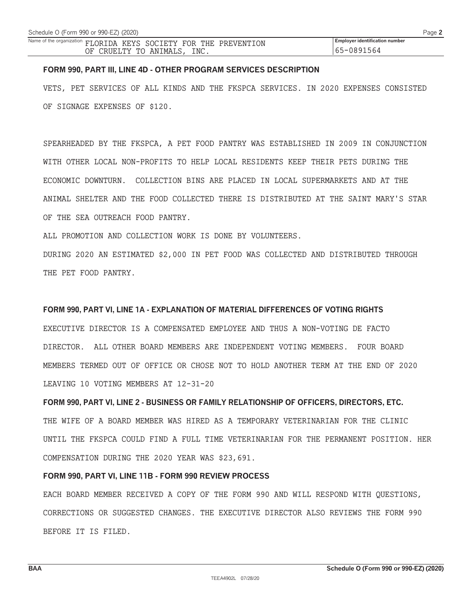### **FORM 990, PART III, LINE 4D - OTHER PROGRAM SERVICES DESCRIPTION**

VETS, PET SERVICES OF ALL KINDS AND THE FKSPCA SERVICES. IN 2020 EXPENSES CONSISTED OF SIGNAGE EXPENSES OF \$120.

SPEARHEADED BY THE FKSPCA, A PET FOOD PANTRY WAS ESTABLISHED IN 2009 IN CONJUNCTION WITH OTHER LOCAL NON-PROFITS TO HELP LOCAL RESIDENTS KEEP THEIR PETS DURING THE ECONOMIC DOWNTURN. COLLECTION BINS ARE PLACED IN LOCAL SUPERMARKETS AND AT THE ANIMAL SHELTER AND THE FOOD COLLECTED THERE IS DISTRIBUTED AT THE SAINT MARY'S STAR OF THE SEA OUTREACH FOOD PANTRY.

ALL PROMOTION AND COLLECTION WORK IS DONE BY VOLUNTEERS.

DURING 2020 AN ESTIMATED \$2,000 IN PET FOOD WAS COLLECTED AND DISTRIBUTED THROUGH THE PET FOOD PANTRY.

# **FORM 990, PART VI, LINE 1A - EXPLANATION OF MATERIAL DIFFERENCES OF VOTING RIGHTS**

EXECUTIVE DIRECTOR IS A COMPENSATED EMPLOYEE AND THUS A NON-VOTING DE FACTO DIRECTOR. ALL OTHER BOARD MEMBERS ARE INDEPENDENT VOTING MEMBERS. FOUR BOARD MEMBERS TERMED OUT OF OFFICE OR CHOSE NOT TO HOLD ANOTHER TERM AT THE END OF 2020 LEAVING 10 VOTING MEMBERS AT 12-31-20

**FORM 990, PART VI, LINE 2 - BUSINESS OR FAMILY RELATIONSHIP OF OFFICERS, DIRECTORS, ETC.** THE WIFE OF A BOARD MEMBER WAS HIRED AS A TEMPORARY VETERINARIAN FOR THE CLINIC UNTIL THE FKSPCA COULD FIND A FULL TIME VETERINARIAN FOR THE PERMANENT POSITION. HER COMPENSATION DURING THE 2020 YEAR WAS \$23,691.

# **FORM 990, PART VI, LINE 11B - FORM 990 REVIEW PROCESS**

EACH BOARD MEMBER RECEIVED A COPY OF THE FORM 990 AND WILL RESPOND WITH QUESTIONS, CORRECTIONS OR SUGGESTED CHANGES. THE EXECUTIVE DIRECTOR ALSO REVIEWS THE FORM 990 BEFORE IT IS FILED.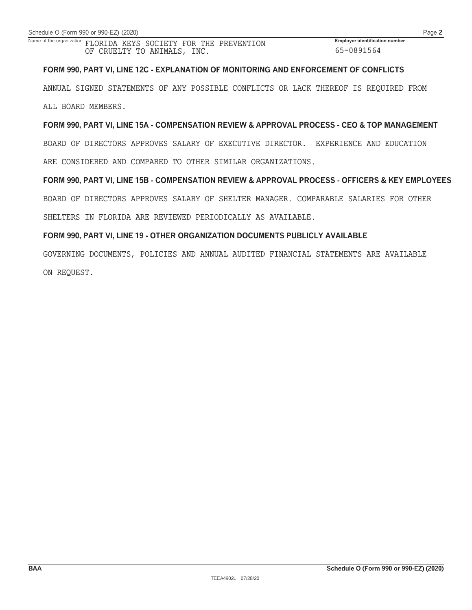# **FORM 990, PART VI, LINE 12C - EXPLANATION OF MONITORING AND ENFORCEMENT OF CONFLICTS**

ANNUAL SIGNED STATEMENTS OF ANY POSSIBLE CONFLICTS OR LACK THEREOF IS REQUIRED FROM ALL BOARD MEMBERS.

**FORM 990, PART VI, LINE 15A - COMPENSATION REVIEW & APPROVAL PROCESS - CEO & TOP MANAGEMENT** BOARD OF DIRECTORS APPROVES SALARY OF EXECUTIVE DIRECTOR. EXPERIENCE AND EDUCATION ARE CONSIDERED AND COMPARED TO OTHER SIMILAR ORGANIZATIONS.

# **FORM 990, PART VI, LINE 15B - COMPENSATION REVIEW & APPROVAL PROCESS - OFFICERS & KEY EMPLOYEES**

BOARD OF DIRECTORS APPROVES SALARY OF SHELTER MANAGER. COMPARABLE SALARIES FOR OTHER

SHELTERS IN FLORIDA ARE REVIEWED PERIODICALLY AS AVAILABLE.

# **FORM 990, PART VI, LINE 19 - OTHER ORGANIZATION DOCUMENTS PUBLICLY AVAILABLE**

GOVERNING DOCUMENTS, POLICIES AND ANNUAL AUDITED FINANCIAL STATEMENTS ARE AVAILABLE ON REQUEST.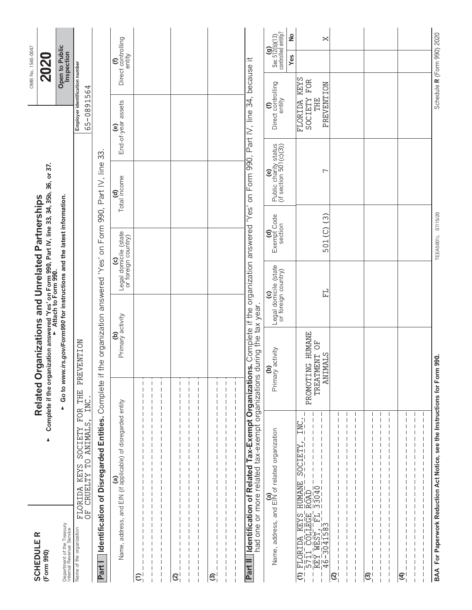| <b>SCHEDULER</b><br>(Form 990)                                                            | $\blacktriangle$                                                                                                                                                       | Complete if the organization answered 'Yes' on Form 990, Part IV, line 33, 34, 35b, 36, or 37.<br>Attach to Form 990.<br>Related Organizations and Unrelated Partnerships |                                                                        |                                       |                                                        |                                                | OMB No. 1545-0047<br>202                             |                                                                                                 |  |
|-------------------------------------------------------------------------------------------|------------------------------------------------------------------------------------------------------------------------------------------------------------------------|---------------------------------------------------------------------------------------------------------------------------------------------------------------------------|------------------------------------------------------------------------|---------------------------------------|--------------------------------------------------------|------------------------------------------------|------------------------------------------------------|-------------------------------------------------------------------------------------------------|--|
| Department of the Treasury<br>Internal Revenue Service                                    |                                                                                                                                                                        | Go to www.irs.gov/Form990 for instructions and the latest information.<br>$\blacktriangle$                                                                                |                                                                        |                                       |                                                        |                                                | Open to Public<br>Inspection                         |                                                                                                 |  |
| Name of the organization                                                                  | FOR<br><b>ANIMALS</b><br><b>ZLETDOS</b><br>$\Gamma$<br><b>KEYS</b><br><b>CRUELTY</b><br>FLORIDA<br>OF CRUEI                                                            | <b>ENTION</b><br>PREV<br>THE<br>INC                                                                                                                                       |                                                                        |                                       |                                                        | Employer identification number<br>65-0891564   |                                                      |                                                                                                 |  |
| Part I                                                                                    | Identification of Disregarded Entities.                                                                                                                                | $\pm$<br>Complete                                                                                                                                                         | the organization answered 'Yes' on                                     | Form 990,                             | $\mathfrak{Z}$<br>Part IV, line                        |                                                |                                                      |                                                                                                 |  |
| and<br>Name, address,                                                                     | (a)<br>EIN (if applicable) of disregarded entity                                                                                                                       | (b)<br>Primary activity                                                                                                                                                   | Legal domicile (state<br>or foreign country)                           |                                       | Total income<br>ਰੁ                                     | End-of-year assets<br>$\widehat{e}$            | Direct controlling<br>entity<br>$\widehat{\epsilon}$ |                                                                                                 |  |
| $\widehat{c}$                                                                             |                                                                                                                                                                        |                                                                                                                                                                           |                                                                        |                                       |                                                        |                                                |                                                      |                                                                                                 |  |
|                                                                                           |                                                                                                                                                                        |                                                                                                                                                                           |                                                                        |                                       |                                                        |                                                |                                                      |                                                                                                 |  |
| $\mathfrak{D}$                                                                            |                                                                                                                                                                        |                                                                                                                                                                           |                                                                        |                                       |                                                        |                                                |                                                      |                                                                                                 |  |
|                                                                                           |                                                                                                                                                                        |                                                                                                                                                                           |                                                                        |                                       |                                                        |                                                |                                                      |                                                                                                 |  |
| $\widehat{\mathfrak{S}}$                                                                  |                                                                                                                                                                        |                                                                                                                                                                           |                                                                        |                                       |                                                        |                                                |                                                      |                                                                                                 |  |
|                                                                                           |                                                                                                                                                                        |                                                                                                                                                                           |                                                                        |                                       |                                                        |                                                |                                                      |                                                                                                 |  |
| <b>Identification of Related</b><br>Part I                                                | had one or more related tax-exempt organizations during the tax year.                                                                                                  | Tax-Exempt Organizations. Complete if the organization answered 'Yes' on Form 990, Part IV, line 34, because it                                                           |                                                                        |                                       |                                                        |                                                |                                                      |                                                                                                 |  |
|                                                                                           | (a)<br>Name, address, and EIN of related organization                                                                                                                  | (b)<br>Primary activity                                                                                                                                                   | Legal domicile (state<br>or foreign country)<br>$\mathbf{\widehat{c}}$ | Exempt Code<br>Exempt Code<br>section | (e)<br>Public charity status<br>(if section 501(c)(3)) | (f)<br>Direct controlling<br>entity            |                                                      | $\mathop{\mathrm{Sec}}\limits_{\mathrm{Sn2(b)(13)}}$ controlled entity?<br>$\frac{1}{2}$<br>Yes |  |
| <b>FIORIDA KEYS</b><br>- 5711 COLLEGE<br>- KEY WEST, FIL<br>- 46-3041583<br>$\widehat{c}$ | $\overline{\text{INC}}$ .<br><u>ZQCTELA</u><br>$\begin{tabular}{ l l } \hline HUMAME\\ \hline ROMD\\ \hline ROMD\\ \hline ROMD\\ \hline 3.040\\ \hline \end{tabular}.$ | PROMOTING HUMANE<br>TREATMENT OF<br><b>ANIMALS</b>                                                                                                                        | 납                                                                      | $501(C)$ (3)                          | Γ                                                      | PREVENTION<br><b>ZLETDOS</b><br>EHE<br>FLORIDA | <b>KEYS</b><br>FOR                                   | $\bowtie$                                                                                       |  |
| $\mathfrak{D}$                                                                            |                                                                                                                                                                        |                                                                                                                                                                           |                                                                        |                                       |                                                        |                                                |                                                      |                                                                                                 |  |
| <u>ଟ</u>                                                                                  |                                                                                                                                                                        |                                                                                                                                                                           |                                                                        |                                       |                                                        |                                                |                                                      |                                                                                                 |  |
|                                                                                           |                                                                                                                                                                        |                                                                                                                                                                           |                                                                        |                                       |                                                        |                                                |                                                      |                                                                                                 |  |
| $\widehat{\mathcal{L}}$                                                                   |                                                                                                                                                                        |                                                                                                                                                                           |                                                                        |                                       |                                                        |                                                |                                                      |                                                                                                 |  |
|                                                                                           |                                                                                                                                                                        |                                                                                                                                                                           |                                                                        |                                       |                                                        |                                                |                                                      |                                                                                                 |  |
|                                                                                           | BAA For Paperwork Reduction Act Notice, see the Instructions for Form 990.                                                                                             |                                                                                                                                                                           |                                                                        | TEEA5001L 07/15/20                    |                                                        |                                                | Schedule R (Form 990) 2020                           |                                                                                                 |  |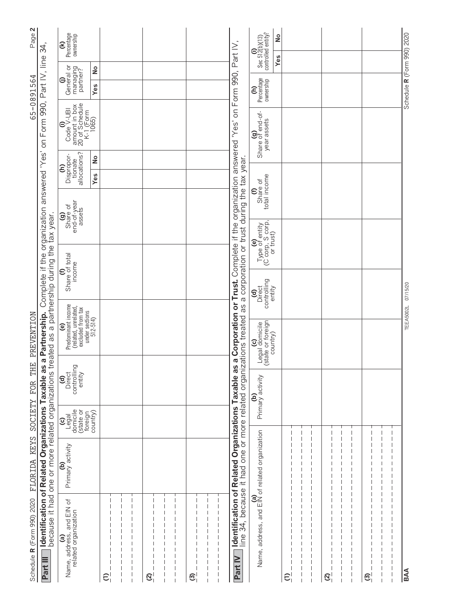| Page 2                                  | 34,                                                                                                                   | Percentage<br>ownership<br>$\widehat{\epsilon}$                                                     |                            |               |            |  |                          |        |                                                                                                                                                                                                                                        | Sec 512(b)(13)<br>controlled entity?<br>⊜              | ş<br>Yes |                 |                |  |          |  | Schedule R (Form 990) 2020 |
|-----------------------------------------|-----------------------------------------------------------------------------------------------------------------------|-----------------------------------------------------------------------------------------------------|----------------------------|---------------|------------|--|--------------------------|--------|----------------------------------------------------------------------------------------------------------------------------------------------------------------------------------------------------------------------------------------|--------------------------------------------------------|----------|-----------------|----------------|--|----------|--|----------------------------|
| 65-0891564                              |                                                                                                                       | General or<br>managing<br>partner?<br>⊖                                                             | $\frac{1}{2}$<br>Yes       |               |            |  |                          |        |                                                                                                                                                                                                                                        | Percentage<br>ownership<br>ε                           |          |                 |                |  |          |  |                            |
|                                         | Complete if the organization answered 'Yes' on Form 990, Part IV, line                                                | amount in box<br>20 of Schedule<br>K-1 (Form<br>1065)<br>$\operatorname{Code}^{\textbf{(i)}}$ V-UBI |                            |               |            |  |                          |        |                                                                                                                                                                                                                                        | (g)<br>Share of end-of-<br>year assets                 |          |                 |                |  |          |  |                            |
|                                         |                                                                                                                       | allocations?<br>Dispropor-<br>tionate<br>$\widehat{\epsilon}$                                       | $\frac{1}{2}$              |               |            |  |                          |        |                                                                                                                                                                                                                                        |                                                        |          |                 |                |  |          |  |                            |
|                                         |                                                                                                                       |                                                                                                     | Yes                        |               |            |  |                          |        |                                                                                                                                                                                                                                        | Share of<br>total income<br>$\epsilon$                 |          |                 |                |  |          |  |                            |
|                                         |                                                                                                                       | end-of-year<br>$\frac{9}{100}$ of<br>assets                                                         |                            |               |            |  |                          |        |                                                                                                                                                                                                                                        |                                                        |          |                 |                |  |          |  |                            |
|                                         |                                                                                                                       |                                                                                                     |                            |               |            |  |                          |        |                                                                                                                                                                                                                                        | (e)<br>Type of entity<br>(C corp, S corp,<br>or trust) |          |                 |                |  |          |  |                            |
|                                         |                                                                                                                       | (f)<br>Share of total<br>income                                                                     |                            |               |            |  |                          |        |                                                                                                                                                                                                                                        |                                                        |          |                 |                |  |          |  |                            |
|                                         |                                                                                                                       |                                                                                                     |                            |               |            |  |                          |        |                                                                                                                                                                                                                                        | Direct<br>controlling<br>entity<br>ਰੇ                  |          |                 |                |  |          |  |                            |
|                                         |                                                                                                                       | e)<br>Predominant income<br>(related, unrelated,<br>excluded from tax                               | under sections<br>512-514) |               |            |  |                          |        |                                                                                                                                                                                                                                        |                                                        |          |                 |                |  |          |  | TEEA5002L 07/15/20         |
|                                         | treated as a partnership during the tax year.                                                                         |                                                                                                     |                            |               |            |  |                          |        |                                                                                                                                                                                                                                        | Legal domicile<br>state or foreign                     | country) |                 |                |  |          |  |                            |
|                                         |                                                                                                                       | Direct<br>controlling<br>controlling<br>entity                                                      |                            |               |            |  |                          |        |                                                                                                                                                                                                                                        |                                                        |          |                 |                |  |          |  |                            |
|                                         |                                                                                                                       |                                                                                                     |                            |               |            |  |                          |        |                                                                                                                                                                                                                                        | (b)<br>Primary activity                                |          |                 |                |  |          |  |                            |
|                                         |                                                                                                                       | (C)<br>domicile<br>domicile<br>domicile<br>country)                                                 |                            |               |            |  |                          |        |                                                                                                                                                                                                                                        |                                                        |          |                 |                |  |          |  |                            |
| FLORIDA KEYS SOCIETY FOR THE PREVENTION |                                                                                                                       | <b>(b)</b><br>Primary activity                                                                      |                            |               |            |  |                          |        |                                                                                                                                                                                                                                        |                                                        |          |                 |                |  |          |  |                            |
| Schedule R (Form 990) 2020              | Identification of Related Organizations Taxable as a Partnership.<br>because it had one or more related organizations | <b>(a)</b><br>Name, address, and EIN of<br>related organization                                     |                            |               |            |  |                          | I<br>I | <b>Identification of Related Organizations Taxable as a Corporation or Trust.</b> Complete if the organization answered 'Yes' on Form 990, Part IV,<br>line 34, because it had one or more related organizations treated as a corporat | (a)<br>Name, address, and EIN of related organization  |          |                 |                |  |          |  |                            |
|                                         | <b>Part III</b>                                                                                                       |                                                                                                     |                            | $\widehat{c}$ | <u>ଟ</u> ା |  | $\widehat{\mathfrak{G}}$ |        | <b>Part IV</b>                                                                                                                                                                                                                         |                                                        |          | $\widehat{\in}$ | $\mathfrak{D}$ |  | <u>ଟ</u> |  | <b>BAA</b>                 |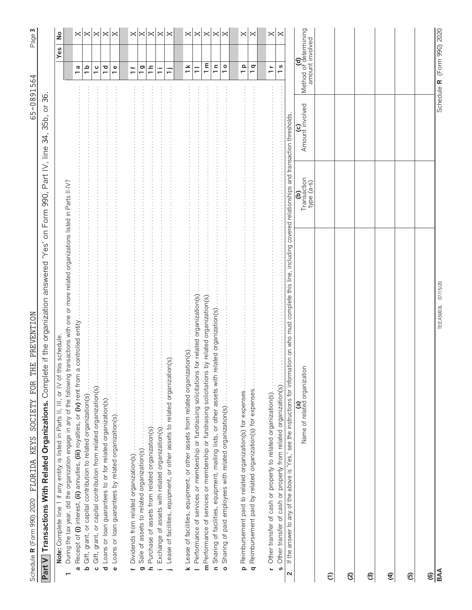| Page 3                                                                |                                                                                                                              | ş                                                                                                                                                                                                                                                                  | $\bowtie$                                                                                                    | $\Join$                                                                                    | ×                                                                      | ×                                                                                                                                                                 | ×                                                                                                                                       | $\Join \Join$ |               | ×                                                     | ×                                                                                                                              | × | ×             | ×        | ×                | ×                                                                                       | ×                                                                 | ×                                                               | ×                                                                      | ×                                                                   |                                                                 |                                                                                                                                                                                                              |                                                 |               |               |   |   |   |                |                              |
|-----------------------------------------------------------------------|------------------------------------------------------------------------------------------------------------------------------|--------------------------------------------------------------------------------------------------------------------------------------------------------------------------------------------------------------------------------------------------------------------|--------------------------------------------------------------------------------------------------------------|--------------------------------------------------------------------------------------------|------------------------------------------------------------------------|-------------------------------------------------------------------------------------------------------------------------------------------------------------------|-----------------------------------------------------------------------------------------------------------------------------------------|---------------|---------------|-------------------------------------------------------|--------------------------------------------------------------------------------------------------------------------------------|---|---------------|----------|------------------|-----------------------------------------------------------------------------------------|-------------------------------------------------------------------|-----------------------------------------------------------------|------------------------------------------------------------------------|---------------------------------------------------------------------|-----------------------------------------------------------------|--------------------------------------------------------------------------------------------------------------------------------------------------------------------------------------------------------------|-------------------------------------------------|---------------|---------------|---|---|---|----------------|------------------------------|
|                                                                       |                                                                                                                              | Yes                                                                                                                                                                                                                                                                | a<br>$\overline{\phantom{0}}$                                                                                | $\frac{a}{1}$                                                                              | $\frac{c}{1}$                                                          | $\overline{C}$                                                                                                                                                    | $\frac{e}{1}$                                                                                                                           | $\ddot{ }$    | $\frac{5}{1}$ | $\frac{a}{b}$                                         | Ξ<br>Ξ                                                                                                                         |   | $\frac{1}{1}$ | $\equiv$ | $\overline{1}$ m | $\frac{a}{b}$                                                                           | $\frac{1}{1}$                                                     | $\frac{p}{1}$                                                   | $\frac{q}{1}$                                                          | $\frac{1}{\tau}$                                                    |                                                                 | $\frac{8}{1}$                                                                                                                                                                                                | (d)<br>Method of determining<br>amount involved |               |               |   |   |   |                | Schedule R (Form 990) 2020   |
| 65-0891564                                                            | 35b, or 36                                                                                                                   |                                                                                                                                                                                                                                                                    |                                                                                                              |                                                                                            |                                                                        |                                                                                                                                                                   |                                                                                                                                         |               |               |                                                       |                                                                                                                                |   |               |          |                  |                                                                                         |                                                                   |                                                                 |                                                                        |                                                                     |                                                                 |                                                                                                                                                                                                              | Amount involved                                 |               |               |   |   |   |                |                              |
|                                                                       |                                                                                                                              |                                                                                                                                                                                                                                                                    |                                                                                                              |                                                                                            |                                                                        |                                                                                                                                                                   |                                                                                                                                         |               |               |                                                       |                                                                                                                                |   |               |          |                  |                                                                                         |                                                                   |                                                                 |                                                                        |                                                                     |                                                                 |                                                                                                                                                                                                              | Transaction<br>type (a-s)<br>ව                  |               |               |   |   |   |                |                              |
| THE PREVENTION<br>Schedule R (Form 990) 2020 FLORIDA KEYS SOCIETY FOR | Part V   Transactions With Related Organizations. Complete if the organization answered 'Yes' on Form 990, Part IV, line 34, | During the tax year, did the organization engage in any of the following transactions with one or more related organizations listed in Parts II-IV?<br>this schedule<br>Note: Complete line 1 if any entity is listed in Parts II, III, or IV of<br>$\blacksquare$ | a controlled entity<br>Receipt of (i) interest, (ii) annuities, (iii) royalties, or (iv) rent from<br>ო<br>თ | Gift, grant, or capital contribution to related organization(s)<br>$\overline{\mathbf{c}}$ | Gift, grant, or capital contribution from related organization(s)<br>ں | 医皮肤性皮肤 医甲状腺 医单位性皮肤 医单位 医单位性皮肤 医单位性皮肤 医单位性皮肤 医单位 医单位 医单位 医牙科 医牙科 医牙科 医牙科 医牙科 医牙科 医血管中枢 医血管中枢 医血管中枢<br>d Loans or loan guarantees to or for related organization(s) | $\begin{bmatrix} 1 & 1 & 1 \\ 1 & 1 & 1 \\ 1 & 1 & 1 \end{bmatrix}$<br>Loans or loan guarantees by related organization(s)<br>$\bullet$ |               | ō             | Purchase of assets from related organization(s)<br>ءـ | Lease of facilities, equipment, or other assets to related organization(s)<br>Exchange of assets with related organization(s). |   |               |          |                  | Sharing of facilities, equipment, mailing lists, or other assets with<br>$\overline{a}$ | Sharing of paid employees with related organization(s)<br>$\circ$ | Reimbursement paid to related organization(s) for expenses<br>௨ | Reimbursement paid by related organization(s) for expenses<br>$\sigma$ | Other transfer of cash or property to related organization(s).<br>Ł | Other transfer of cash or property from related organization(s) | If the answer to any of the above is 'Yes,' see the instructions for information on who must complete this line, including covered relationships and transaction thresholds.<br>S<br>$\overline{\mathbf{z}}$ | iοn<br>(a)<br>Name of related organizati        | $\widehat{c}$ | $\mathcal{Q}$ | ල | E | ම | $\circledcirc$ | 07/15/20<br>TEEA5003L<br>BAA |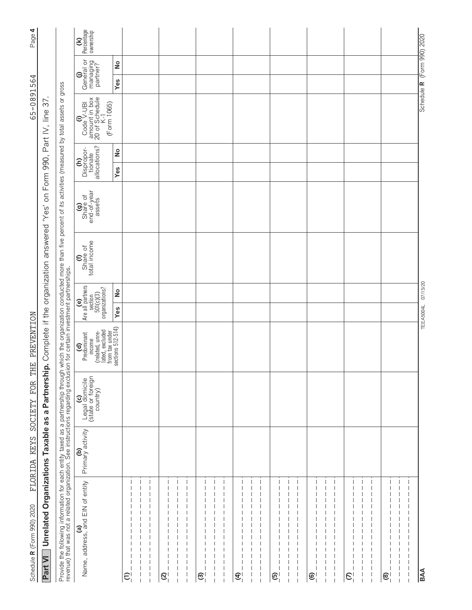| FLORIDA KEYS<br>Schedule R (Form 990) 2020                                                                                                                                                                                       | SOCIETY FOR                                            | THE PREVENTION                                                     |                                                                       |                                        |                                          |                                                               | 65-0891564                                                                                                                                                           |            |                                     | Page 4                       |
|----------------------------------------------------------------------------------------------------------------------------------------------------------------------------------------------------------------------------------|--------------------------------------------------------|--------------------------------------------------------------------|-----------------------------------------------------------------------|----------------------------------------|------------------------------------------|---------------------------------------------------------------|----------------------------------------------------------------------------------------------------------------------------------------------------------------------|------------|-------------------------------------|------------------------------|
| Unrelated Organizations Taxable as a Partnership. Complete if the organization answered "Yes"<br>Part VI                                                                                                                         |                                                        |                                                                    |                                                                       |                                        | $\overline{5}$                           | Form 990, Part IV, line                                       | 76                                                                                                                                                                   |            |                                     |                              |
| Provide the following information for each entity taxed as a partnership through which the organization conducted more than five percent of its activities (measured by total assets or gross<br>revenue) that was not a related |                                                        |                                                                    |                                                                       |                                        |                                          |                                                               |                                                                                                                                                                      |            |                                     |                              |
| Primary activity<br>(a)<br>Name, address, and EIN of entity                                                                                                                                                                      | (c)<br>Legal domicile<br>(state or foreign<br>country) | (related, unre-<br>lated, excluded<br>(d)<br>Predominant<br>income | Are all partners<br>section<br>soction<br>501(c)(3)<br>organizations? | Share of<br>total income<br>$\epsilon$ | (g)<br>Share of<br>end-of-year<br>assets | allocations?<br>Dispropor-<br>tionate<br>$\widehat{\epsilon}$ | $\begin{bmatrix} \mathbf{0} & \mathbf{0} \\ \cos\theta & \cos\theta \\ \text{amount in box} \\ 20 \text{ of Schedule} \\ 20 \text{ A.} \end{bmatrix}$<br>(Form 1065) | General or | managing<br>partner?                | Percentage<br>ownership<br>E |
|                                                                                                                                                                                                                                  |                                                        | from tax under<br>sections 512-514)                                | $\frac{1}{2}$<br>Yes                                                  |                                        |                                          | $\frac{1}{2}$<br>Yes                                          |                                                                                                                                                                      | Yes        | $\stackrel{\mathtt{o}}{\mathtt{z}}$ |                              |
| $\widehat{c}$                                                                                                                                                                                                                    |                                                        |                                                                    |                                                                       |                                        |                                          |                                                               |                                                                                                                                                                      |            |                                     |                              |
|                                                                                                                                                                                                                                  |                                                        |                                                                    |                                                                       |                                        |                                          |                                                               |                                                                                                                                                                      |            |                                     |                              |
|                                                                                                                                                                                                                                  |                                                        |                                                                    |                                                                       |                                        |                                          |                                                               |                                                                                                                                                                      |            |                                     |                              |
| ତ୍ର                                                                                                                                                                                                                              |                                                        |                                                                    |                                                                       |                                        |                                          |                                                               |                                                                                                                                                                      |            |                                     |                              |
|                                                                                                                                                                                                                                  |                                                        |                                                                    |                                                                       |                                        |                                          |                                                               |                                                                                                                                                                      |            |                                     |                              |
|                                                                                                                                                                                                                                  |                                                        |                                                                    |                                                                       |                                        |                                          |                                                               |                                                                                                                                                                      |            |                                     |                              |
| ල                                                                                                                                                                                                                                |                                                        |                                                                    |                                                                       |                                        |                                          |                                                               |                                                                                                                                                                      |            |                                     |                              |
|                                                                                                                                                                                                                                  |                                                        |                                                                    |                                                                       |                                        |                                          |                                                               |                                                                                                                                                                      |            |                                     |                              |
| $\overline{\phantom{a}}$<br>$\mathbf I$                                                                                                                                                                                          |                                                        |                                                                    |                                                                       |                                        |                                          |                                                               |                                                                                                                                                                      |            |                                     |                              |
| E                                                                                                                                                                                                                                |                                                        |                                                                    |                                                                       |                                        |                                          |                                                               |                                                                                                                                                                      |            |                                     |                              |
| I                                                                                                                                                                                                                                |                                                        |                                                                    |                                                                       |                                        |                                          |                                                               |                                                                                                                                                                      |            |                                     |                              |
|                                                                                                                                                                                                                                  |                                                        |                                                                    |                                                                       |                                        |                                          |                                                               |                                                                                                                                                                      |            |                                     |                              |
| ල                                                                                                                                                                                                                                |                                                        |                                                                    |                                                                       |                                        |                                          |                                                               |                                                                                                                                                                      |            |                                     |                              |
|                                                                                                                                                                                                                                  |                                                        |                                                                    |                                                                       |                                        |                                          |                                                               |                                                                                                                                                                      |            |                                     |                              |
|                                                                                                                                                                                                                                  |                                                        |                                                                    |                                                                       |                                        |                                          |                                                               |                                                                                                                                                                      |            |                                     |                              |
| $\widehat{\mathfrak{S}}_1$                                                                                                                                                                                                       |                                                        |                                                                    |                                                                       |                                        |                                          |                                                               |                                                                                                                                                                      |            |                                     |                              |
|                                                                                                                                                                                                                                  |                                                        |                                                                    |                                                                       |                                        |                                          |                                                               |                                                                                                                                                                      |            |                                     |                              |
| ı                                                                                                                                                                                                                                |                                                        |                                                                    |                                                                       |                                        |                                          |                                                               |                                                                                                                                                                      |            |                                     |                              |
| $\mathcal{E}$                                                                                                                                                                                                                    |                                                        |                                                                    |                                                                       |                                        |                                          |                                                               |                                                                                                                                                                      |            |                                     |                              |
|                                                                                                                                                                                                                                  |                                                        |                                                                    |                                                                       |                                        |                                          |                                                               |                                                                                                                                                                      |            |                                     |                              |
| ı                                                                                                                                                                                                                                |                                                        |                                                                    |                                                                       |                                        |                                          |                                                               |                                                                                                                                                                      |            |                                     |                              |
| $\circledast$                                                                                                                                                                                                                    |                                                        |                                                                    |                                                                       |                                        |                                          |                                                               |                                                                                                                                                                      |            |                                     |                              |
| J<br>$\overline{\phantom{a}}$                                                                                                                                                                                                    |                                                        |                                                                    |                                                                       |                                        |                                          |                                                               |                                                                                                                                                                      |            |                                     |                              |
| ı                                                                                                                                                                                                                                |                                                        |                                                                    |                                                                       |                                        |                                          |                                                               |                                                                                                                                                                      |            |                                     |                              |
| <b>BAA</b>                                                                                                                                                                                                                       |                                                        |                                                                    | TEEA5004L 07/15/20                                                    |                                        |                                          |                                                               |                                                                                                                                                                      |            | Schedule R (Form 990) 2020          |                              |

Page 4